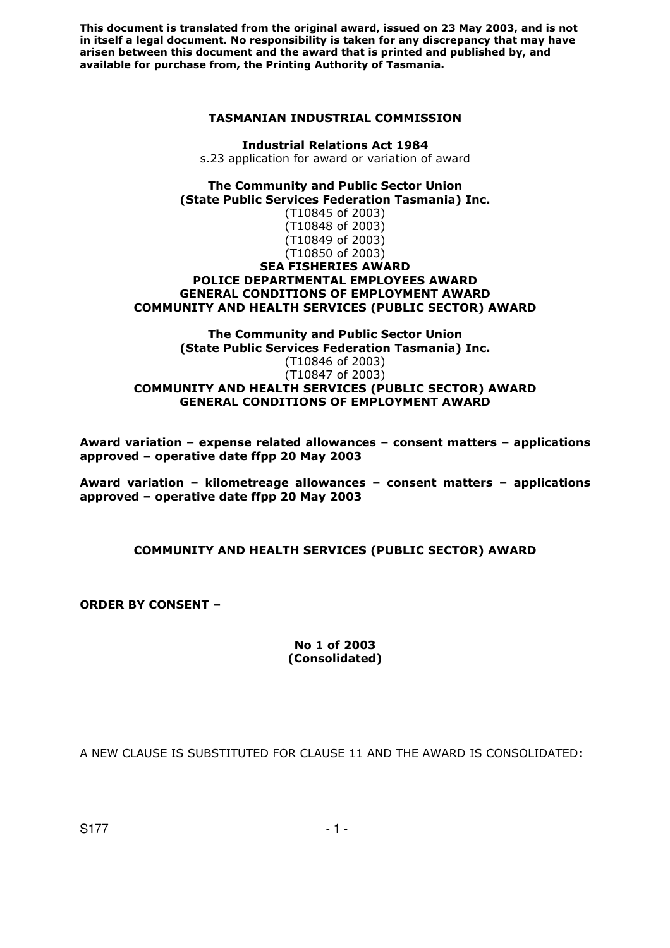#### **TASMANIAN INDUSTRIAL COMMISSION**

**Industrial Relations Act 1984**  s.23 application for award or variation of award

**The Community and Public Sector Union (State Public Services Federation Tasmania) Inc.** (T10845 of 2003)

(T10848 of 2003) (T10849 of 2003) (T10850 of 2003) **SEA FISHERIES AWARD** 

# **POLICE DEPARTMENTAL EMPLOYEES AWARD GENERAL CONDITIONS OF EMPLOYMENT AWARD COMMUNITY AND HEALTH SERVICES (PUBLIC SECTOR) AWARD**

#### **The Community and Public Sector Union (State Public Services Federation Tasmania) Inc.** (T10846 of 2003) (T10847 of 2003) **COMMUNITY AND HEALTH SERVICES (PUBLIC SECTOR) AWARD GENERAL CONDITIONS OF EMPLOYMENT AWARD**

**Award variation – expense related allowances – consent matters – applications approved – operative date ffpp 20 May 2003** 

**Award variation – kilometreage allowances – consent matters – applications approved – operative date ffpp 20 May 2003** 

# **COMMUNITY AND HEALTH SERVICES (PUBLIC SECTOR) AWARD**

**ORDER BY CONSENT –** 

#### **No 1 of 2003 (Consolidated)**

A NEW CLAUSE IS SUBSTITUTED FOR CLAUSE 11 AND THE AWARD IS CONSOLIDATED: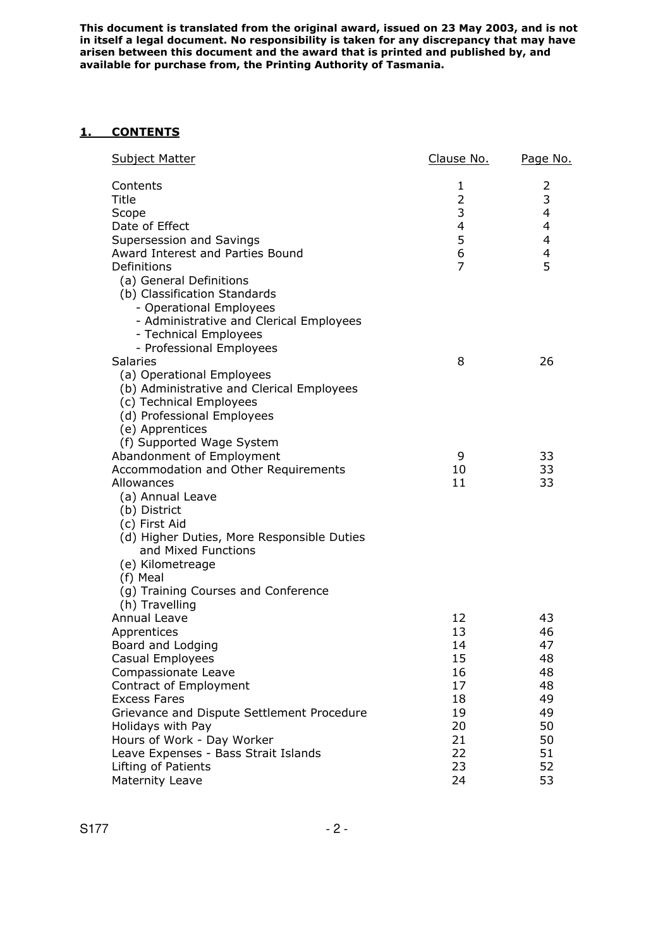# **1. CONTENTS**

| <b>Subject Matter</b>                                                                                                                                  | Clause No.     | Page No. |
|--------------------------------------------------------------------------------------------------------------------------------------------------------|----------------|----------|
| Contents<br>Title                                                                                                                                      | 1<br>2         | 2<br>3   |
| Scope                                                                                                                                                  | 3              | 4        |
| Date of Effect                                                                                                                                         | 4              | 4        |
| Supersession and Savings<br>Award Interest and Parties Bound                                                                                           | 5<br>6         | 4<br>4   |
| Definitions                                                                                                                                            | $\overline{7}$ | 5        |
| (a) General Definitions<br>(b) Classification Standards<br>- Operational Employees<br>- Administrative and Clerical Employees<br>- Technical Employees |                |          |
| - Professional Employees                                                                                                                               |                |          |
| Salaries                                                                                                                                               | 8              | 26       |
| (a) Operational Employees<br>(b) Administrative and Clerical Employees<br>(c) Technical Employees<br>(d) Professional Employees<br>(e) Apprentices     |                |          |
| (f) Supported Wage System                                                                                                                              |                |          |
| Abandonment of Employment<br>Accommodation and Other Requirements                                                                                      | 9<br>10        | 33<br>33 |
| Allowances                                                                                                                                             | 11             | 33       |
| (a) Annual Leave                                                                                                                                       |                |          |
| (b) District                                                                                                                                           |                |          |
| (c) First Aid                                                                                                                                          |                |          |
| (d) Higher Duties, More Responsible Duties<br>and Mixed Functions                                                                                      |                |          |
| (e) Kilometreage                                                                                                                                       |                |          |
| (f) Meal                                                                                                                                               |                |          |
| (g) Training Courses and Conference                                                                                                                    |                |          |
| (h) Travelling<br>Annual Leave                                                                                                                         | 12             | 43       |
| Apprentices                                                                                                                                            | 13             | 46       |
| Board and Lodging                                                                                                                                      | 14             | 47       |
| Casual Employees                                                                                                                                       | 15             | 48       |
| Compassionate Leave                                                                                                                                    | 16             | 48       |
| Contract of Employment                                                                                                                                 | 17             | 48       |
| <b>Excess Fares</b>                                                                                                                                    | 18             | 49       |
| Grievance and Dispute Settlement Procedure                                                                                                             | 19             | 49       |
| Holidays with Pay                                                                                                                                      | 20             | 50       |
| Hours of Work - Day Worker                                                                                                                             | 21             | 50       |
| Leave Expenses - Bass Strait Islands<br>Lifting of Patients                                                                                            | 22<br>23       | 51<br>52 |
| Maternity Leave                                                                                                                                        | 24             | 53       |
|                                                                                                                                                        |                |          |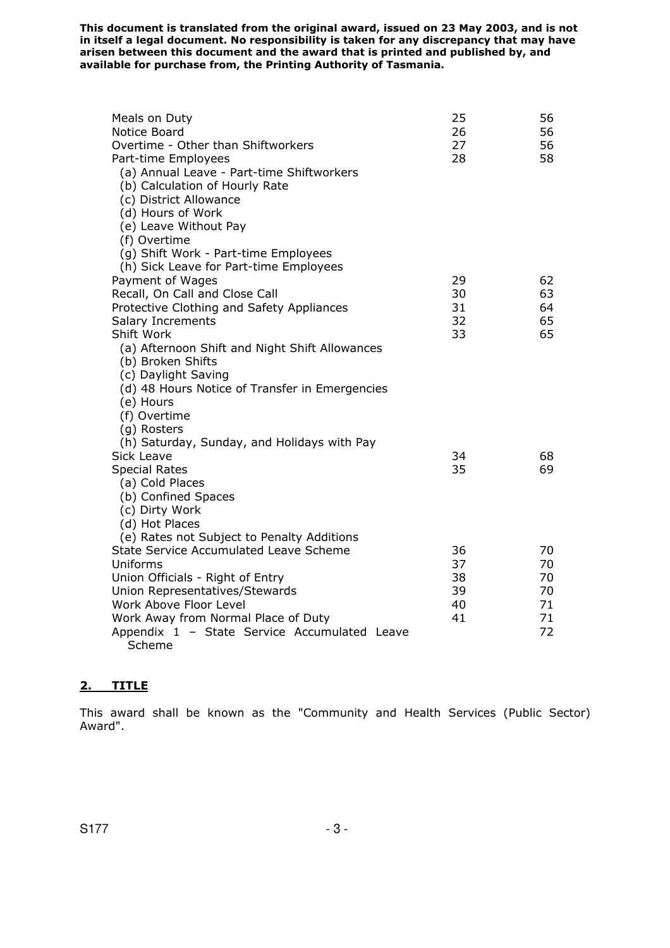| Meals on Duty<br>Notice Board<br>Overtime - Other than Shiftworkers<br>Part-time Employees<br>(a) Annual Leave - Part-time Shiftworkers<br>(b) Calculation of Hourly Rate<br>(c) District Allowance<br>(d) Hours of Work<br>(e) Leave Without Pay<br>(f) Overtime | 25<br>26<br>27<br>28 | 56<br>56<br>56<br>58 |
|-------------------------------------------------------------------------------------------------------------------------------------------------------------------------------------------------------------------------------------------------------------------|----------------------|----------------------|
| (g) Shift Work - Part-time Employees<br>(h) Sick Leave for Part-time Employees                                                                                                                                                                                    |                      |                      |
| Payment of Wages                                                                                                                                                                                                                                                  | 29                   | 62                   |
| Recall, On Call and Close Call                                                                                                                                                                                                                                    | 30                   | 63                   |
| Protective Clothing and Safety Appliances                                                                                                                                                                                                                         | 31                   | 64                   |
| Salary Increments                                                                                                                                                                                                                                                 | 32                   | 65                   |
| Shift Work                                                                                                                                                                                                                                                        | 33                   | 65                   |
| (a) Afternoon Shift and Night Shift Allowances<br>(b) Broken Shifts                                                                                                                                                                                               |                      |                      |
| (c) Daylight Saving                                                                                                                                                                                                                                               |                      |                      |
| (d) 48 Hours Notice of Transfer in Emergencies                                                                                                                                                                                                                    |                      |                      |
| (e) Hours                                                                                                                                                                                                                                                         |                      |                      |
| (f) Overtime                                                                                                                                                                                                                                                      |                      |                      |
| (g) Rosters                                                                                                                                                                                                                                                       |                      |                      |
| (h) Saturday, Sunday, and Holidays with Pay<br>Sick Leave                                                                                                                                                                                                         | 34                   | 68                   |
| <b>Special Rates</b>                                                                                                                                                                                                                                              | 35                   | 69                   |
| (a) Cold Places                                                                                                                                                                                                                                                   |                      |                      |
| (b) Confined Spaces                                                                                                                                                                                                                                               |                      |                      |
| (c) Dirty Work                                                                                                                                                                                                                                                    |                      |                      |
| (d) Hot Places                                                                                                                                                                                                                                                    |                      |                      |
| (e) Rates not Subject to Penalty Additions                                                                                                                                                                                                                        |                      |                      |
| State Service Accumulated Leave Scheme                                                                                                                                                                                                                            | 36                   | 70                   |
| Uniforms<br>Union Officials - Right of Entry                                                                                                                                                                                                                      | 37<br>38             | 70<br>70             |
| Union Representatives/Stewards                                                                                                                                                                                                                                    | 39                   | 70                   |
| Work Above Floor Level                                                                                                                                                                                                                                            | 40                   | 71                   |
| Work Away from Normal Place of Duty                                                                                                                                                                                                                               | 41                   | 71                   |
| Appendix 1 - State Service Accumulated Leave                                                                                                                                                                                                                      |                      | 72                   |
| Scheme                                                                                                                                                                                                                                                            |                      |                      |

# **2. TITLE**

This award shall be known as the "Community and Health Services (Public Sector) Award".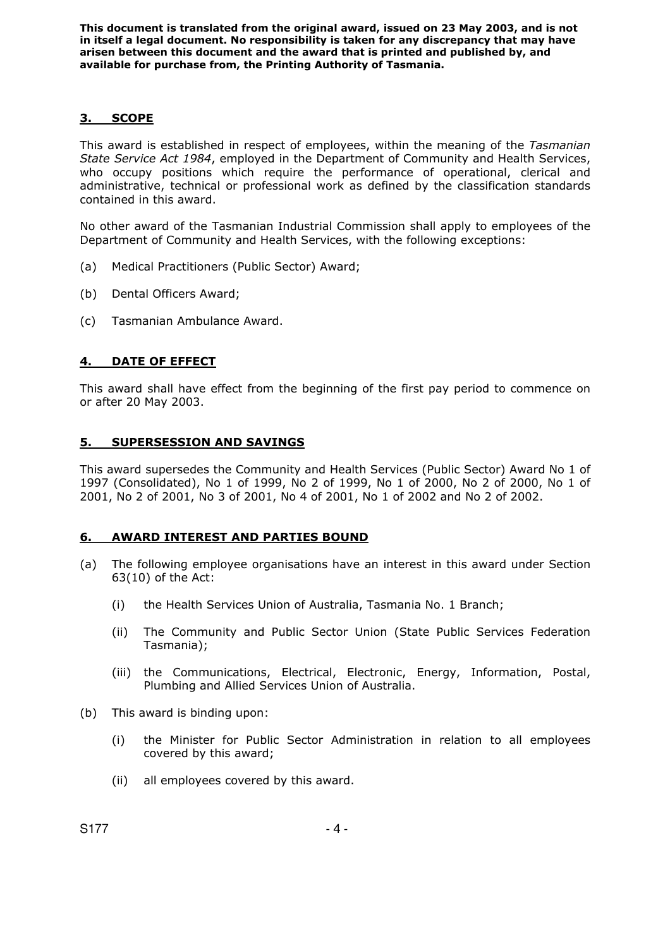# **3. SCOPE**

This award is established in respect of employees, within the meaning of the *Tasmanian State Service Act 1984*, employed in the Department of Community and Health Services, who occupy positions which require the performance of operational, clerical and administrative, technical or professional work as defined by the classification standards contained in this award.

No other award of the Tasmanian Industrial Commission shall apply to employees of the Department of Community and Health Services, with the following exceptions:

- (a) Medical Practitioners (Public Sector) Award;
- (b) Dental Officers Award;
- (c) Tasmanian Ambulance Award.

# **4. DATE OF EFFECT**

This award shall have effect from the beginning of the first pay period to commence on or after 20 May 2003.

# **5. SUPERSESSION AND SAVINGS**

This award supersedes the Community and Health Services (Public Sector) Award No 1 of 1997 (Consolidated), No 1 of 1999, No 2 of 1999, No 1 of 2000, No 2 of 2000, No 1 of 2001, No 2 of 2001, No 3 of 2001, No 4 of 2001, No 1 of 2002 and No 2 of 2002.

# **6. AWARD INTEREST AND PARTIES BOUND**

- (a) The following employee organisations have an interest in this award under Section 63(10) of the Act:
	- (i) the Health Services Union of Australia, Tasmania No. 1 Branch;
	- (ii) The Community and Public Sector Union (State Public Services Federation Tasmania);
	- (iii) the Communications, Electrical, Electronic, Energy, Information, Postal, Plumbing and Allied Services Union of Australia.
- (b) This award is binding upon:
	- (i) the Minister for Public Sector Administration in relation to all employees covered by this award;
	- (ii) all employees covered by this award.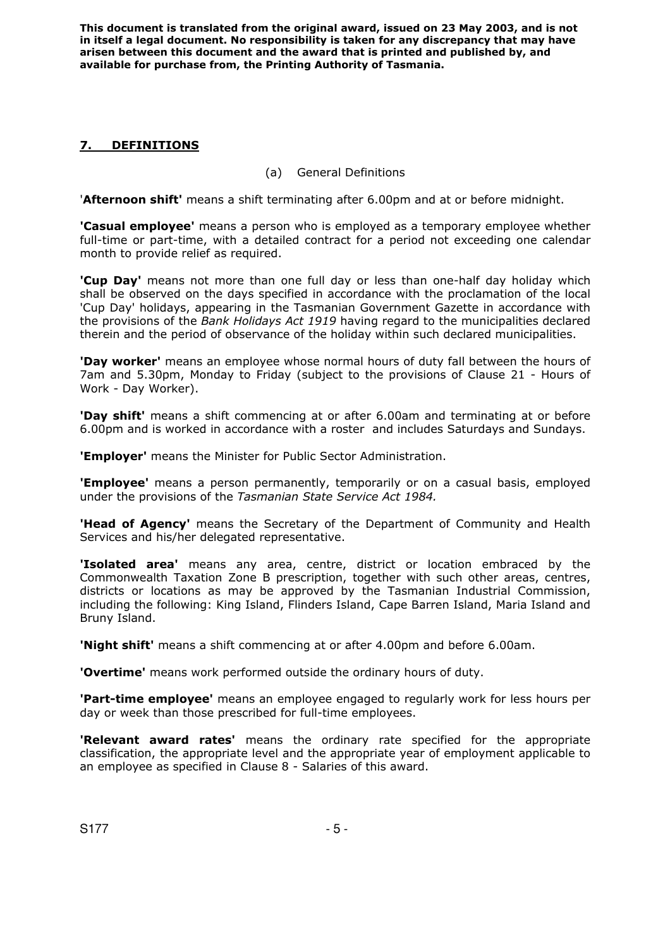# **7. DEFINITIONS**

# (a) General Definitions

'**Afternoon shift'** means a shift terminating after 6.00pm and at or before midnight.

**'Casual employee'** means a person who is employed as a temporary employee whether full-time or part-time, with a detailed contract for a period not exceeding one calendar month to provide relief as required.

**'Cup Day'** means not more than one full day or less than one-half day holiday which shall be observed on the days specified in accordance with the proclamation of the local 'Cup Day' holidays, appearing in the Tasmanian Government Gazette in accordance with the provisions of the *Bank Holidays Act 1919* having regard to the municipalities declared therein and the period of observance of the holiday within such declared municipalities.

**'Day worker'** means an employee whose normal hours of duty fall between the hours of 7am and 5.30pm, Monday to Friday (subject to the provisions of Clause 21 - Hours of Work - Day Worker).

**'Day shift'** means a shift commencing at or after 6.00am and terminating at or before 6.00pm and is worked in accordance with a roster and includes Saturdays and Sundays.

**'Employer'** means the Minister for Public Sector Administration.

**'Employee'** means a person permanently, temporarily or on a casual basis, employed under the provisions of the *Tasmanian State Service Act 1984.*

**'Head of Agency'** means the Secretary of the Department of Community and Health Services and his/her delegated representative.

**'Isolated area'** means any area, centre, district or location embraced by the Commonwealth Taxation Zone B prescription, together with such other areas, centres, districts or locations as may be approved by the Tasmanian Industrial Commission, including the following: King Island, Flinders Island, Cape Barren Island, Maria Island and Bruny Island.

**'Night shift'** means a shift commencing at or after 4.00pm and before 6.00am.

**'Overtime'** means work performed outside the ordinary hours of duty.

**'Part-time employee'** means an employee engaged to regularly work for less hours per day or week than those prescribed for full-time employees.

**'Relevant award rates'** means the ordinary rate specified for the appropriate classification, the appropriate level and the appropriate year of employment applicable to an employee as specified in Clause 8 - Salaries of this award.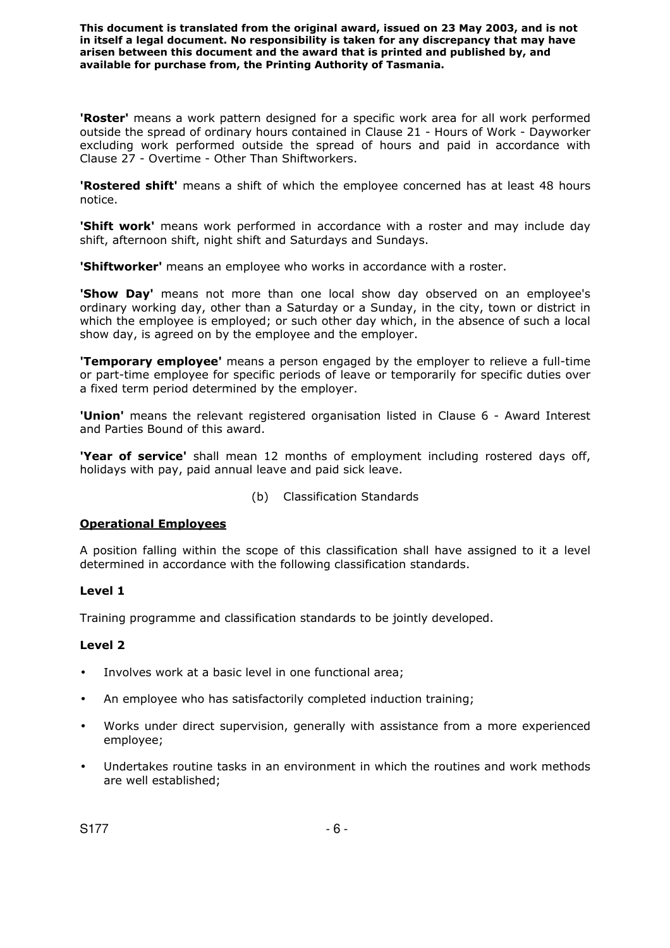**'Roster'** means a work pattern designed for a specific work area for all work performed outside the spread of ordinary hours contained in Clause 21 - Hours of Work - Dayworker excluding work performed outside the spread of hours and paid in accordance with Clause 27 - Overtime - Other Than Shiftworkers.

**'Rostered shift'** means a shift of which the employee concerned has at least 48 hours notice.

**'Shift work'** means work performed in accordance with a roster and may include day shift, afternoon shift, night shift and Saturdays and Sundays.

**'Shiftworker'** means an employee who works in accordance with a roster.

**'Show Day'** means not more than one local show day observed on an employee's ordinary working day, other than a Saturday or a Sunday, in the city, town or district in which the employee is employed; or such other day which, in the absence of such a local show day, is agreed on by the employee and the employer.

**'Temporary employee'** means a person engaged by the employer to relieve a full-time or part-time employee for specific periods of leave or temporarily for specific duties over a fixed term period determined by the employer.

**'Union'** means the relevant registered organisation listed in Clause 6 - Award Interest and Parties Bound of this award.

**'Year of service'** shall mean 12 months of employment including rostered days off, holidays with pay, paid annual leave and paid sick leave.

(b) Classification Standards

# **Operational Employees**

A position falling within the scope of this classification shall have assigned to it a level determined in accordance with the following classification standards.

#### **Level 1**

Training programme and classification standards to be jointly developed.

- Involves work at a basic level in one functional area;
- An employee who has satisfactorily completed induction training;
- Works under direct supervision, generally with assistance from a more experienced employee;
- Undertakes routine tasks in an environment in which the routines and work methods are well established;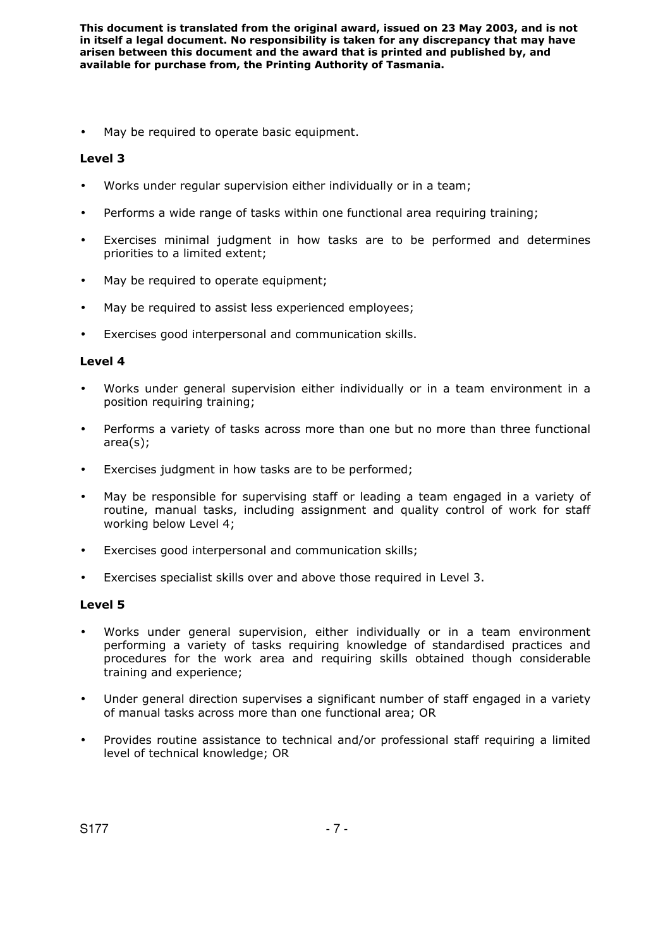May be required to operate basic equipment.

# **Level 3**

- Works under regular supervision either individually or in a team;
- Performs a wide range of tasks within one functional area requiring training;
- Exercises minimal judgment in how tasks are to be performed and determines priorities to a limited extent;
- May be required to operate equipment;
- May be required to assist less experienced employees;
- Exercises good interpersonal and communication skills.

#### **Level 4**

- Works under general supervision either individually or in a team environment in a position requiring training;
- Performs a variety of tasks across more than one but no more than three functional area(s);
- Exercises judgment in how tasks are to be performed;
- May be responsible for supervising staff or leading a team engaged in a variety of routine, manual tasks, including assignment and quality control of work for staff working below Level 4;
- Exercises good interpersonal and communication skills;
- Exercises specialist skills over and above those required in Level 3.

- Works under general supervision, either individually or in a team environment performing a variety of tasks requiring knowledge of standardised practices and procedures for the work area and requiring skills obtained though considerable training and experience;
- Under general direction supervises a significant number of staff engaged in a variety of manual tasks across more than one functional area; OR
- Provides routine assistance to technical and/or professional staff requiring a limited level of technical knowledge; OR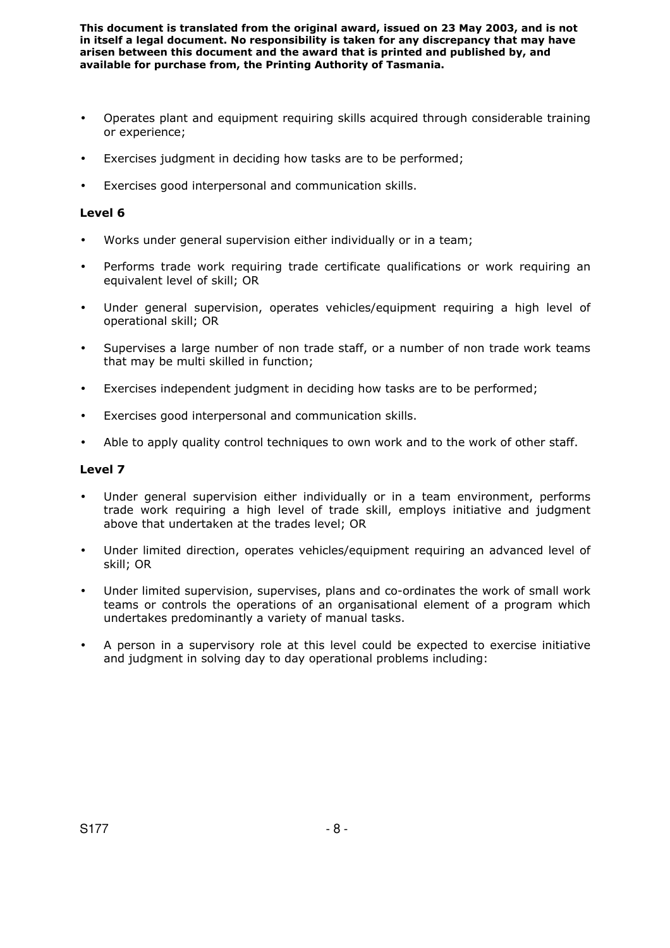- Operates plant and equipment requiring skills acquired through considerable training or experience;
- Exercises judgment in deciding how tasks are to be performed;
- Exercises good interpersonal and communication skills.

#### **Level 6**

- Works under general supervision either individually or in a team;
- Performs trade work requiring trade certificate qualifications or work requiring an equivalent level of skill; OR
- Under general supervision, operates vehicles/equipment requiring a high level of operational skill; OR
- Supervises a large number of non trade staff, or a number of non trade work teams that may be multi skilled in function;
- Exercises independent judgment in deciding how tasks are to be performed;
- Exercises good interpersonal and communication skills.
- Able to apply quality control techniques to own work and to the work of other staff.

- Under general supervision either individually or in a team environment, performs trade work requiring a high level of trade skill, employs initiative and judgment above that undertaken at the trades level; OR
- Under limited direction, operates vehicles/equipment requiring an advanced level of skill; OR
- Under limited supervision, supervises, plans and co-ordinates the work of small work teams or controls the operations of an organisational element of a program which undertakes predominantly a variety of manual tasks.
- A person in a supervisory role at this level could be expected to exercise initiative and judgment in solving day to day operational problems including: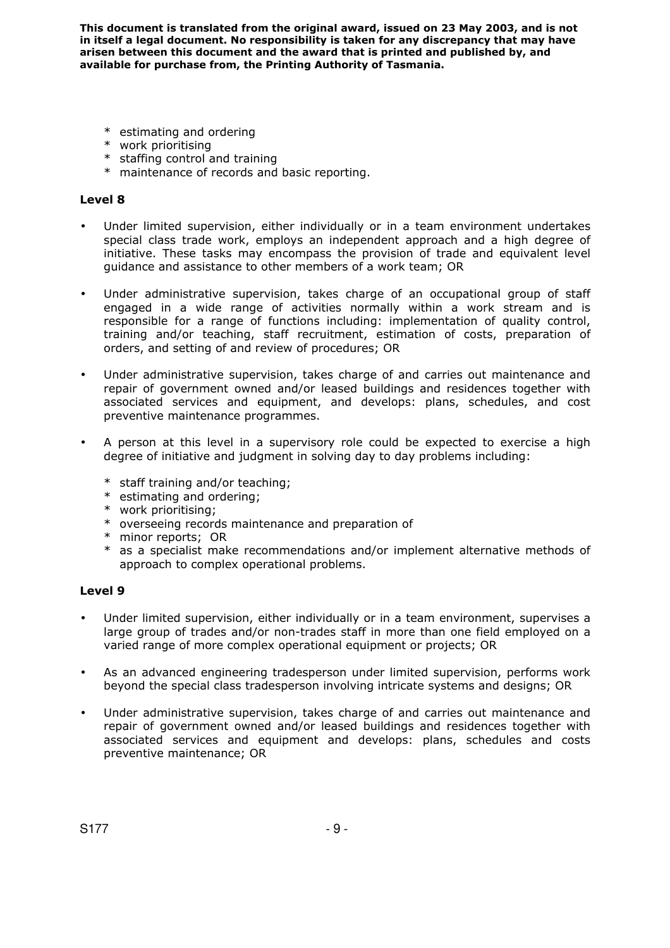- \* estimating and ordering
- \* work prioritising
- \* staffing control and training
- \* maintenance of records and basic reporting.

### **Level 8**

- Under limited supervision, either individually or in a team environment undertakes special class trade work, employs an independent approach and a high degree of initiative. These tasks may encompass the provision of trade and equivalent level guidance and assistance to other members of a work team; OR
- Under administrative supervision, takes charge of an occupational group of staff engaged in a wide range of activities normally within a work stream and is responsible for a range of functions including: implementation of quality control, training and/or teaching, staff recruitment, estimation of costs, preparation of orders, and setting of and review of procedures; OR
- Under administrative supervision, takes charge of and carries out maintenance and repair of government owned and/or leased buildings and residences together with associated services and equipment, and develops: plans, schedules, and cost preventive maintenance programmes.
- A person at this level in a supervisory role could be expected to exercise a high degree of initiative and judgment in solving day to day problems including:
	- \* staff training and/or teaching;
	- \* estimating and ordering;
	- \* work prioritising;
	- \* overseeing records maintenance and preparation of
	- \* minor reports; OR
	- \* as a specialist make recommendations and/or implement alternative methods of approach to complex operational problems.

- Under limited supervision, either individually or in a team environment, supervises a large group of trades and/or non-trades staff in more than one field employed on a varied range of more complex operational equipment or projects; OR
- As an advanced engineering tradesperson under limited supervision, performs work beyond the special class tradesperson involving intricate systems and designs; OR
- Under administrative supervision, takes charge of and carries out maintenance and repair of government owned and/or leased buildings and residences together with associated services and equipment and develops: plans, schedules and costs preventive maintenance; OR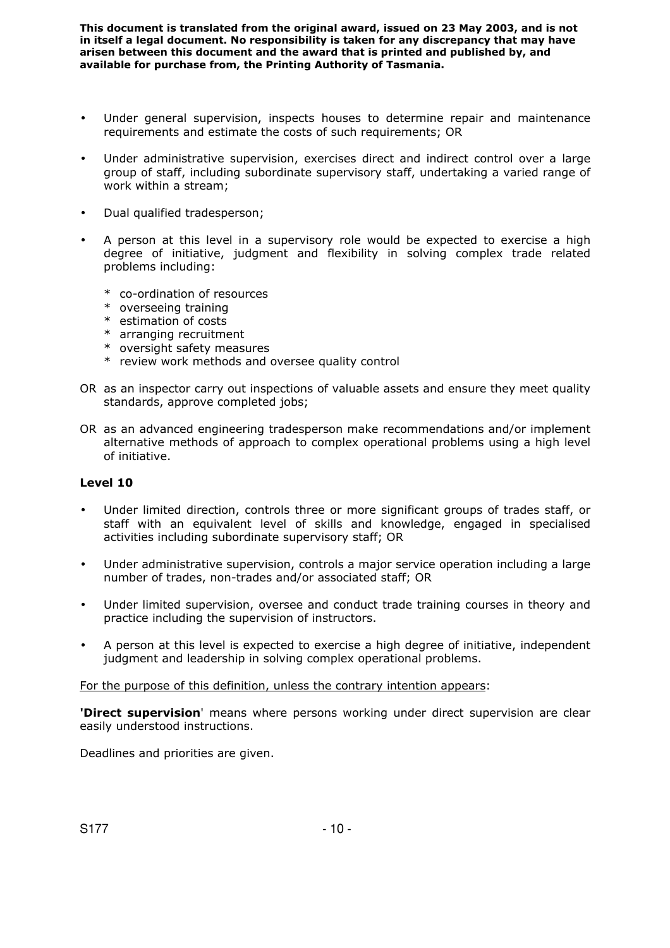- Under general supervision, inspects houses to determine repair and maintenance requirements and estimate the costs of such requirements; OR
- Under administrative supervision, exercises direct and indirect control over a large group of staff, including subordinate supervisory staff, undertaking a varied range of work within a stream;
- Dual qualified tradesperson;
- A person at this level in a supervisory role would be expected to exercise a high degree of initiative, judgment and flexibility in solving complex trade related problems including:
	- \* co-ordination of resources
	- \* overseeing training
	- \* estimation of costs
	- \* arranging recruitment
	- \* oversight safety measures
	- \* review work methods and oversee quality control
- OR as an inspector carry out inspections of valuable assets and ensure they meet quality standards, approve completed jobs;
- OR as an advanced engineering tradesperson make recommendations and/or implement alternative methods of approach to complex operational problems using a high level of initiative.

#### **Level 10**

- Under limited direction, controls three or more significant groups of trades staff, or staff with an equivalent level of skills and knowledge, engaged in specialised activities including subordinate supervisory staff; OR
- Under administrative supervision, controls a major service operation including a large number of trades, non-trades and/or associated staff; OR
- Under limited supervision, oversee and conduct trade training courses in theory and practice including the supervision of instructors.
- A person at this level is expected to exercise a high degree of initiative, independent judgment and leadership in solving complex operational problems.

For the purpose of this definition, unless the contrary intention appears:

**'Direct supervision**' means where persons working under direct supervision are clear easily understood instructions.

Deadlines and priorities are given.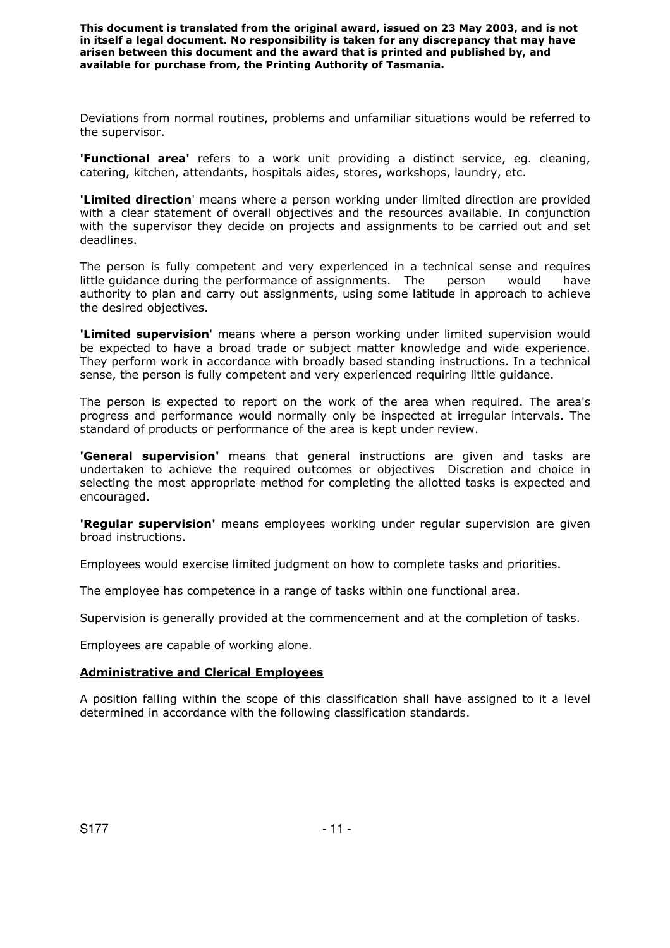Deviations from normal routines, problems and unfamiliar situations would be referred to the supervisor.

**'Functional area'** refers to a work unit providing a distinct service, eg. cleaning, catering, kitchen, attendants, hospitals aides, stores, workshops, laundry, etc.

**'Limited direction**' means where a person working under limited direction are provided with a clear statement of overall objectives and the resources available. In conjunction with the supervisor they decide on projects and assignments to be carried out and set deadlines.

The person is fully competent and very experienced in a technical sense and requires little guidance during the performance of assignments. The person would have authority to plan and carry out assignments, using some latitude in approach to achieve the desired objectives.

**'Limited supervision**' means where a person working under limited supervision would be expected to have a broad trade or subject matter knowledge and wide experience. They perform work in accordance with broadly based standing instructions. In a technical sense, the person is fully competent and very experienced requiring little guidance.

The person is expected to report on the work of the area when required. The area's progress and performance would normally only be inspected at irregular intervals. The standard of products or performance of the area is kept under review.

**'General supervision'** means that general instructions are given and tasks are undertaken to achieve the required outcomes or objectives Discretion and choice in selecting the most appropriate method for completing the allotted tasks is expected and encouraged.

**'Regular supervision'** means employees working under regular supervision are given broad instructions.

Employees would exercise limited judgment on how to complete tasks and priorities.

The employee has competence in a range of tasks within one functional area.

Supervision is generally provided at the commencement and at the completion of tasks.

Employees are capable of working alone.

#### **Administrative and Clerical Employees**

A position falling within the scope of this classification shall have assigned to it a level determined in accordance with the following classification standards.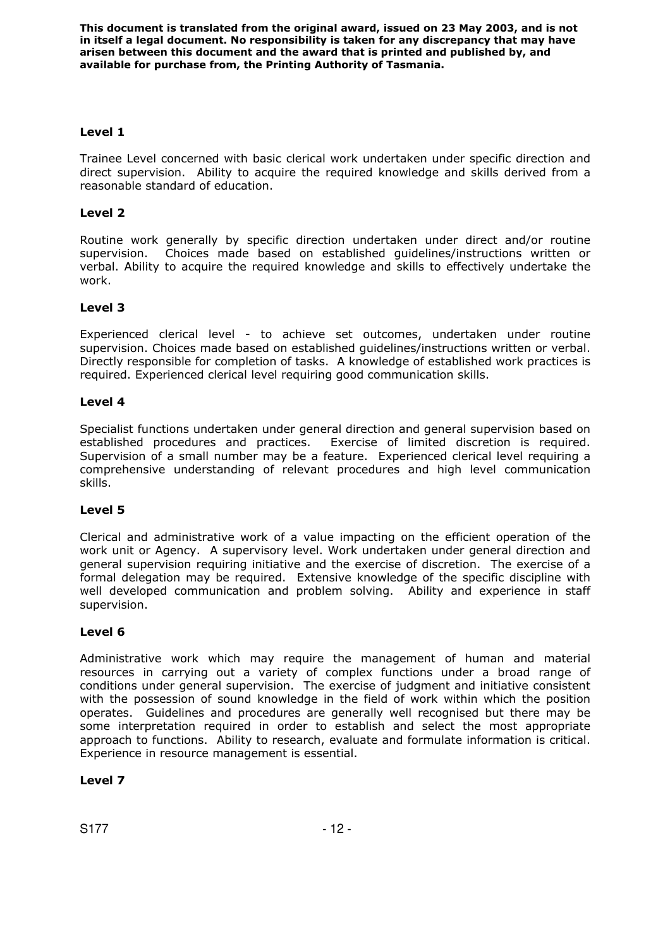# **Level 1**

Trainee Level concerned with basic clerical work undertaken under specific direction and direct supervision. Ability to acquire the required knowledge and skills derived from a reasonable standard of education.

# **Level 2**

Routine work generally by specific direction undertaken under direct and/or routine supervision. Choices made based on established guidelines/instructions written or verbal. Ability to acquire the required knowledge and skills to effectively undertake the work.

# **Level 3**

Experienced clerical level - to achieve set outcomes, undertaken under routine supervision. Choices made based on established guidelines/instructions written or verbal. Directly responsible for completion of tasks. A knowledge of established work practices is required. Experienced clerical level requiring good communication skills.

#### **Level 4**

Specialist functions undertaken under general direction and general supervision based on established procedures and practices. Exercise of limited discretion is required. Supervision of a small number may be a feature. Experienced clerical level requiring a comprehensive understanding of relevant procedures and high level communication skills.

#### **Level 5**

Clerical and administrative work of a value impacting on the efficient operation of the work unit or Agency. A supervisory level. Work undertaken under general direction and general supervision requiring initiative and the exercise of discretion. The exercise of a formal delegation may be required. Extensive knowledge of the specific discipline with well developed communication and problem solving. Ability and experience in staff supervision.

#### **Level 6**

Administrative work which may require the management of human and material resources in carrying out a variety of complex functions under a broad range of conditions under general supervision. The exercise of judgment and initiative consistent with the possession of sound knowledge in the field of work within which the position operates. Guidelines and procedures are generally well recognised but there may be some interpretation required in order to establish and select the most appropriate approach to functions. Ability to research, evaluate and formulate information is critical. Experience in resource management is essential.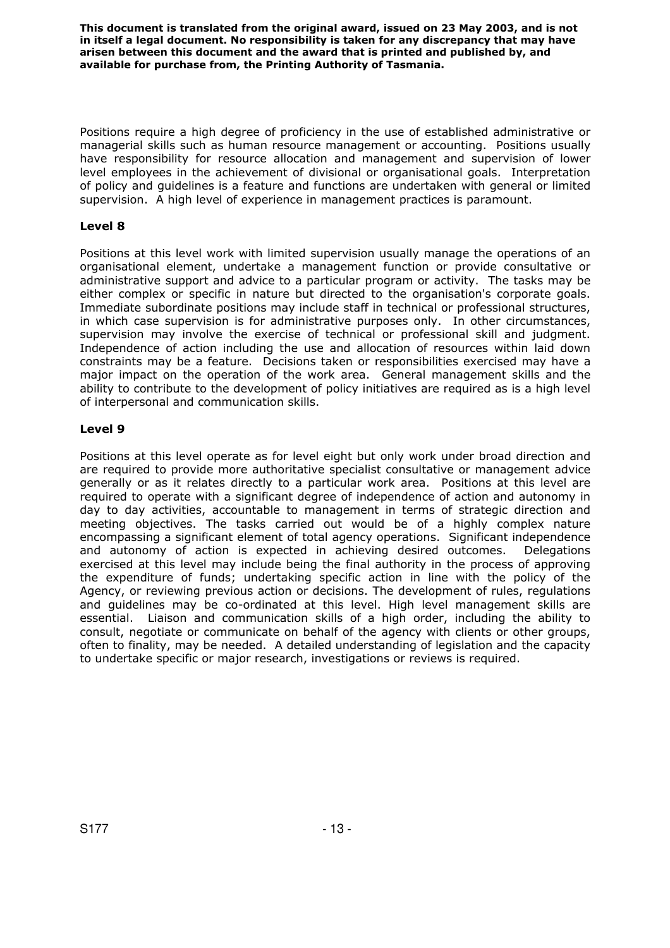Positions require a high degree of proficiency in the use of established administrative or managerial skills such as human resource management or accounting. Positions usually have responsibility for resource allocation and management and supervision of lower level employees in the achievement of divisional or organisational goals. Interpretation of policy and guidelines is a feature and functions are undertaken with general or limited supervision. A high level of experience in management practices is paramount.

# **Level 8**

Positions at this level work with limited supervision usually manage the operations of an organisational element, undertake a management function or provide consultative or administrative support and advice to a particular program or activity. The tasks may be either complex or specific in nature but directed to the organisation's corporate goals. Immediate subordinate positions may include staff in technical or professional structures, in which case supervision is for administrative purposes only. In other circumstances, supervision may involve the exercise of technical or professional skill and judgment. Independence of action including the use and allocation of resources within laid down constraints may be a feature. Decisions taken or responsibilities exercised may have a major impact on the operation of the work area. General management skills and the ability to contribute to the development of policy initiatives are required as is a high level of interpersonal and communication skills.

# **Level 9**

Positions at this level operate as for level eight but only work under broad direction and are required to provide more authoritative specialist consultative or management advice generally or as it relates directly to a particular work area. Positions at this level are required to operate with a significant degree of independence of action and autonomy in day to day activities, accountable to management in terms of strategic direction and meeting objectives. The tasks carried out would be of a highly complex nature encompassing a significant element of total agency operations. Significant independence and autonomy of action is expected in achieving desired outcomes. Delegations exercised at this level may include being the final authority in the process of approving the expenditure of funds; undertaking specific action in line with the policy of the Agency, or reviewing previous action or decisions. The development of rules, regulations and guidelines may be co-ordinated at this level. High level management skills are essential. Liaison and communication skills of a high order, including the ability to consult, negotiate or communicate on behalf of the agency with clients or other groups, often to finality, may be needed. A detailed understanding of legislation and the capacity to undertake specific or major research, investigations or reviews is required.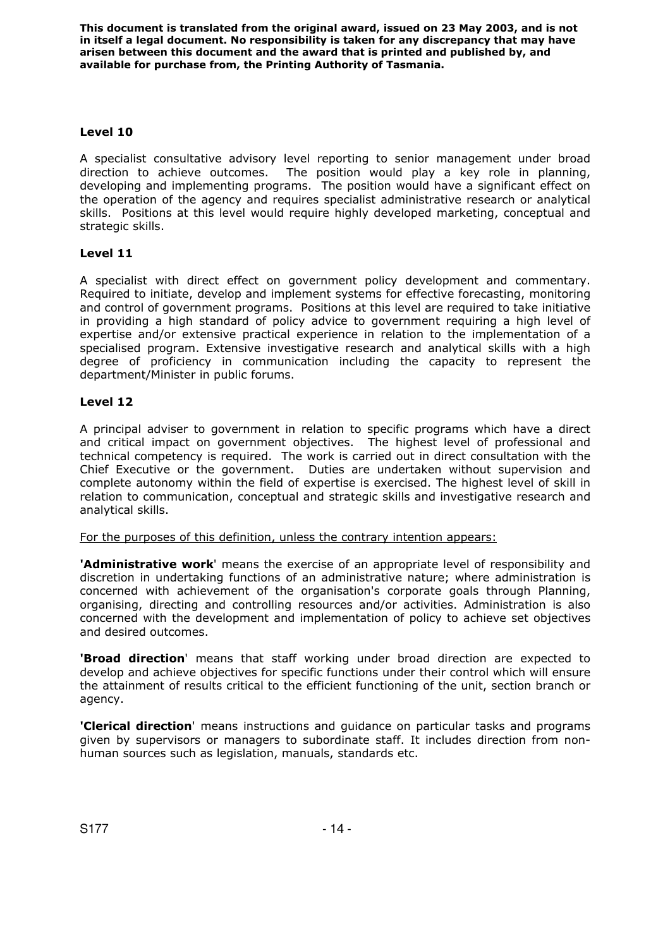# **Level 10**

A specialist consultative advisory level reporting to senior management under broad direction to achieve outcomes. The position would play a key role in planning, developing and implementing programs. The position would have a significant effect on the operation of the agency and requires specialist administrative research or analytical skills. Positions at this level would require highly developed marketing, conceptual and strategic skills.

# **Level 11**

A specialist with direct effect on government policy development and commentary. Required to initiate, develop and implement systems for effective forecasting, monitoring and control of government programs. Positions at this level are required to take initiative in providing a high standard of policy advice to government requiring a high level of expertise and/or extensive practical experience in relation to the implementation of a specialised program. Extensive investigative research and analytical skills with a high degree of proficiency in communication including the capacity to represent the department/Minister in public forums.

# **Level 12**

A principal adviser to government in relation to specific programs which have a direct and critical impact on government objectives. The highest level of professional and technical competency is required. The work is carried out in direct consultation with the Chief Executive or the government. Duties are undertaken without supervision and complete autonomy within the field of expertise is exercised. The highest level of skill in relation to communication, conceptual and strategic skills and investigative research and analytical skills.

For the purposes of this definition, unless the contrary intention appears:

**'Administrative work**' means the exercise of an appropriate level of responsibility and discretion in undertaking functions of an administrative nature; where administration is concerned with achievement of the organisation's corporate goals through Planning, organising, directing and controlling resources and/or activities. Administration is also concerned with the development and implementation of policy to achieve set objectives and desired outcomes.

**'Broad direction**' means that staff working under broad direction are expected to develop and achieve objectives for specific functions under their control which will ensure the attainment of results critical to the efficient functioning of the unit, section branch or agency.

**'Clerical direction**' means instructions and guidance on particular tasks and programs given by supervisors or managers to subordinate staff. It includes direction from nonhuman sources such as legislation, manuals, standards etc.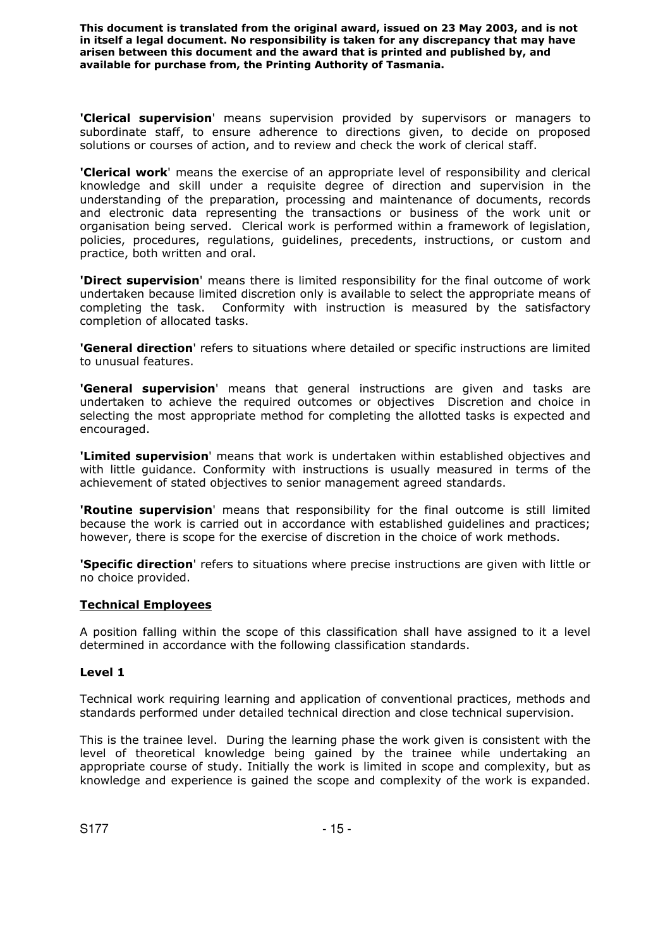**'Clerical supervision**' means supervision provided by supervisors or managers to subordinate staff, to ensure adherence to directions given, to decide on proposed solutions or courses of action, and to review and check the work of clerical staff.

**'Clerical work**' means the exercise of an appropriate level of responsibility and clerical knowledge and skill under a requisite degree of direction and supervision in the understanding of the preparation, processing and maintenance of documents, records and electronic data representing the transactions or business of the work unit or organisation being served. Clerical work is performed within a framework of legislation, policies, procedures, regulations, guidelines, precedents, instructions, or custom and practice, both written and oral.

**'Direct supervision**' means there is limited responsibility for the final outcome of work undertaken because limited discretion only is available to select the appropriate means of completing the task. Conformity with instruction is measured by the satisfactory completion of allocated tasks.

**'General direction**' refers to situations where detailed or specific instructions are limited to unusual features.

**'General supervision**' means that general instructions are given and tasks are undertaken to achieve the required outcomes or objectives Discretion and choice in selecting the most appropriate method for completing the allotted tasks is expected and encouraged.

**'Limited supervision**' means that work is undertaken within established objectives and with little guidance. Conformity with instructions is usually measured in terms of the achievement of stated objectives to senior management agreed standards.

**'Routine supervision**' means that responsibility for the final outcome is still limited because the work is carried out in accordance with established guidelines and practices; however, there is scope for the exercise of discretion in the choice of work methods.

**'Specific direction**' refers to situations where precise instructions are given with little or no choice provided.

#### **Technical Employees**

A position falling within the scope of this classification shall have assigned to it a level determined in accordance with the following classification standards.

#### **Level 1**

Technical work requiring learning and application of conventional practices, methods and standards performed under detailed technical direction and close technical supervision.

This is the trainee level. During the learning phase the work given is consistent with the level of theoretical knowledge being gained by the trainee while undertaking an appropriate course of study. Initially the work is limited in scope and complexity, but as knowledge and experience is gained the scope and complexity of the work is expanded.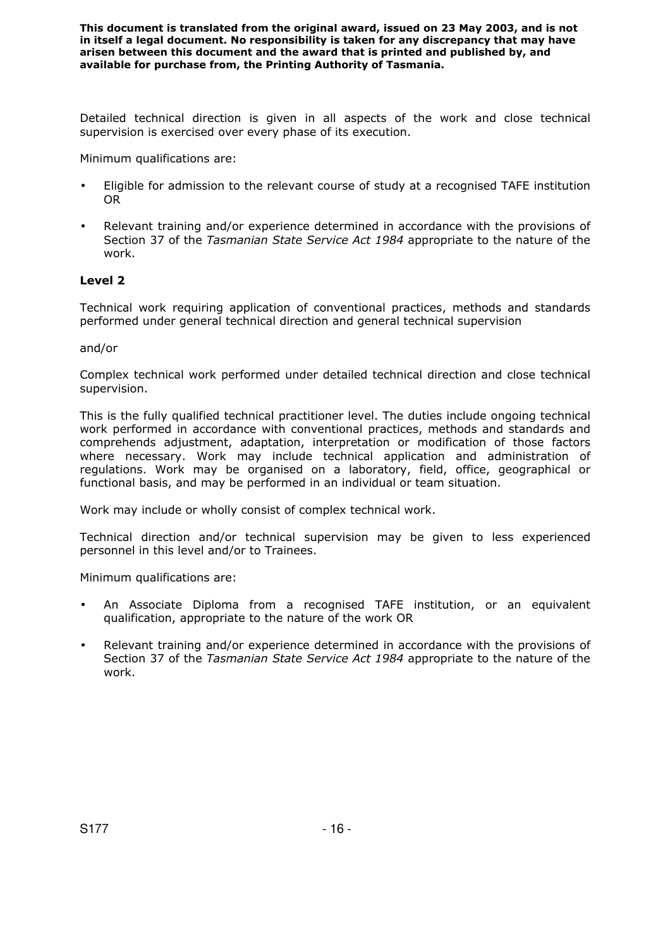Detailed technical direction is given in all aspects of the work and close technical supervision is exercised over every phase of its execution.

Minimum qualifications are:

- Eligible for admission to the relevant course of study at a recognised TAFE institution OR
- Relevant training and/or experience determined in accordance with the provisions of Section 37 of the *Tasmanian State Service Act 1984* appropriate to the nature of the work.

#### **Level 2**

Technical work requiring application of conventional practices, methods and standards performed under general technical direction and general technical supervision

and/or

Complex technical work performed under detailed technical direction and close technical supervision.

This is the fully qualified technical practitioner level. The duties include ongoing technical work performed in accordance with conventional practices, methods and standards and comprehends adjustment, adaptation, interpretation or modification of those factors where necessary. Work may include technical application and administration of regulations. Work may be organised on a laboratory, field, office, geographical or functional basis, and may be performed in an individual or team situation.

Work may include or wholly consist of complex technical work.

Technical direction and/or technical supervision may be given to less experienced personnel in this level and/or to Trainees.

Minimum qualifications are:

- An Associate Diploma from a recognised TAFE institution, or an equivalent qualification, appropriate to the nature of the work OR
- Relevant training and/or experience determined in accordance with the provisions of Section 37 of the *Tasmanian State Service Act 1984* appropriate to the nature of the work.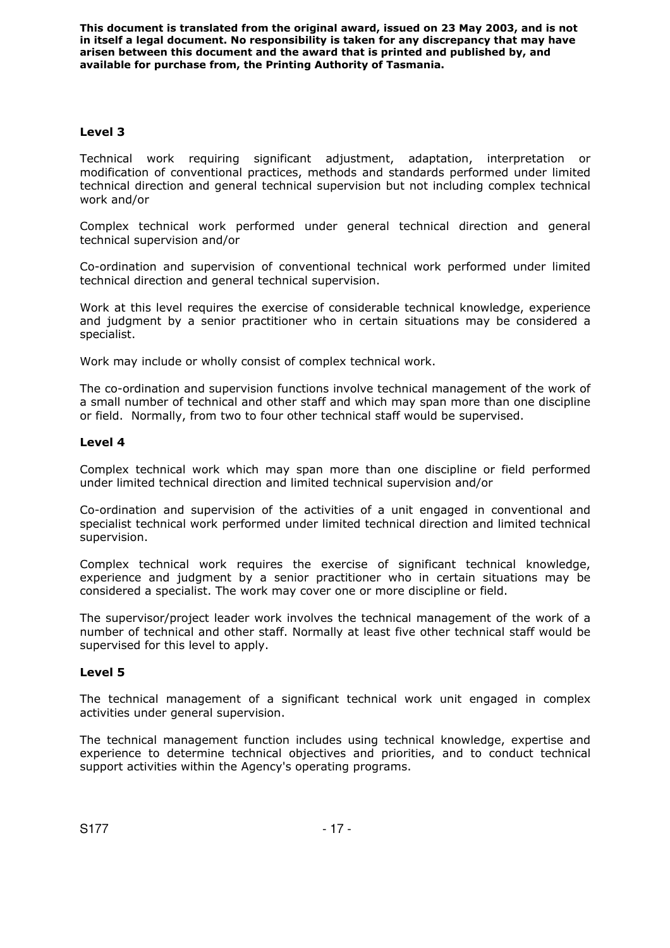# **Level 3**

Technical work requiring significant adjustment, adaptation, interpretation or modification of conventional practices, methods and standards performed under limited technical direction and general technical supervision but not including complex technical work and/or

Complex technical work performed under general technical direction and general technical supervision and/or

Co-ordination and supervision of conventional technical work performed under limited technical direction and general technical supervision.

Work at this level requires the exercise of considerable technical knowledge, experience and judgment by a senior practitioner who in certain situations may be considered a specialist.

Work may include or wholly consist of complex technical work.

The co-ordination and supervision functions involve technical management of the work of a small number of technical and other staff and which may span more than one discipline or field. Normally, from two to four other technical staff would be supervised.

# **Level 4**

Complex technical work which may span more than one discipline or field performed under limited technical direction and limited technical supervision and/or

Co-ordination and supervision of the activities of a unit engaged in conventional and specialist technical work performed under limited technical direction and limited technical supervision.

Complex technical work requires the exercise of significant technical knowledge, experience and judgment by a senior practitioner who in certain situations may be considered a specialist. The work may cover one or more discipline or field.

The supervisor/project leader work involves the technical management of the work of a number of technical and other staff. Normally at least five other technical staff would be supervised for this level to apply.

# **Level 5**

The technical management of a significant technical work unit engaged in complex activities under general supervision.

The technical management function includes using technical knowledge, expertise and experience to determine technical objectives and priorities, and to conduct technical support activities within the Agency's operating programs.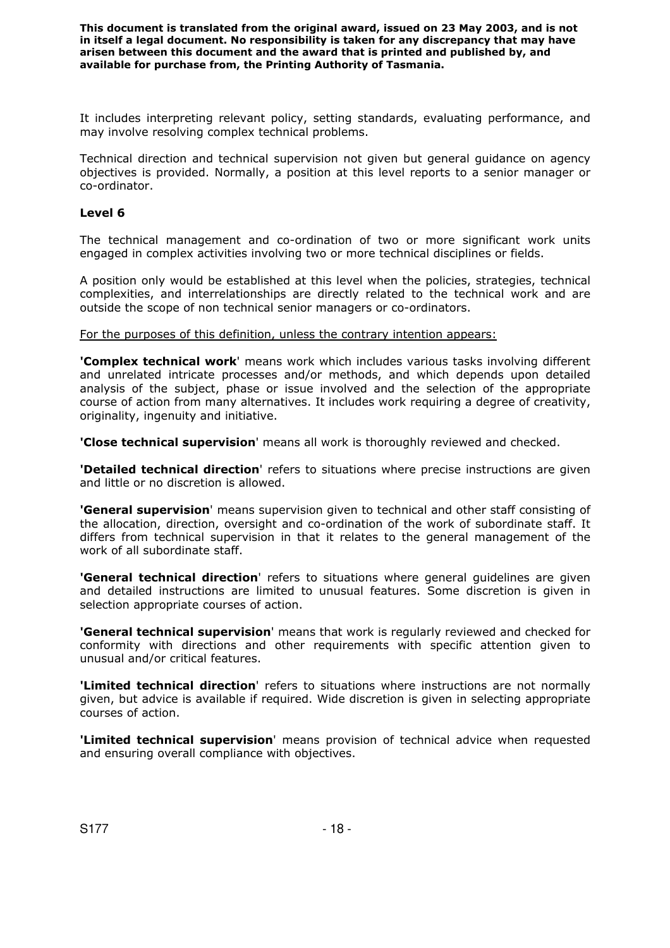It includes interpreting relevant policy, setting standards, evaluating performance, and may involve resolving complex technical problems.

Technical direction and technical supervision not given but general guidance on agency objectives is provided. Normally, a position at this level reports to a senior manager or co-ordinator.

#### **Level 6**

The technical management and co-ordination of two or more significant work units engaged in complex activities involving two or more technical disciplines or fields.

A position only would be established at this level when the policies, strategies, technical complexities, and interrelationships are directly related to the technical work and are outside the scope of non technical senior managers or co-ordinators.

For the purposes of this definition, unless the contrary intention appears:

**'Complex technical work**' means work which includes various tasks involving different and unrelated intricate processes and/or methods, and which depends upon detailed analysis of the subject, phase or issue involved and the selection of the appropriate course of action from many alternatives. It includes work requiring a degree of creativity, originality, ingenuity and initiative.

**'Close technical supervision**' means all work is thoroughly reviewed and checked.

**'Detailed technical direction**' refers to situations where precise instructions are given and little or no discretion is allowed.

**'General supervision**' means supervision given to technical and other staff consisting of the allocation, direction, oversight and co-ordination of the work of subordinate staff. It differs from technical supervision in that it relates to the general management of the work of all subordinate staff.

**'General technical direction**' refers to situations where general guidelines are given and detailed instructions are limited to unusual features. Some discretion is given in selection appropriate courses of action.

**'General technical supervision**' means that work is regularly reviewed and checked for conformity with directions and other requirements with specific attention given to unusual and/or critical features.

**'Limited technical direction**' refers to situations where instructions are not normally given, but advice is available if required. Wide discretion is given in selecting appropriate courses of action.

**'Limited technical supervision**' means provision of technical advice when requested and ensuring overall compliance with objectives.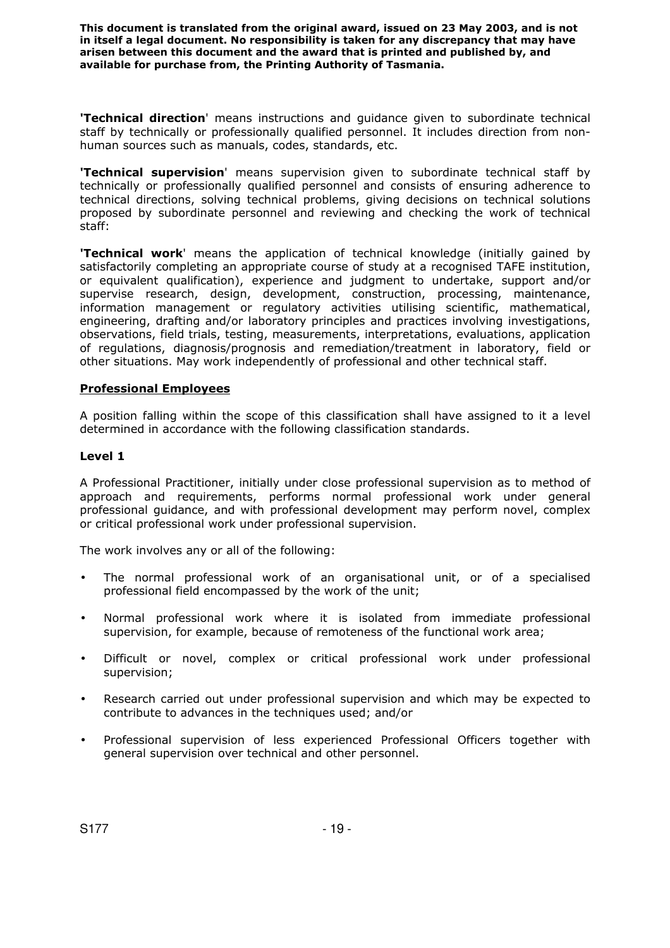**'Technical direction**' means instructions and guidance given to subordinate technical staff by technically or professionally qualified personnel. It includes direction from nonhuman sources such as manuals, codes, standards, etc.

**'Technical supervision**' means supervision given to subordinate technical staff by technically or professionally qualified personnel and consists of ensuring adherence to technical directions, solving technical problems, giving decisions on technical solutions proposed by subordinate personnel and reviewing and checking the work of technical staff:

**'Technical work**' means the application of technical knowledge (initially gained by satisfactorily completing an appropriate course of study at a recognised TAFE institution, or equivalent qualification), experience and judgment to undertake, support and/or supervise research, design, development, construction, processing, maintenance, information management or regulatory activities utilising scientific, mathematical, engineering, drafting and/or laboratory principles and practices involving investigations, observations, field trials, testing, measurements, interpretations, evaluations, application of regulations, diagnosis/prognosis and remediation/treatment in laboratory, field or other situations. May work independently of professional and other technical staff.

# **Professional Employees**

A position falling within the scope of this classification shall have assigned to it a level determined in accordance with the following classification standards.

#### **Level 1**

A Professional Practitioner, initially under close professional supervision as to method of approach and requirements, performs normal professional work under general professional guidance, and with professional development may perform novel, complex or critical professional work under professional supervision.

The work involves any or all of the following:

- The normal professional work of an organisational unit, or of a specialised professional field encompassed by the work of the unit;
- Normal professional work where it is isolated from immediate professional supervision, for example, because of remoteness of the functional work area;
- Difficult or novel, complex or critical professional work under professional supervision;
- Research carried out under professional supervision and which may be expected to contribute to advances in the techniques used; and/or
- Professional supervision of less experienced Professional Officers together with general supervision over technical and other personnel.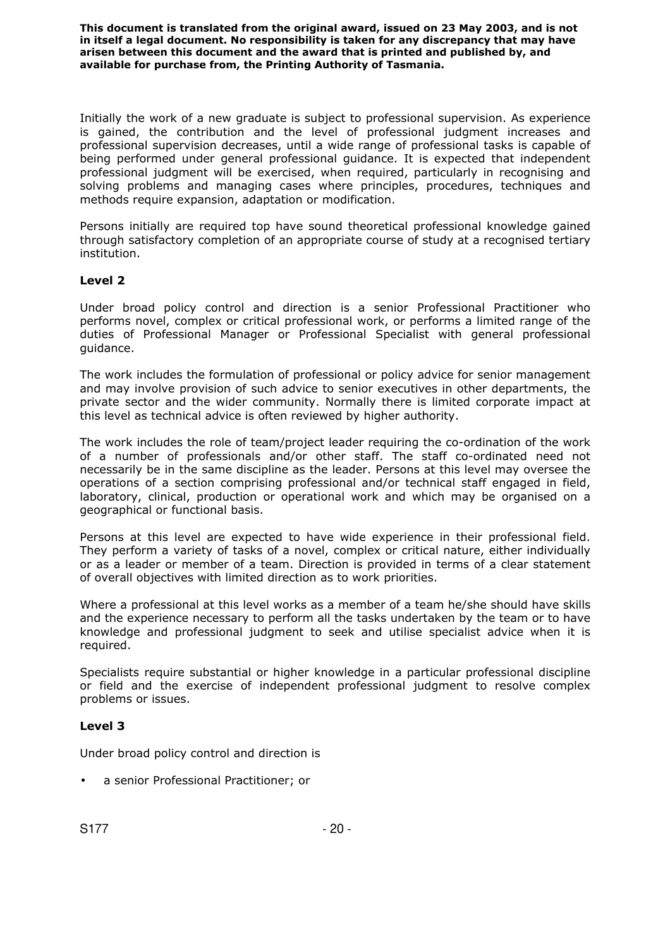Initially the work of a new graduate is subject to professional supervision. As experience is gained, the contribution and the level of professional judgment increases and professional supervision decreases, until a wide range of professional tasks is capable of being performed under general professional guidance. It is expected that independent professional judgment will be exercised, when required, particularly in recognising and solving problems and managing cases where principles, procedures, techniques and methods require expansion, adaptation or modification.

Persons initially are required top have sound theoretical professional knowledge gained through satisfactory completion of an appropriate course of study at a recognised tertiary institution.

# **Level 2**

Under broad policy control and direction is a senior Professional Practitioner who performs novel, complex or critical professional work, or performs a limited range of the duties of Professional Manager or Professional Specialist with general professional guidance.

The work includes the formulation of professional or policy advice for senior management and may involve provision of such advice to senior executives in other departments, the private sector and the wider community. Normally there is limited corporate impact at this level as technical advice is often reviewed by higher authority.

The work includes the role of team/project leader requiring the co-ordination of the work of a number of professionals and/or other staff. The staff co-ordinated need not necessarily be in the same discipline as the leader. Persons at this level may oversee the operations of a section comprising professional and/or technical staff engaged in field, laboratory, clinical, production or operational work and which may be organised on a geographical or functional basis.

Persons at this level are expected to have wide experience in their professional field. They perform a variety of tasks of a novel, complex or critical nature, either individually or as a leader or member of a team. Direction is provided in terms of a clear statement of overall objectives with limited direction as to work priorities.

Where a professional at this level works as a member of a team he/she should have skills and the experience necessary to perform all the tasks undertaken by the team or to have knowledge and professional judgment to seek and utilise specialist advice when it is required.

Specialists require substantial or higher knowledge in a particular professional discipline or field and the exercise of independent professional judgment to resolve complex problems or issues.

# **Level 3**

Under broad policy control and direction is

• a senior Professional Practitioner; or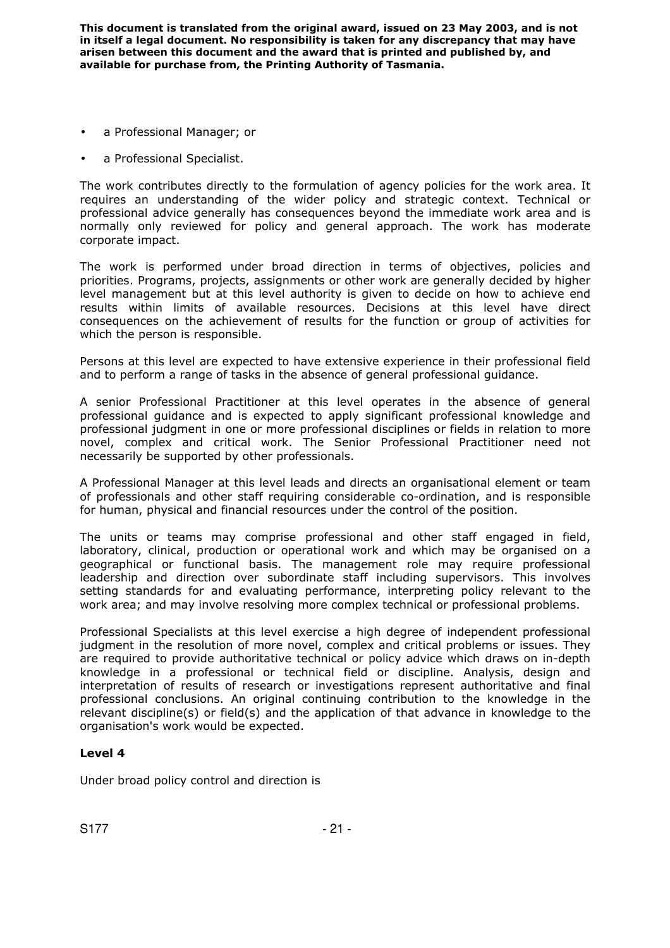- a Professional Manager; or
- a Professional Specialist.

The work contributes directly to the formulation of agency policies for the work area. It requires an understanding of the wider policy and strategic context. Technical or professional advice generally has consequences beyond the immediate work area and is normally only reviewed for policy and general approach. The work has moderate corporate impact.

The work is performed under broad direction in terms of objectives, policies and priorities. Programs, projects, assignments or other work are generally decided by higher level management but at this level authority is given to decide on how to achieve end results within limits of available resources. Decisions at this level have direct consequences on the achievement of results for the function or group of activities for which the person is responsible.

Persons at this level are expected to have extensive experience in their professional field and to perform a range of tasks in the absence of general professional guidance.

A senior Professional Practitioner at this level operates in the absence of general professional guidance and is expected to apply significant professional knowledge and professional judgment in one or more professional disciplines or fields in relation to more novel, complex and critical work. The Senior Professional Practitioner need not necessarily be supported by other professionals.

A Professional Manager at this level leads and directs an organisational element or team of professionals and other staff requiring considerable co-ordination, and is responsible for human, physical and financial resources under the control of the position.

The units or teams may comprise professional and other staff engaged in field, laboratory, clinical, production or operational work and which may be organised on a geographical or functional basis. The management role may require professional leadership and direction over subordinate staff including supervisors. This involves setting standards for and evaluating performance, interpreting policy relevant to the work area; and may involve resolving more complex technical or professional problems.

Professional Specialists at this level exercise a high degree of independent professional judgment in the resolution of more novel, complex and critical problems or issues. They are required to provide authoritative technical or policy advice which draws on in-depth knowledge in a professional or technical field or discipline. Analysis, design and interpretation of results of research or investigations represent authoritative and final professional conclusions. An original continuing contribution to the knowledge in the relevant discipline(s) or field(s) and the application of that advance in knowledge to the organisation's work would be expected.

# **Level 4**

Under broad policy control and direction is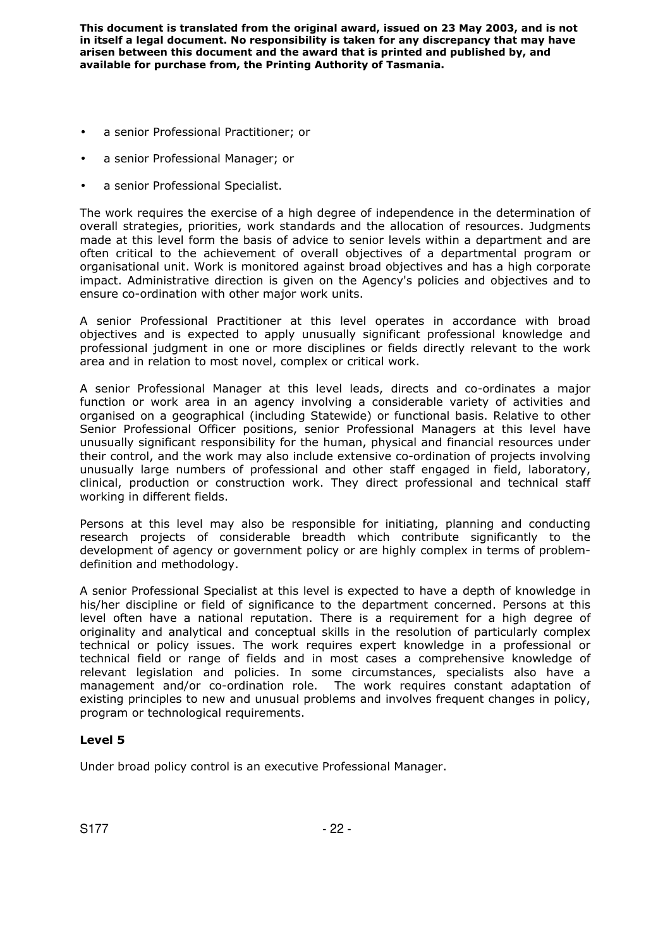- a senior Professional Practitioner; or
- a senior Professional Manager; or
- a senior Professional Specialist.

The work requires the exercise of a high degree of independence in the determination of overall strategies, priorities, work standards and the allocation of resources. Judgments made at this level form the basis of advice to senior levels within a department and are often critical to the achievement of overall objectives of a departmental program or organisational unit. Work is monitored against broad objectives and has a high corporate impact. Administrative direction is given on the Agency's policies and objectives and to ensure co-ordination with other major work units.

A senior Professional Practitioner at this level operates in accordance with broad objectives and is expected to apply unusually significant professional knowledge and professional judgment in one or more disciplines or fields directly relevant to the work area and in relation to most novel, complex or critical work.

A senior Professional Manager at this level leads, directs and co-ordinates a major function or work area in an agency involving a considerable variety of activities and organised on a geographical (including Statewide) or functional basis. Relative to other Senior Professional Officer positions, senior Professional Managers at this level have unusually significant responsibility for the human, physical and financial resources under their control, and the work may also include extensive co-ordination of projects involving unusually large numbers of professional and other staff engaged in field, laboratory, clinical, production or construction work. They direct professional and technical staff working in different fields.

Persons at this level may also be responsible for initiating, planning and conducting research projects of considerable breadth which contribute significantly to the development of agency or government policy or are highly complex in terms of problemdefinition and methodology.

A senior Professional Specialist at this level is expected to have a depth of knowledge in his/her discipline or field of significance to the department concerned. Persons at this level often have a national reputation. There is a requirement for a high degree of originality and analytical and conceptual skills in the resolution of particularly complex technical or policy issues. The work requires expert knowledge in a professional or technical field or range of fields and in most cases a comprehensive knowledge of relevant legislation and policies. In some circumstances, specialists also have a management and/or co-ordination role. The work requires constant adaptation of existing principles to new and unusual problems and involves frequent changes in policy, program or technological requirements.

# **Level 5**

Under broad policy control is an executive Professional Manager.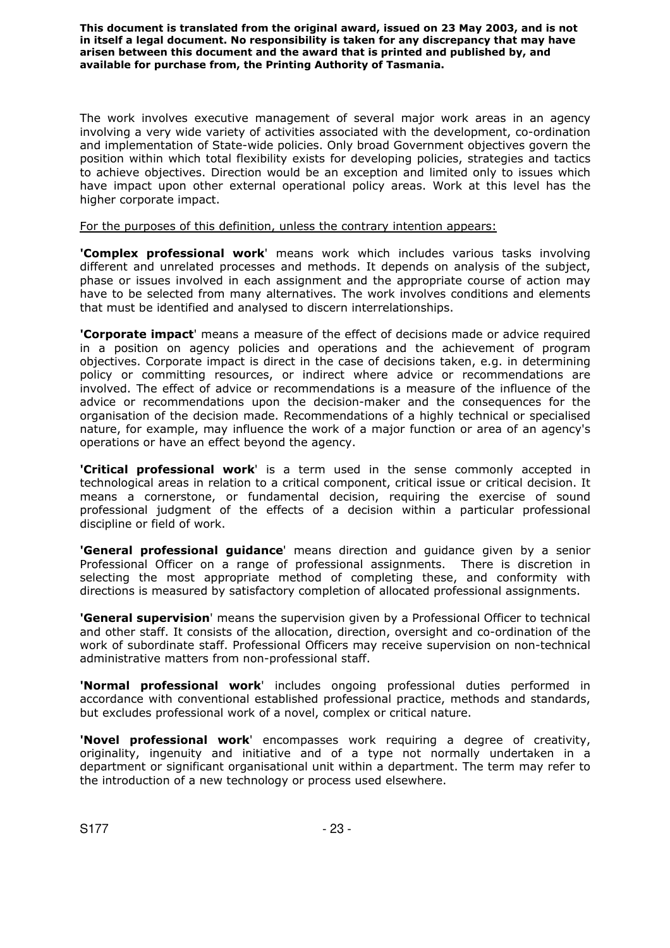The work involves executive management of several major work areas in an agency involving a very wide variety of activities associated with the development, co-ordination and implementation of State-wide policies. Only broad Government objectives govern the position within which total flexibility exists for developing policies, strategies and tactics to achieve objectives. Direction would be an exception and limited only to issues which have impact upon other external operational policy areas. Work at this level has the higher corporate impact.

For the purposes of this definition, unless the contrary intention appears:

**'Complex professional work**' means work which includes various tasks involving different and unrelated processes and methods. It depends on analysis of the subject, phase or issues involved in each assignment and the appropriate course of action may have to be selected from many alternatives. The work involves conditions and elements that must be identified and analysed to discern interrelationships.

**'Corporate impact**' means a measure of the effect of decisions made or advice required in a position on agency policies and operations and the achievement of program objectives. Corporate impact is direct in the case of decisions taken, e.g. in determining policy or committing resources, or indirect where advice or recommendations are involved. The effect of advice or recommendations is a measure of the influence of the advice or recommendations upon the decision-maker and the consequences for the organisation of the decision made. Recommendations of a highly technical or specialised nature, for example, may influence the work of a major function or area of an agency's operations or have an effect beyond the agency.

**'Critical professional work**' is a term used in the sense commonly accepted in technological areas in relation to a critical component, critical issue or critical decision. It means a cornerstone, or fundamental decision, requiring the exercise of sound professional judgment of the effects of a decision within a particular professional discipline or field of work.

**'General professional guidance**' means direction and guidance given by a senior Professional Officer on a range of professional assignments. There is discretion in selecting the most appropriate method of completing these, and conformity with directions is measured by satisfactory completion of allocated professional assignments.

**'General supervision**' means the supervision given by a Professional Officer to technical and other staff. It consists of the allocation, direction, oversight and co-ordination of the work of subordinate staff. Professional Officers may receive supervision on non-technical administrative matters from non-professional staff.

**'Normal professional work**' includes ongoing professional duties performed in accordance with conventional established professional practice, methods and standards, but excludes professional work of a novel, complex or critical nature.

**'Novel professional work**' encompasses work requiring a degree of creativity, originality, ingenuity and initiative and of a type not normally undertaken in a department or significant organisational unit within a department. The term may refer to the introduction of a new technology or process used elsewhere.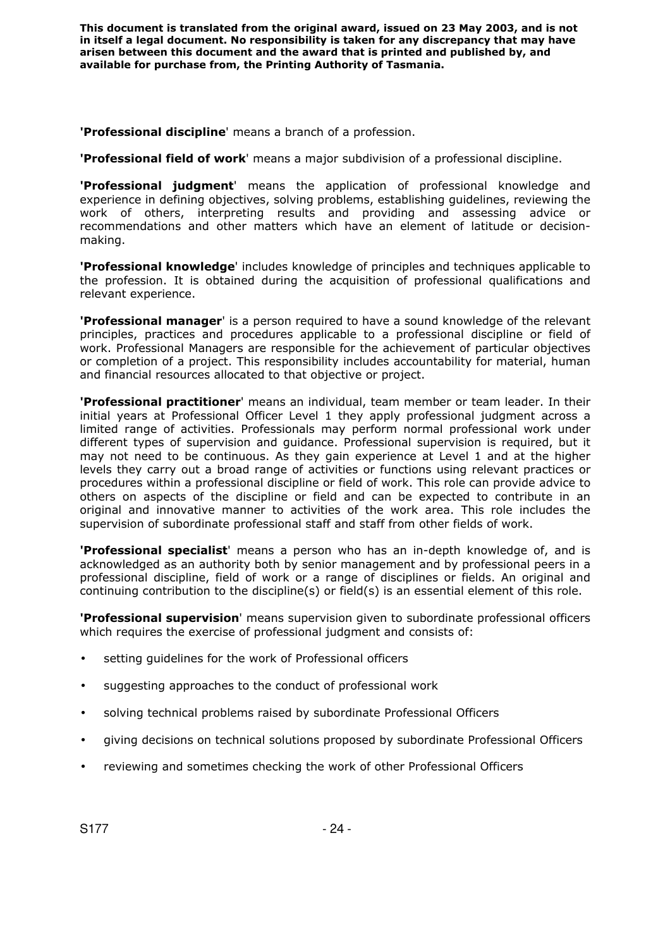**'Professional discipline**' means a branch of a profession.

**'Professional field of work**' means a major subdivision of a professional discipline.

**'Professional judgment**' means the application of professional knowledge and experience in defining objectives, solving problems, establishing guidelines, reviewing the work of others, interpreting results and providing and assessing advice or recommendations and other matters which have an element of latitude or decisionmaking.

**'Professional knowledge**' includes knowledge of principles and techniques applicable to the profession. It is obtained during the acquisition of professional qualifications and relevant experience.

**'Professional manager**' is a person required to have a sound knowledge of the relevant principles, practices and procedures applicable to a professional discipline or field of work. Professional Managers are responsible for the achievement of particular objectives or completion of a project. This responsibility includes accountability for material, human and financial resources allocated to that objective or project.

**'Professional practitioner**' means an individual, team member or team leader. In their initial years at Professional Officer Level 1 they apply professional judgment across a limited range of activities. Professionals may perform normal professional work under different types of supervision and guidance. Professional supervision is required, but it may not need to be continuous. As they gain experience at Level 1 and at the higher levels they carry out a broad range of activities or functions using relevant practices or procedures within a professional discipline or field of work. This role can provide advice to others on aspects of the discipline or field and can be expected to contribute in an original and innovative manner to activities of the work area. This role includes the supervision of subordinate professional staff and staff from other fields of work.

**'Professional specialist**' means a person who has an in-depth knowledge of, and is acknowledged as an authority both by senior management and by professional peers in a professional discipline, field of work or a range of disciplines or fields. An original and continuing contribution to the discipline(s) or field(s) is an essential element of this role.

**'Professional supervision**' means supervision given to subordinate professional officers which requires the exercise of professional judgment and consists of:

- setting guidelines for the work of Professional officers
- suggesting approaches to the conduct of professional work
- solving technical problems raised by subordinate Professional Officers
- giving decisions on technical solutions proposed by subordinate Professional Officers
- reviewing and sometimes checking the work of other Professional Officers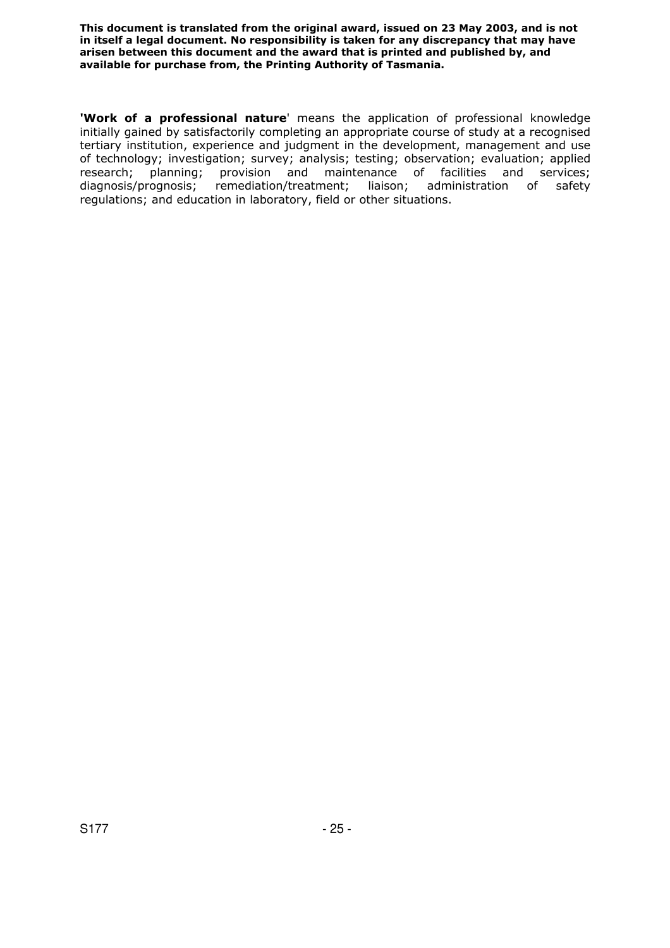**'Work of a professional nature**' means the application of professional knowledge initially gained by satisfactorily completing an appropriate course of study at a recognised tertiary institution, experience and judgment in the development, management and use of technology; investigation; survey; analysis; testing; observation; evaluation; applied research; planning; provision and maintenance of facilities and services; diagnosis/prognosis; remediation/treatment; liaison; administration of safety regulations; and education in laboratory, field or other situations.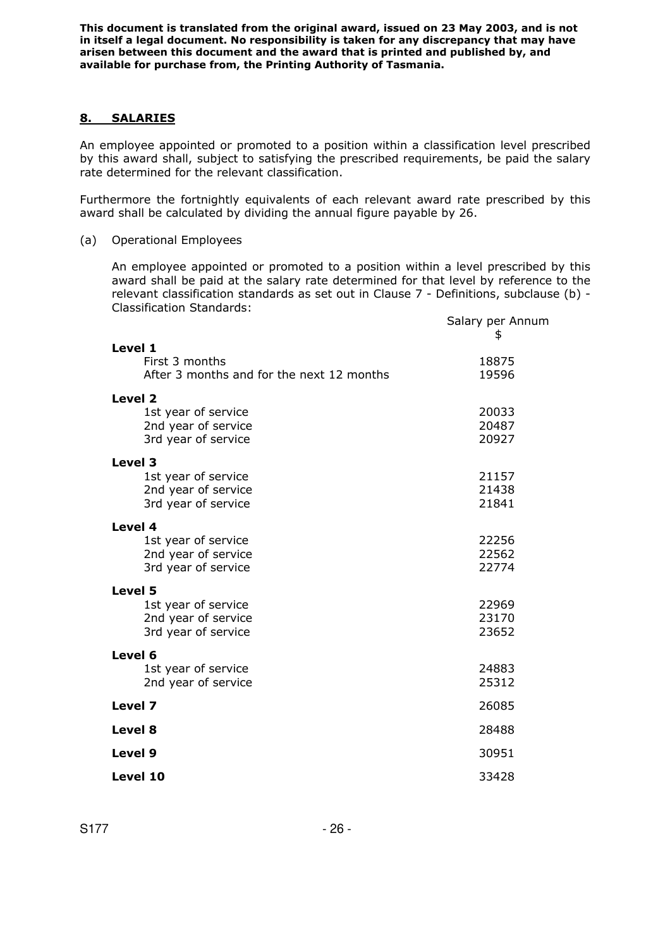#### **8. SALARIES**

An employee appointed or promoted to a position within a classification level prescribed by this award shall, subject to satisfying the prescribed requirements, be paid the salary rate determined for the relevant classification.

Furthermore the fortnightly equivalents of each relevant award rate prescribed by this award shall be calculated by dividing the annual figure payable by 26.

### (a) Operational Employees

An employee appointed or promoted to a position within a level prescribed by this award shall be paid at the salary rate determined for that level by reference to the relevant classification standards as set out in Clause 7 - Definitions, subclause (b) - Classification Standards:

|                                           | Salary per Annum<br>\$ |
|-------------------------------------------|------------------------|
| Level 1                                   |                        |
| First 3 months                            | 18875                  |
| After 3 months and for the next 12 months | 19596                  |
| Level 2                                   |                        |
| 1st year of service                       | 20033                  |
| 2nd year of service                       | 20487                  |
| 3rd year of service                       | 20927                  |
| Level 3                                   |                        |
| 1st year of service                       | 21157                  |
| 2nd year of service                       | 21438                  |
| 3rd year of service                       | 21841                  |
| Level 4                                   |                        |
| 1st year of service                       | 22256                  |
| 2nd year of service                       | 22562                  |
| 3rd year of service                       | 22774                  |
| Level 5                                   |                        |
| 1st year of service                       | 22969                  |
| 2nd year of service                       | 23170                  |
| 3rd year of service                       | 23652                  |
| Level 6                                   |                        |
| 1st year of service                       | 24883                  |
| 2nd year of service                       | 25312                  |
| Level 7                                   | 26085                  |
| Level 8                                   | 28488                  |
| Level 9                                   | 30951                  |
| Level 10                                  | 33428                  |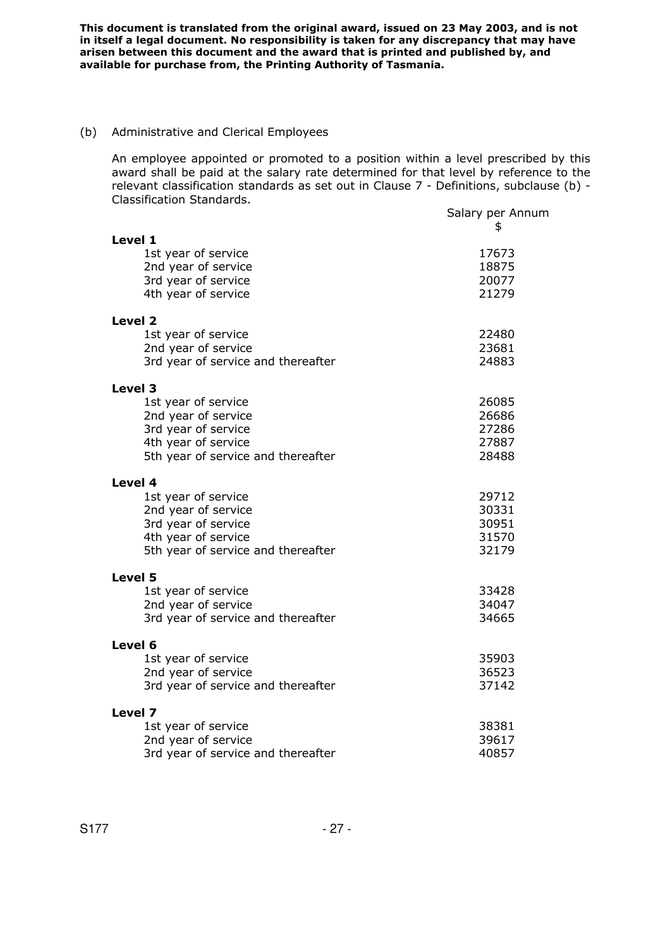#### (b) Administrative and Clerical Employees

An employee appointed or promoted to a position within a level prescribed by this award shall be paid at the salary rate determined for that level by reference to the relevant classification standards as set out in Clause 7 - Definitions, subclause (b) - Classification Standards.

|                                    | Salary per Annum<br>\$ |
|------------------------------------|------------------------|
| Level 1                            |                        |
| 1st year of service                | 17673                  |
| 2nd year of service                | 18875                  |
| 3rd year of service                | 20077                  |
| 4th year of service                | 21279                  |
| Level <sub>2</sub>                 |                        |
| 1st year of service                | 22480                  |
| 2nd year of service                | 23681                  |
| 3rd year of service and thereafter | 24883                  |
| Level 3                            |                        |
| 1st year of service                | 26085                  |
| 2nd year of service                | 26686                  |
| 3rd year of service                | 27286                  |
| 4th year of service                | 27887                  |
| 5th year of service and thereafter | 28488                  |
| Level 4                            |                        |
| 1st year of service                | 29712                  |
| 2nd year of service                | 30331                  |
| 3rd year of service                | 30951                  |
| 4th year of service                | 31570                  |
| 5th year of service and thereafter | 32179                  |
| Level 5                            |                        |
| 1st year of service                | 33428                  |
| 2nd year of service                | 34047                  |
| 3rd year of service and thereafter | 34665                  |
| Level 6                            |                        |
| 1st year of service                | 35903                  |
| 2nd year of service                | 36523                  |
| 3rd year of service and thereafter | 37142                  |
| Level 7                            |                        |
| 1st year of service                | 38381                  |
| 2nd year of service                | 39617                  |
| 3rd year of service and thereafter | 40857                  |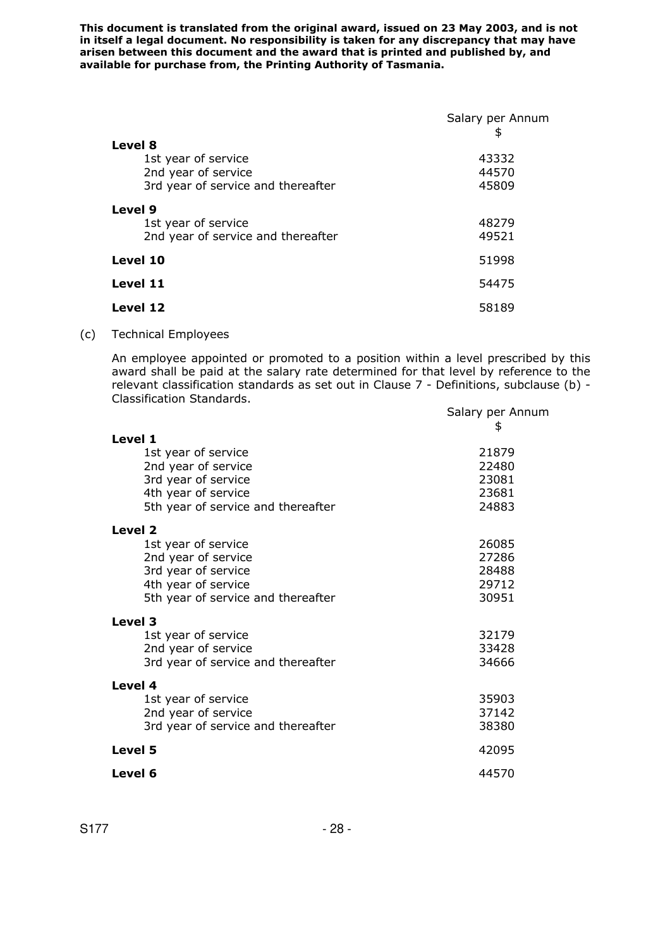|                                                                      | Salary per Annum<br>\$ |
|----------------------------------------------------------------------|------------------------|
| Level 8<br>1st year of service<br>2nd year of service                | 43332<br>44570         |
| 3rd year of service and thereafter                                   | 45809                  |
| Level 9<br>1st year of service<br>2nd year of service and thereafter | 48279<br>49521         |
| Level 10                                                             | 51998                  |
| Level 11                                                             | 54475                  |
| Level 12                                                             | 58189                  |

(c) Technical Employees

An employee appointed or promoted to a position within a level prescribed by this award shall be paid at the salary rate determined for that level by reference to the relevant classification standards as set out in Clause 7 - Definitions, subclause (b) - Classification Standards.

|                                    | Salary per Annum |
|------------------------------------|------------------|
| Level 1                            | \$               |
| 1st year of service                | 21879            |
| 2nd year of service                | 22480            |
| 3rd year of service                | 23081            |
| 4th year of service                | 23681            |
| 5th year of service and thereafter | 24883            |
| Level 2                            |                  |
| 1st year of service                | 26085            |
| 2nd year of service                | 27286            |
| 3rd year of service                | 28488            |
| 4th year of service                | 29712            |
| 5th year of service and thereafter | 30951            |
| Level 3                            |                  |
| 1st year of service                | 32179            |
| 2nd year of service                | 33428            |
| 3rd year of service and thereafter | 34666            |
| Level 4                            |                  |
| 1st year of service                | 35903            |
| 2nd year of service                | 37142            |
| 3rd year of service and thereafter | 38380            |
| Level 5                            | 42095            |
| Level 6                            | 44570            |
|                                    |                  |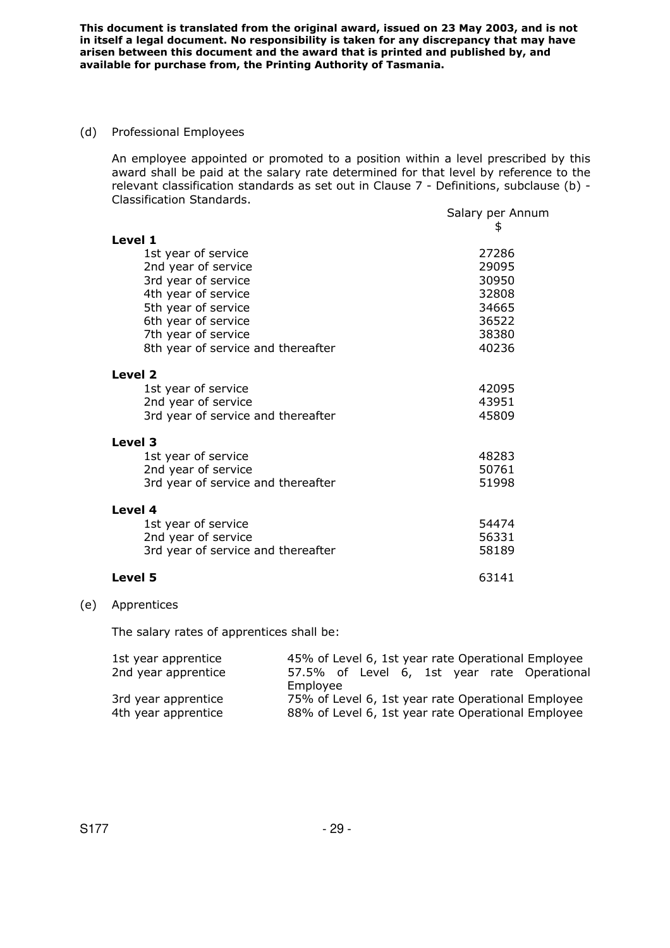(d) Professional Employees

An employee appointed or promoted to a position within a level prescribed by this award shall be paid at the salary rate determined for that level by reference to the relevant classification standards as set out in Clause 7 - Definitions, subclause (b) - Classification Standards.

|                                    | Salary per Annum<br>\$ |
|------------------------------------|------------------------|
| Level 1                            |                        |
| 1st year of service                | 27286                  |
| 2nd year of service                | 29095                  |
| 3rd year of service                | 30950                  |
| 4th year of service                | 32808                  |
| 5th year of service                | 34665                  |
| 6th year of service                | 36522                  |
| 7th year of service                | 38380                  |
| 8th year of service and thereafter | 40236                  |
| Level 2                            |                        |
| 1st year of service                | 42095                  |
| 2nd year of service                | 43951                  |
| 3rd year of service and thereafter | 45809                  |
| Level 3                            |                        |
| 1st year of service                | 48283                  |
| 2nd year of service                | 50761                  |
| 3rd year of service and thereafter | 51998                  |
| Level 4                            |                        |
| 1st year of service                | 54474                  |
| 2nd year of service                | 56331                  |
| 3rd year of service and thereafter | 58189                  |
| Level 5                            | 63141                  |

#### (e) Apprentices

The salary rates of apprentices shall be:

| 1st year apprentice | 45% of Level 6, 1st year rate Operational Employee |
|---------------------|----------------------------------------------------|
| 2nd year apprentice | 57.5% of Level 6, 1st year rate Operational        |
|                     | Employee                                           |
| 3rd year apprentice | 75% of Level 6, 1st year rate Operational Employee |
| 4th year apprentice | 88% of Level 6, 1st year rate Operational Employee |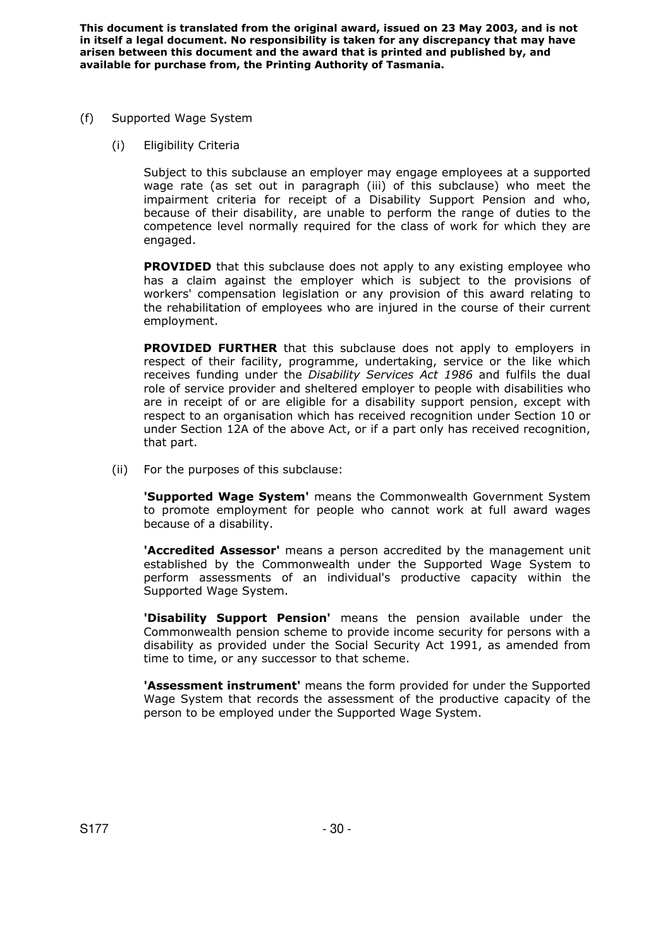- (f) Supported Wage System
	- (i) Eligibility Criteria

Subject to this subclause an employer may engage employees at a supported wage rate (as set out in paragraph (iii) of this subclause) who meet the impairment criteria for receipt of a Disability Support Pension and who, because of their disability, are unable to perform the range of duties to the competence level normally required for the class of work for which they are engaged.

**PROVIDED** that this subclause does not apply to any existing employee who has a claim against the employer which is subject to the provisions of workers' compensation legislation or any provision of this award relating to the rehabilitation of employees who are injured in the course of their current employment.

**PROVIDED FURTHER** that this subclause does not apply to employers in respect of their facility, programme, undertaking, service or the like which receives funding under the *Disability Services Act 1986* and fulfils the dual role of service provider and sheltered employer to people with disabilities who are in receipt of or are eligible for a disability support pension, except with respect to an organisation which has received recognition under Section 10 or under Section 12A of the above Act, or if a part only has received recognition, that part.

(ii) For the purposes of this subclause:

 **'Supported Wage System'** means the Commonwealth Government System to promote employment for people who cannot work at full award wages because of a disability.

 **'Accredited Assessor'** means a person accredited by the management unit established by the Commonwealth under the Supported Wage System to perform assessments of an individual's productive capacity within the Supported Wage System.

 **'Disability Support Pension'** means the pension available under the Commonwealth pension scheme to provide income security for persons with a disability as provided under the Social Security Act 1991, as amended from time to time, or any successor to that scheme.

 **'Assessment instrument'** means the form provided for under the Supported Wage System that records the assessment of the productive capacity of the person to be employed under the Supported Wage System.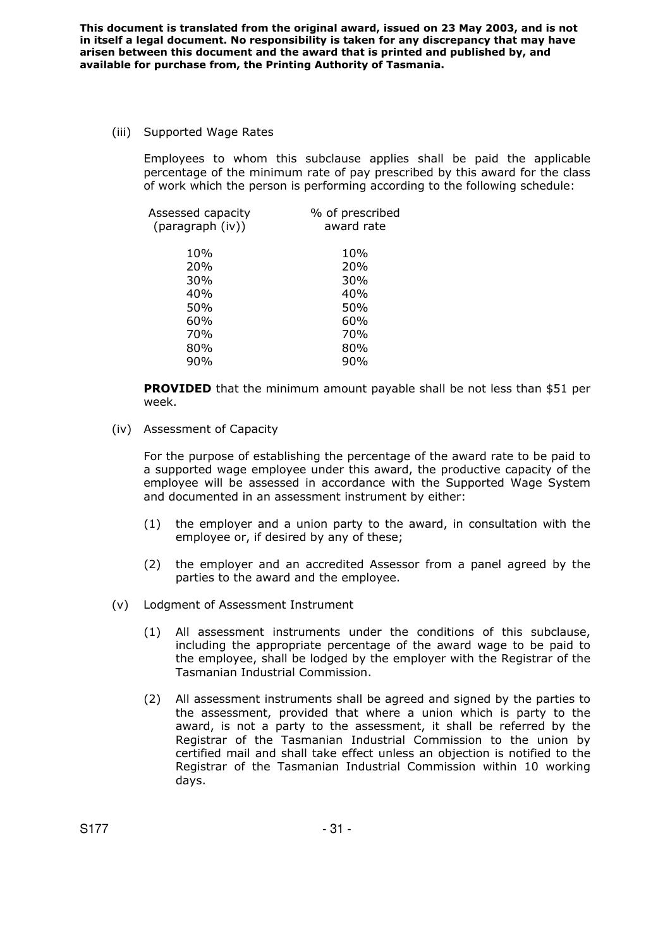(iii) Supported Wage Rates

Employees to whom this subclause applies shall be paid the applicable percentage of the minimum rate of pay prescribed by this award for the class of work which the person is performing according to the following schedule:

| Assessed capacity<br>(paragraph (iv)) | % of prescribed<br>award rate |
|---------------------------------------|-------------------------------|
| 10%                                   | 10%                           |
| 20%                                   | 20%                           |
| 30%                                   | 30%                           |
| 40%                                   | 40%                           |
| 50%                                   | 50%                           |
| 60%                                   | 60%                           |
| 70%                                   | 70%                           |
| 80%                                   | 80%                           |
| 90%                                   | 90%                           |
|                                       |                               |

**PROVIDED** that the minimum amount payable shall be not less than \$51 per week.

(iv) Assessment of Capacity

For the purpose of establishing the percentage of the award rate to be paid to a supported wage employee under this award, the productive capacity of the employee will be assessed in accordance with the Supported Wage System and documented in an assessment instrument by either:

- (1) the employer and a union party to the award, in consultation with the employee or, if desired by any of these;
- (2) the employer and an accredited Assessor from a panel agreed by the parties to the award and the employee.
- (v) Lodgment of Assessment Instrument
	- (1) All assessment instruments under the conditions of this subclause, including the appropriate percentage of the award wage to be paid to the employee, shall be lodged by the employer with the Registrar of the Tasmanian Industrial Commission.
	- (2) All assessment instruments shall be agreed and signed by the parties to the assessment, provided that where a union which is party to the award, is not a party to the assessment, it shall be referred by the Registrar of the Tasmanian Industrial Commission to the union by certified mail and shall take effect unless an objection is notified to the Registrar of the Tasmanian Industrial Commission within 10 working days.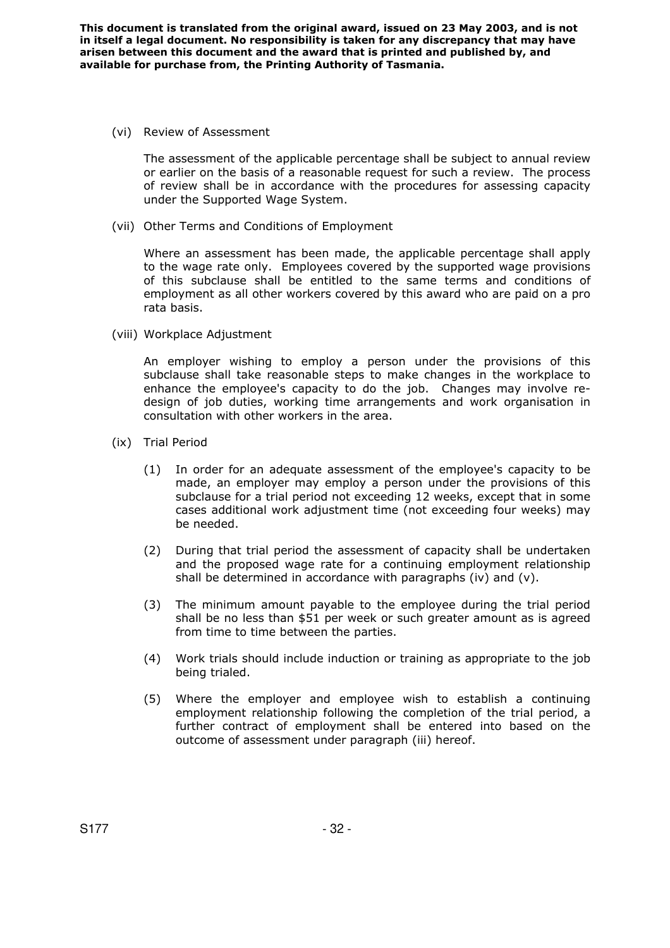(vi) Review of Assessment

The assessment of the applicable percentage shall be subject to annual review or earlier on the basis of a reasonable request for such a review. The process of review shall be in accordance with the procedures for assessing capacity under the Supported Wage System.

(vii) Other Terms and Conditions of Employment

Where an assessment has been made, the applicable percentage shall apply to the wage rate only. Employees covered by the supported wage provisions of this subclause shall be entitled to the same terms and conditions of employment as all other workers covered by this award who are paid on a pro rata basis.

(viii) Workplace Adjustment

An employer wishing to employ a person under the provisions of this subclause shall take reasonable steps to make changes in the workplace to enhance the employee's capacity to do the job. Changes may involve redesign of job duties, working time arrangements and work organisation in consultation with other workers in the area.

- (ix) Trial Period
	- (1) In order for an adequate assessment of the employee's capacity to be made, an employer may employ a person under the provisions of this subclause for a trial period not exceeding 12 weeks, except that in some cases additional work adjustment time (not exceeding four weeks) may be needed.
	- (2) During that trial period the assessment of capacity shall be undertaken and the proposed wage rate for a continuing employment relationship shall be determined in accordance with paragraphs (iv) and (v).
	- (3) The minimum amount payable to the employee during the trial period shall be no less than \$51 per week or such greater amount as is agreed from time to time between the parties.
	- (4) Work trials should include induction or training as appropriate to the job being trialed.
	- (5) Where the employer and employee wish to establish a continuing employment relationship following the completion of the trial period, a further contract of employment shall be entered into based on the outcome of assessment under paragraph (iii) hereof.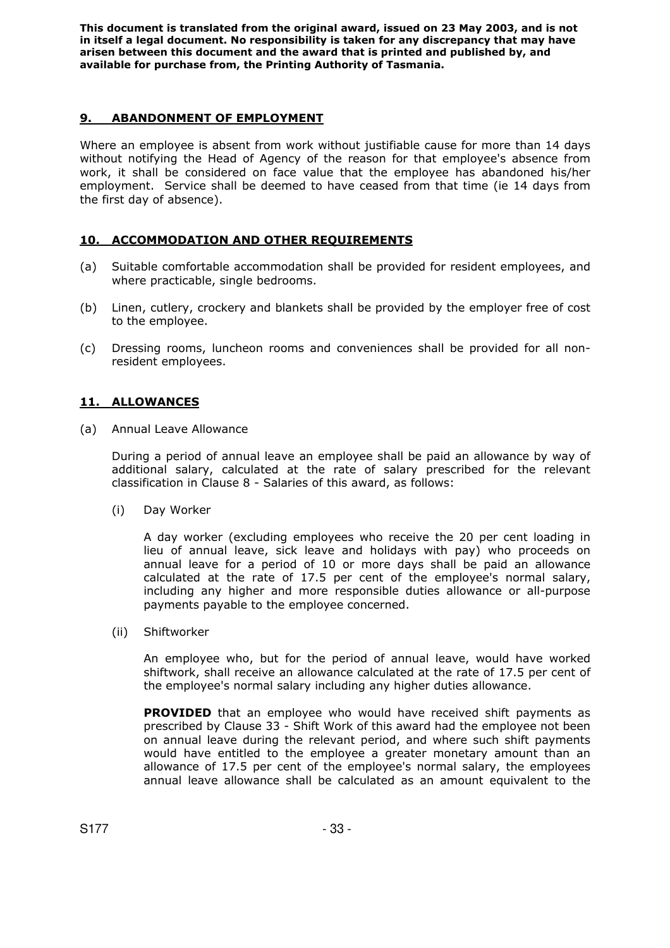# **9. ABANDONMENT OF EMPLOYMENT**

Where an employee is absent from work without justifiable cause for more than 14 days without notifying the Head of Agency of the reason for that employee's absence from work, it shall be considered on face value that the employee has abandoned his/her employment. Service shall be deemed to have ceased from that time (ie 14 days from the first day of absence).

# **10. ACCOMMODATION AND OTHER REQUIREMENTS**

- (a) Suitable comfortable accommodation shall be provided for resident employees, and where practicable, single bedrooms.
- (b) Linen, cutlery, crockery and blankets shall be provided by the employer free of cost to the employee.
- (c) Dressing rooms, luncheon rooms and conveniences shall be provided for all nonresident employees.

# **11. ALLOWANCES**

(a) Annual Leave Allowance

During a period of annual leave an employee shall be paid an allowance by way of additional salary, calculated at the rate of salary prescribed for the relevant classification in Clause 8 - Salaries of this award, as follows:

(i) Day Worker

A day worker (excluding employees who receive the 20 per cent loading in lieu of annual leave, sick leave and holidays with pay) who proceeds on annual leave for a period of 10 or more days shall be paid an allowance calculated at the rate of 17.5 per cent of the employee's normal salary, including any higher and more responsible duties allowance or all-purpose payments payable to the employee concerned.

(ii) Shiftworker

An employee who, but for the period of annual leave, would have worked shiftwork, shall receive an allowance calculated at the rate of 17.5 per cent of the employee's normal salary including any higher duties allowance.

**PROVIDED** that an employee who would have received shift payments as prescribed by Clause 33 - Shift Work of this award had the employee not been on annual leave during the relevant period, and where such shift payments would have entitled to the employee a greater monetary amount than an allowance of 17.5 per cent of the employee's normal salary, the employees annual leave allowance shall be calculated as an amount equivalent to the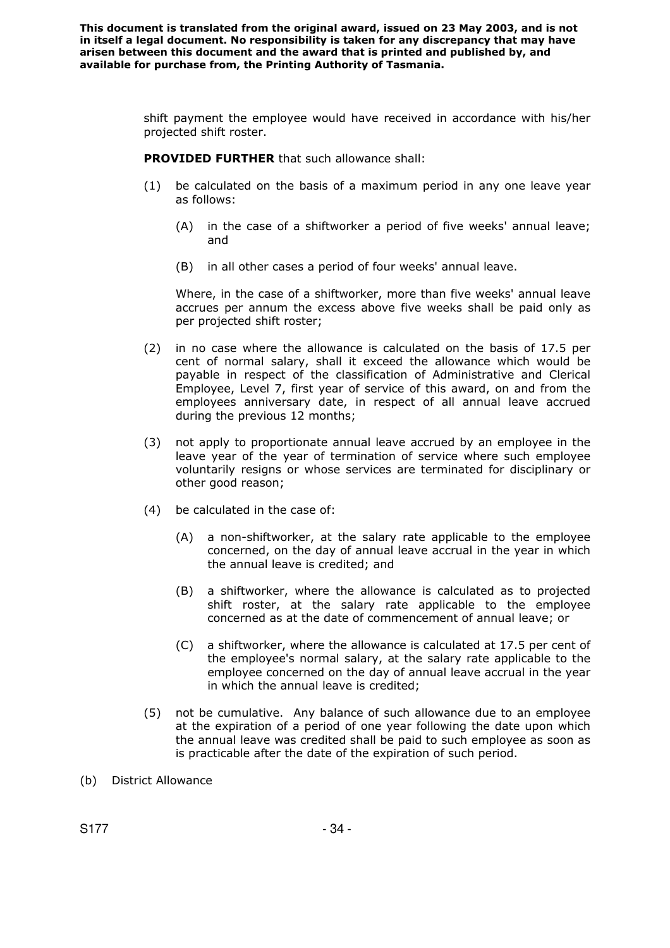> shift payment the employee would have received in accordance with his/her projected shift roster.

**PROVIDED FURTHER** that such allowance shall:

- (1) be calculated on the basis of a maximum period in any one leave year as follows:
	- (A) in the case of a shiftworker a period of five weeks' annual leave; and
	- (B) in all other cases a period of four weeks' annual leave.

Where, in the case of a shiftworker, more than five weeks' annual leave accrues per annum the excess above five weeks shall be paid only as per projected shift roster;

- (2) in no case where the allowance is calculated on the basis of 17.5 per cent of normal salary, shall it exceed the allowance which would be payable in respect of the classification of Administrative and Clerical Employee, Level 7, first year of service of this award, on and from the employees anniversary date, in respect of all annual leave accrued during the previous 12 months;
- (3) not apply to proportionate annual leave accrued by an employee in the leave year of the year of termination of service where such employee voluntarily resigns or whose services are terminated for disciplinary or other good reason;
- (4) be calculated in the case of:
	- (A) a non-shiftworker, at the salary rate applicable to the employee concerned, on the day of annual leave accrual in the year in which the annual leave is credited; and
	- (B) a shiftworker, where the allowance is calculated as to projected shift roster, at the salary rate applicable to the employee concerned as at the date of commencement of annual leave; or
	- (C) a shiftworker, where the allowance is calculated at 17.5 per cent of the employee's normal salary, at the salary rate applicable to the employee concerned on the day of annual leave accrual in the year in which the annual leave is credited;
- (5) not be cumulative. Any balance of such allowance due to an employee at the expiration of a period of one year following the date upon which the annual leave was credited shall be paid to such employee as soon as is practicable after the date of the expiration of such period.
- (b) District Allowance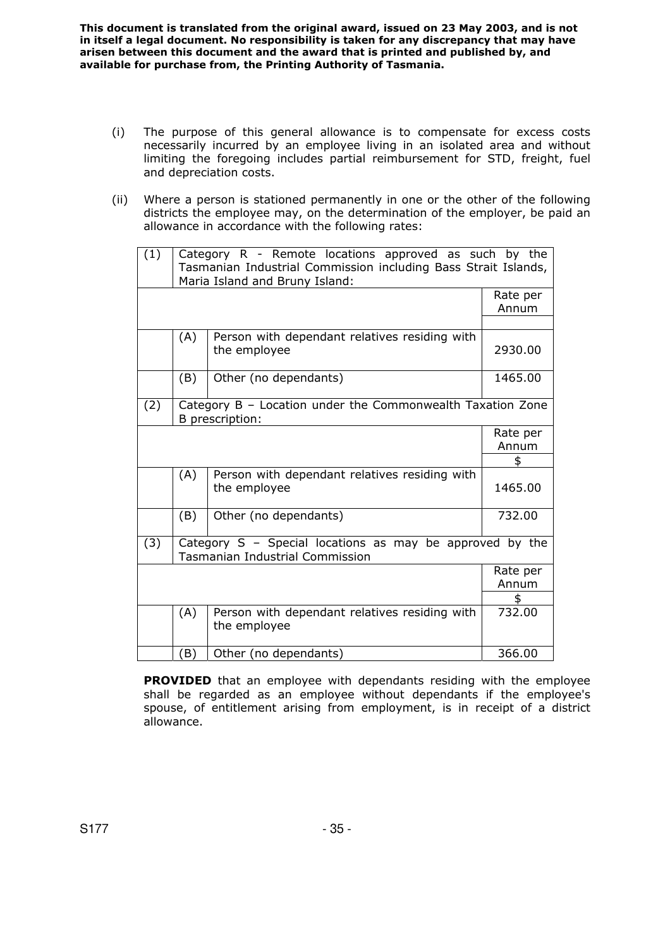- (i) The purpose of this general allowance is to compensate for excess costs necessarily incurred by an employee living in an isolated area and without limiting the foregoing includes partial reimbursement for STD, freight, fuel and depreciation costs.
- (ii) Where a person is stationed permanently in one or the other of the following districts the employee may, on the determination of the employer, be paid an allowance in accordance with the following rates:

| (1) |                                                                                                    | Category R - Remote locations approved as such by the<br>Tasmanian Industrial Commission including Bass Strait Islands,<br>Maria Island and Bruny Island: |                   |  |
|-----|----------------------------------------------------------------------------------------------------|-----------------------------------------------------------------------------------------------------------------------------------------------------------|-------------------|--|
|     |                                                                                                    |                                                                                                                                                           | Rate per<br>Annum |  |
|     | (A)                                                                                                | Person with dependant relatives residing with<br>the employee                                                                                             | 2930.00           |  |
|     | (B)                                                                                                | Other (no dependants)                                                                                                                                     | 1465.00           |  |
| (2) | Category B - Location under the Commonwealth Taxation Zone<br>B prescription:                      |                                                                                                                                                           |                   |  |
|     |                                                                                                    |                                                                                                                                                           | Rate per<br>Annum |  |
|     |                                                                                                    |                                                                                                                                                           | \$                |  |
|     | (A)                                                                                                | Person with dependant relatives residing with<br>the employee                                                                                             | 1465.00           |  |
|     | (B)                                                                                                | Other (no dependants)                                                                                                                                     | 732.00            |  |
| (3) | Category S - Special locations as may be approved by the<br><b>Tasmanian Industrial Commission</b> |                                                                                                                                                           |                   |  |
|     |                                                                                                    |                                                                                                                                                           | Rate per          |  |
|     |                                                                                                    |                                                                                                                                                           | Annum             |  |
|     |                                                                                                    |                                                                                                                                                           | \$                |  |
|     | (A)                                                                                                | Person with dependant relatives residing with<br>the employee                                                                                             | 732.00            |  |
|     | (B)                                                                                                | Other (no dependants)                                                                                                                                     | 366.00            |  |

**PROVIDED** that an employee with dependants residing with the employee shall be regarded as an employee without dependants if the employee's spouse, of entitlement arising from employment, is in receipt of a district allowance.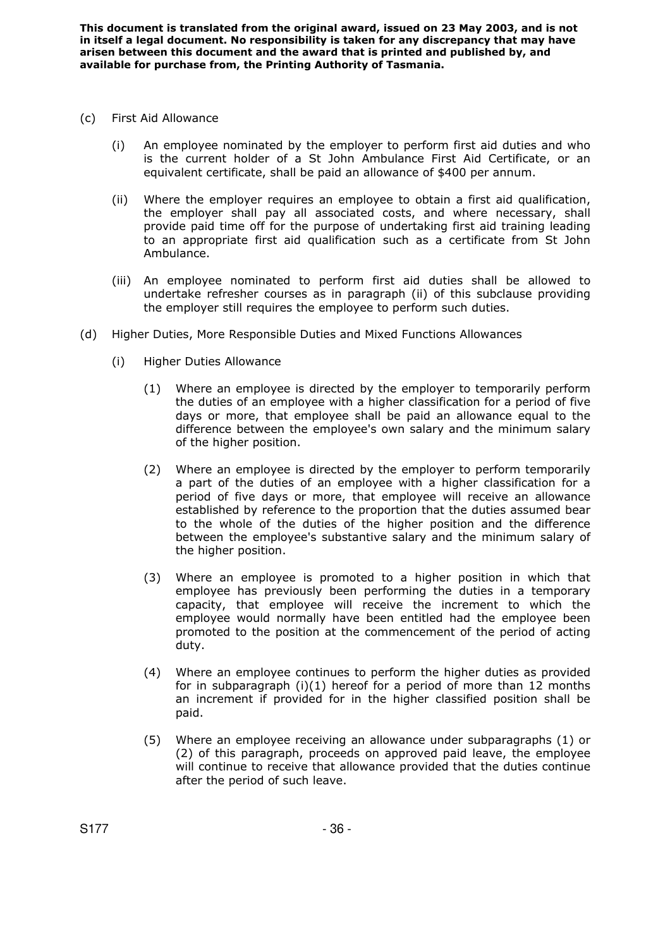- (c) First Aid Allowance
	- (i) An employee nominated by the employer to perform first aid duties and who is the current holder of a St John Ambulance First Aid Certificate, or an equivalent certificate, shall be paid an allowance of \$400 per annum.
	- (ii) Where the employer requires an employee to obtain a first aid qualification, the employer shall pay all associated costs, and where necessary, shall provide paid time off for the purpose of undertaking first aid training leading to an appropriate first aid qualification such as a certificate from St John Ambulance.
	- (iii) An employee nominated to perform first aid duties shall be allowed to undertake refresher courses as in paragraph (ii) of this subclause providing the employer still requires the employee to perform such duties.
- (d) Higher Duties, More Responsible Duties and Mixed Functions Allowances
	- (i) Higher Duties Allowance
		- (1) Where an employee is directed by the employer to temporarily perform the duties of an employee with a higher classification for a period of five days or more, that employee shall be paid an allowance equal to the difference between the employee's own salary and the minimum salary of the higher position.
		- (2) Where an employee is directed by the employer to perform temporarily a part of the duties of an employee with a higher classification for a period of five days or more, that employee will receive an allowance established by reference to the proportion that the duties assumed bear to the whole of the duties of the higher position and the difference between the employee's substantive salary and the minimum salary of the higher position.
		- (3) Where an employee is promoted to a higher position in which that employee has previously been performing the duties in a temporary capacity, that employee will receive the increment to which the employee would normally have been entitled had the employee been promoted to the position at the commencement of the period of acting duty.
		- (4) Where an employee continues to perform the higher duties as provided for in subparagraph (i)(1) hereof for a period of more than 12 months an increment if provided for in the higher classified position shall be paid.
		- (5) Where an employee receiving an allowance under subparagraphs (1) or (2) of this paragraph, proceeds on approved paid leave, the employee will continue to receive that allowance provided that the duties continue after the period of such leave.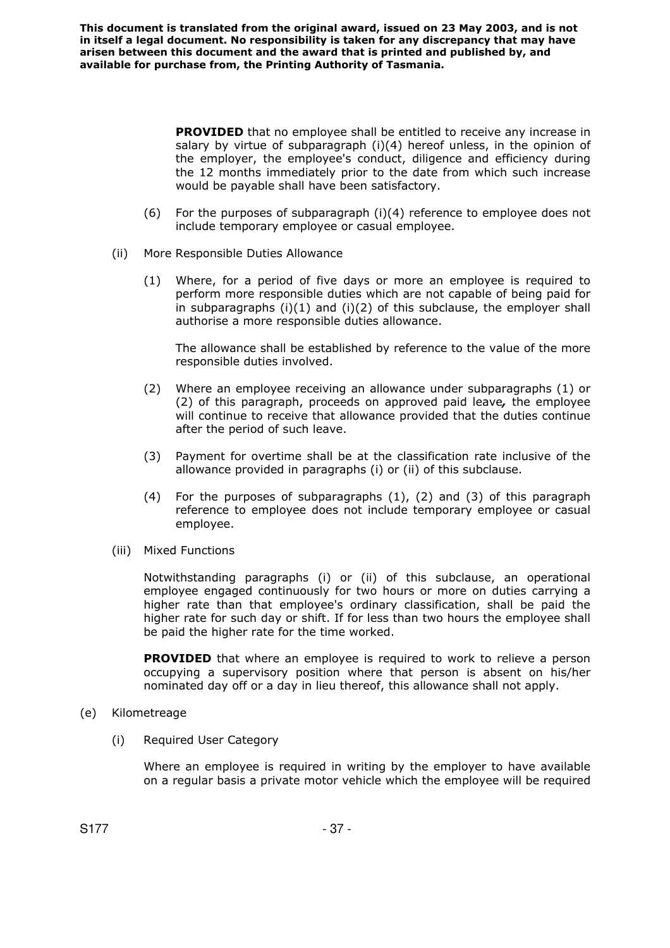> **PROVIDED** that no employee shall be entitled to receive any increase in salary by virtue of subparagraph (i)(4) hereof unless, in the opinion of the employer, the employee's conduct, diligence and efficiency during the 12 months immediately prior to the date from which such increase would be payable shall have been satisfactory.

- (6) For the purposes of subparagraph (i)(4) reference to employee does not include temporary employee or casual employee.
- (ii) More Responsible Duties Allowance
	- (1) Where, for a period of five days or more an employee is required to perform more responsible duties which are not capable of being paid for in subparagraphs  $(i)(1)$  and  $(i)(2)$  of this subclause, the employer shall authorise a more responsible duties allowance.

The allowance shall be established by reference to the value of the more responsible duties involved.

- (2) Where an employee receiving an allowance under subparagraphs (1) or (2) of this paragraph, proceeds on approved paid leave*,* the employee will continue to receive that allowance provided that the duties continue after the period of such leave.
- (3) Payment for overtime shall be at the classification rate inclusive of the allowance provided in paragraphs (i) or (ii) of this subclause.
- (4) For the purposes of subparagraphs (1), (2) and (3) of this paragraph reference to employee does not include temporary employee or casual employee.
- (iii) Mixed Functions

Notwithstanding paragraphs (i) or (ii) of this subclause, an operational employee engaged continuously for two hours or more on duties carrying a higher rate than that employee's ordinary classification, shall be paid the higher rate for such day or shift. If for less than two hours the employee shall be paid the higher rate for the time worked.

**PROVIDED** that where an employee is required to work to relieve a person occupying a supervisory position where that person is absent on his/her nominated day off or a day in lieu thereof, this allowance shall not apply.

- (e) Kilometreage
	- (i) Required User Category

Where an employee is required in writing by the employer to have available on a regular basis a private motor vehicle which the employee will be required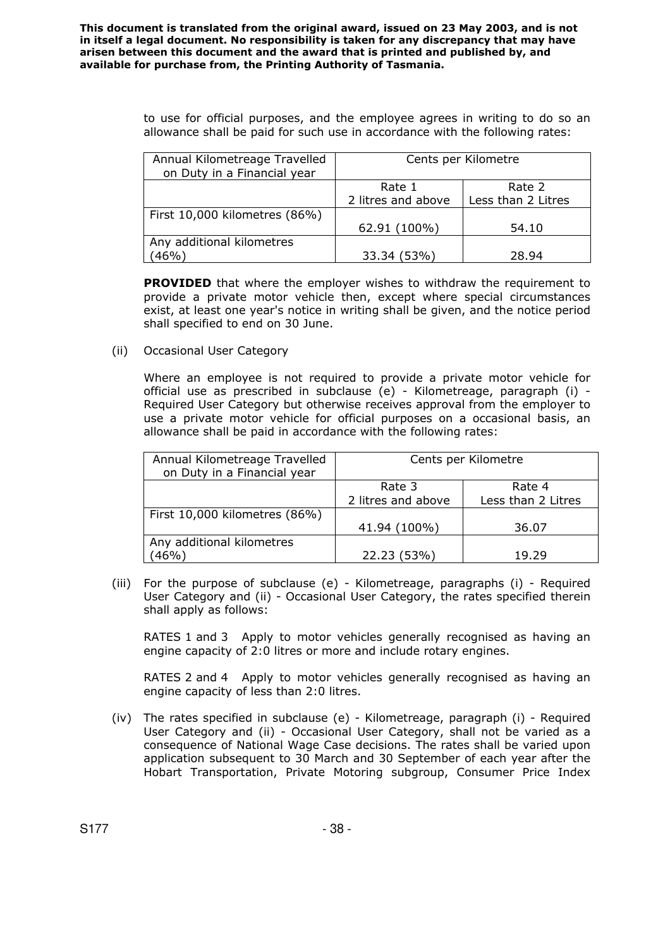> to use for official purposes, and the employee agrees in writing to do so an allowance shall be paid for such use in accordance with the following rates:

| Annual Kilometreage Travelled<br>on Duty in a Financial year | Cents per Kilometre |                    |
|--------------------------------------------------------------|---------------------|--------------------|
|                                                              | Rate 1              | Rate 2             |
|                                                              | 2 litres and above  | Less than 2 Litres |
| First 10,000 kilometres (86%)                                |                     |                    |
|                                                              | 62.91 (100%)        | 54.10              |
| Any additional kilometres                                    |                     |                    |
| (46%)                                                        | 33.34 (53%)         | 28.94              |

**PROVIDED** that where the employer wishes to withdraw the requirement to provide a private motor vehicle then, except where special circumstances exist, at least one year's notice in writing shall be given, and the notice period shall specified to end on 30 June.

(ii) Occasional User Category

Where an employee is not required to provide a private motor vehicle for official use as prescribed in subclause (e) - Kilometreage, paragraph (i) - Required User Category but otherwise receives approval from the employer to use a private motor vehicle for official purposes on a occasional basis, an allowance shall be paid in accordance with the following rates:

| Annual Kilometreage Travelled<br>on Duty in a Financial year | Cents per Kilometre |                    |
|--------------------------------------------------------------|---------------------|--------------------|
|                                                              | Rate 3              | Rate 4             |
|                                                              | 2 litres and above  | Less than 2 Litres |
| First 10,000 kilometres (86%)                                |                     |                    |
|                                                              | 41.94 (100%)        | 36.07              |
| Any additional kilometres                                    |                     |                    |
| 46%)                                                         | 22.23 (53%)         | 19.29              |

 (iii) For the purpose of subclause (e) - Kilometreage, paragraphs (i) - Required User Category and (ii) - Occasional User Category, the rates specified therein shall apply as follows:

RATES 1 and 3 Apply to motor vehicles generally recognised as having an engine capacity of 2:0 litres or more and include rotary engines.

RATES 2 and 4 Apply to motor vehicles generally recognised as having an engine capacity of less than 2:0 litres.

(iv) The rates specified in subclause (e) - Kilometreage, paragraph (i) - Required User Category and (ii) - Occasional User Category, shall not be varied as a consequence of National Wage Case decisions. The rates shall be varied upon application subsequent to 30 March and 30 September of each year after the Hobart Transportation, Private Motoring subgroup, Consumer Price Index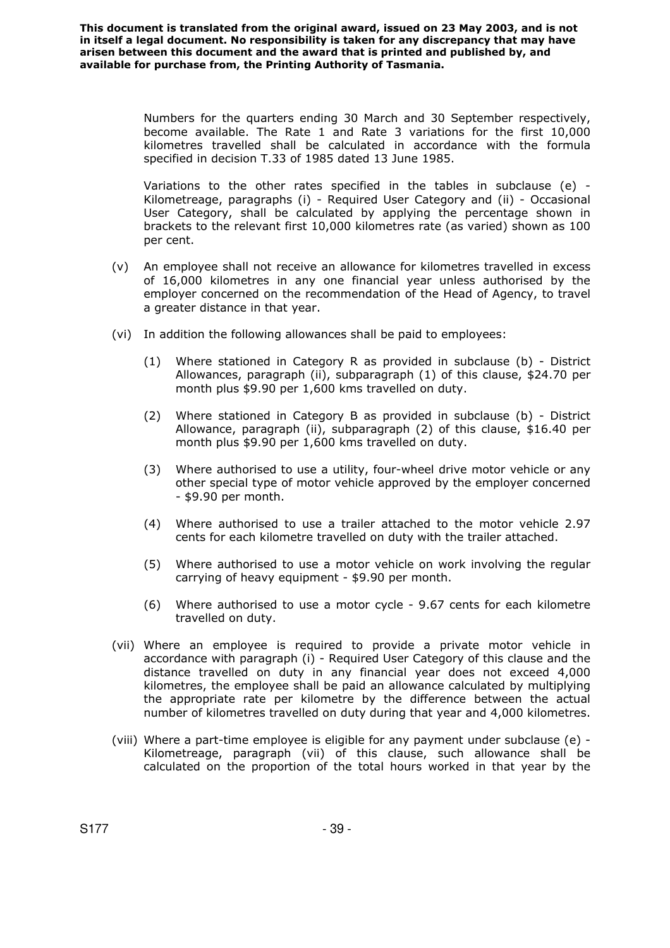> Numbers for the quarters ending 30 March and 30 September respectively, become available. The Rate 1 and Rate 3 variations for the first 10,000 kilometres travelled shall be calculated in accordance with the formula specified in decision T.33 of 1985 dated 13 June 1985.

> Variations to the other rates specified in the tables in subclause (e) - Kilometreage, paragraphs (i) - Required User Category and (ii) - Occasional User Category, shall be calculated by applying the percentage shown in brackets to the relevant first 10,000 kilometres rate (as varied) shown as 100 per cent.

- (v) An employee shall not receive an allowance for kilometres travelled in excess of 16,000 kilometres in any one financial year unless authorised by the employer concerned on the recommendation of the Head of Agency, to travel a greater distance in that year.
- (vi) In addition the following allowances shall be paid to employees:
	- (1) Where stationed in Category R as provided in subclause (b) District Allowances, paragraph (ii), subparagraph (1) of this clause, \$24.70 per month plus \$9.90 per 1,600 kms travelled on duty.
	- (2) Where stationed in Category B as provided in subclause (b) District Allowance, paragraph (ii), subparagraph (2) of this clause, \$16.40 per month plus \$9.90 per 1,600 kms travelled on duty.
	- (3) Where authorised to use a utility, four-wheel drive motor vehicle or any other special type of motor vehicle approved by the employer concerned - \$9.90 per month.
	- (4) Where authorised to use a trailer attached to the motor vehicle 2.97 cents for each kilometre travelled on duty with the trailer attached.
	- (5) Where authorised to use a motor vehicle on work involving the regular carrying of heavy equipment - \$9.90 per month.
	- (6) Where authorised to use a motor cycle 9.67 cents for each kilometre travelled on duty.
- (vii) Where an employee is required to provide a private motor vehicle in accordance with paragraph (i) - Required User Category of this clause and the distance travelled on duty in any financial year does not exceed 4,000 kilometres, the employee shall be paid an allowance calculated by multiplying the appropriate rate per kilometre by the difference between the actual number of kilometres travelled on duty during that year and 4,000 kilometres.
- (viii) Where a part-time employee is eligible for any payment under subclause (e) Kilometreage, paragraph (vii) of this clause, such allowance shall be calculated on the proportion of the total hours worked in that year by the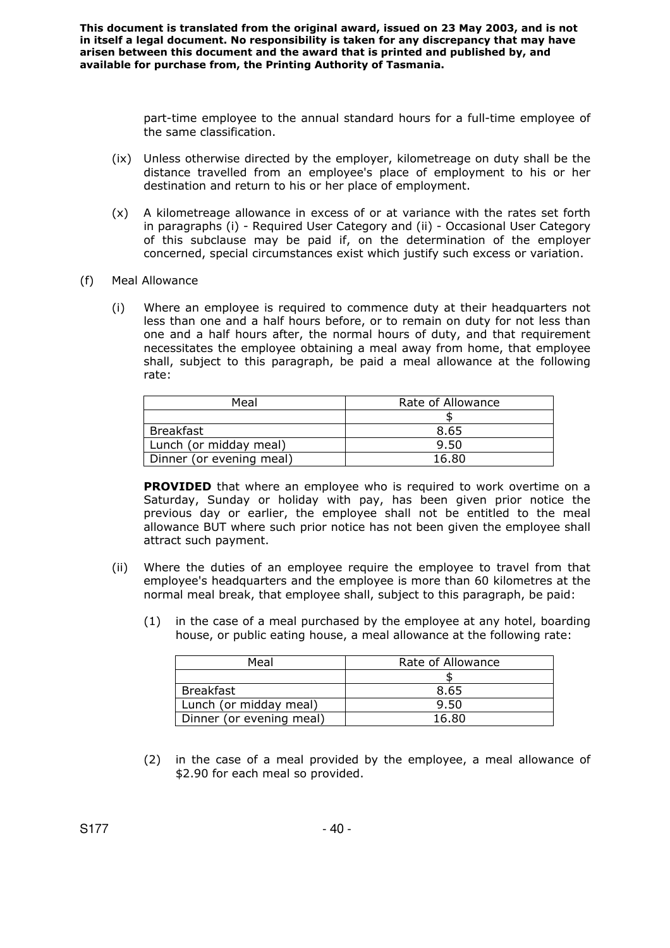> part-time employee to the annual standard hours for a full-time employee of the same classification.

- (ix) Unless otherwise directed by the employer, kilometreage on duty shall be the distance travelled from an employee's place of employment to his or her destination and return to his or her place of employment.
- (x) A kilometreage allowance in excess of or at variance with the rates set forth in paragraphs (i) - Required User Category and (ii) - Occasional User Category of this subclause may be paid if, on the determination of the employer concerned, special circumstances exist which justify such excess or variation.
- (f) Meal Allowance
	- (i) Where an employee is required to commence duty at their headquarters not less than one and a half hours before, or to remain on duty for not less than one and a half hours after, the normal hours of duty, and that requirement necessitates the employee obtaining a meal away from home, that employee shall, subject to this paragraph, be paid a meal allowance at the following rate:

| Meal                     | Rate of Allowance |  |
|--------------------------|-------------------|--|
|                          |                   |  |
| Breakfast                | 8.65              |  |
| Lunch (or midday meal)   | 9.50              |  |
| Dinner (or evening meal) | 16.80             |  |

**PROVIDED** that where an employee who is required to work overtime on a Saturday, Sunday or holiday with pay, has been given prior notice the previous day or earlier, the employee shall not be entitled to the meal allowance BUT where such prior notice has not been given the employee shall attract such payment.

- (ii) Where the duties of an employee require the employee to travel from that employee's headquarters and the employee is more than 60 kilometres at the normal meal break, that employee shall, subject to this paragraph, be paid:
	- (1) in the case of a meal purchased by the employee at any hotel, boarding house, or public eating house, a meal allowance at the following rate:

| Meal                     | Rate of Allowance |  |
|--------------------------|-------------------|--|
|                          |                   |  |
| Breakfast                | 8.65              |  |
| Lunch (or midday meal)   | 9.50              |  |
| Dinner (or evening meal) | 16.80             |  |

(2) in the case of a meal provided by the employee, a meal allowance of \$2.90 for each meal so provided.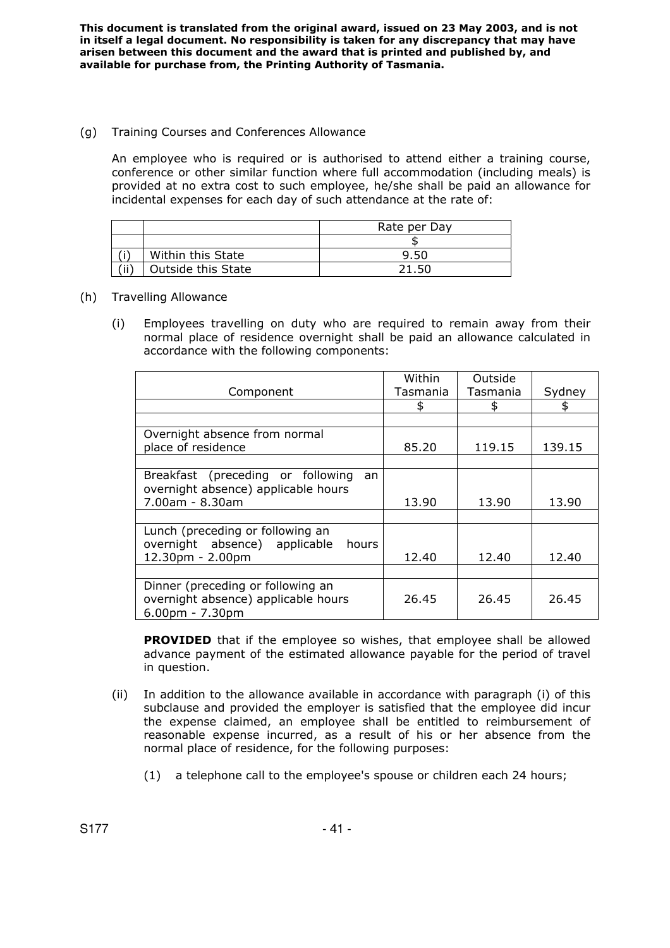### (g) Training Courses and Conferences Allowance

An employee who is required or is authorised to attend either a training course, conference or other similar function where full accommodation (including meals) is provided at no extra cost to such employee, he/she shall be paid an allowance for incidental expenses for each day of such attendance at the rate of:

|      |                    | Rate per Day |  |
|------|--------------------|--------------|--|
|      |                    |              |  |
|      | Within this State  | 9.50         |  |
| 'ii' | Outside this State | 21.50        |  |

### (h) Travelling Allowance

(i) Employees travelling on duty who are required to remain away from their normal place of residence overnight shall be paid an allowance calculated in accordance with the following components:

|                                                                                                | Within   | Outside  |        |
|------------------------------------------------------------------------------------------------|----------|----------|--------|
| Component                                                                                      | Tasmania | Tasmania | Sydney |
|                                                                                                | \$       | \$       |        |
|                                                                                                |          |          |        |
| Overnight absence from normal                                                                  |          |          |        |
| place of residence                                                                             | 85.20    | 119.15   | 139.15 |
|                                                                                                |          |          |        |
| Breakfast (preceding or following<br>an<br>overnight absence) applicable hours                 |          |          |        |
| 7.00am - 8.30am                                                                                | 13.90    | 13.90    | 13.90  |
|                                                                                                |          |          |        |
| Lunch (preceding or following an<br>overnight absence) applicable<br>hours                     |          |          |        |
| 12.30pm - 2.00pm                                                                               | 12.40    | 12.40    | 12.40  |
|                                                                                                |          |          |        |
| Dinner (preceding or following an<br>overnight absence) applicable hours<br>$6.00$ pm - 7.30pm | 26.45    | 26.45    | 26.45  |

**PROVIDED** that if the employee so wishes, that employee shall be allowed advance payment of the estimated allowance payable for the period of travel in question.

- (ii) In addition to the allowance available in accordance with paragraph (i) of this subclause and provided the employer is satisfied that the employee did incur the expense claimed, an employee shall be entitled to reimbursement of reasonable expense incurred, as a result of his or her absence from the normal place of residence, for the following purposes:
	- (1) a telephone call to the employee's spouse or children each 24 hours;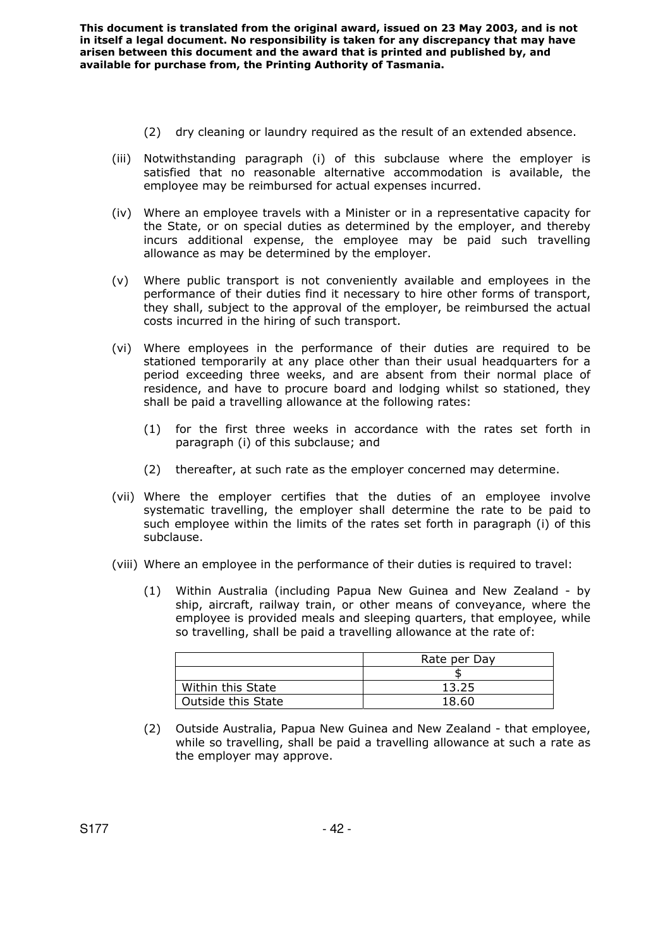- (2) dry cleaning or laundry required as the result of an extended absence.
- (iii) Notwithstanding paragraph (i) of this subclause where the employer is satisfied that no reasonable alternative accommodation is available, the employee may be reimbursed for actual expenses incurred.
- (iv) Where an employee travels with a Minister or in a representative capacity for the State, or on special duties as determined by the employer, and thereby incurs additional expense, the employee may be paid such travelling allowance as may be determined by the employer.
- (v) Where public transport is not conveniently available and employees in the performance of their duties find it necessary to hire other forms of transport, they shall, subject to the approval of the employer, be reimbursed the actual costs incurred in the hiring of such transport.
- (vi) Where employees in the performance of their duties are required to be stationed temporarily at any place other than their usual headquarters for a period exceeding three weeks, and are absent from their normal place of residence, and have to procure board and lodging whilst so stationed, they shall be paid a travelling allowance at the following rates:
	- (1) for the first three weeks in accordance with the rates set forth in paragraph (i) of this subclause; and
	- (2) thereafter, at such rate as the employer concerned may determine.
- (vii) Where the employer certifies that the duties of an employee involve systematic travelling, the employer shall determine the rate to be paid to such employee within the limits of the rates set forth in paragraph (i) of this subclause.
- (viii) Where an employee in the performance of their duties is required to travel:
	- (1) Within Australia (including Papua New Guinea and New Zealand by ship, aircraft, railway train, or other means of conveyance, where the employee is provided meals and sleeping quarters, that employee, while so travelling, shall be paid a travelling allowance at the rate of:

|                    | Rate per Day |
|--------------------|--------------|
|                    |              |
| Within this State  | 13.25        |
| Outside this State | 18.60        |

(2) Outside Australia, Papua New Guinea and New Zealand - that employee, while so travelling, shall be paid a travelling allowance at such a rate as the employer may approve.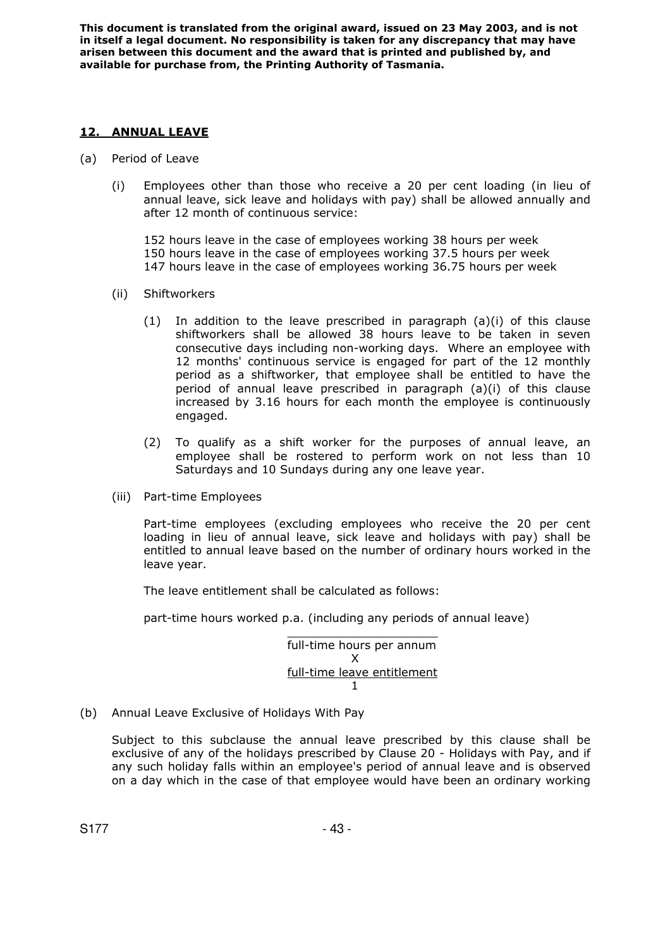## **12. ANNUAL LEAVE**

- (a) Period of Leave
	- (i) Employees other than those who receive a 20 per cent loading (in lieu of annual leave, sick leave and holidays with pay) shall be allowed annually and after 12 month of continuous service:

152 hours leave in the case of employees working 38 hours per week 150 hours leave in the case of employees working 37.5 hours per week 147 hours leave in the case of employees working 36.75 hours per week

- (ii) Shiftworkers
	- (1) In addition to the leave prescribed in paragraph  $(a)(i)$  of this clause shiftworkers shall be allowed 38 hours leave to be taken in seven consecutive days including non-working days. Where an employee with 12 months' continuous service is engaged for part of the 12 monthly period as a shiftworker, that employee shall be entitled to have the period of annual leave prescribed in paragraph (a)(i) of this clause increased by 3.16 hours for each month the employee is continuously engaged.
	- (2) To qualify as a shift worker for the purposes of annual leave, an employee shall be rostered to perform work on not less than 10 Saturdays and 10 Sundays during any one leave year.
- (iii) Part-time Employees

Part-time employees (excluding employees who receive the 20 per cent loading in lieu of annual leave, sick leave and holidays with pay) shall be entitled to annual leave based on the number of ordinary hours worked in the leave year.

The leave entitlement shall be calculated as follows:

part-time hours worked p.a. (including any periods of annual leave)

 $\mathcal{L}_\text{max} = \mathcal{L}_\text{max} = \mathcal{L}_\text{max} = \mathcal{L}_\text{max} = \mathcal{L}_\text{max} = \mathcal{L}_\text{max} = \mathcal{L}_\text{max} = \mathcal{L}_\text{max} = \mathcal{L}_\text{max} = \mathcal{L}_\text{max} = \mathcal{L}_\text{max} = \mathcal{L}_\text{max} = \mathcal{L}_\text{max} = \mathcal{L}_\text{max} = \mathcal{L}_\text{max} = \mathcal{L}_\text{max} = \mathcal{L}_\text{max} = \mathcal{L}_\text{max} = \mathcal{$ full-time hours per annum X full-time leave entitlement  $\sim$  1

(b) Annual Leave Exclusive of Holidays With Pay

Subject to this subclause the annual leave prescribed by this clause shall be exclusive of any of the holidays prescribed by Clause 20 - Holidays with Pay, and if any such holiday falls within an employee's period of annual leave and is observed on a day which in the case of that employee would have been an ordinary working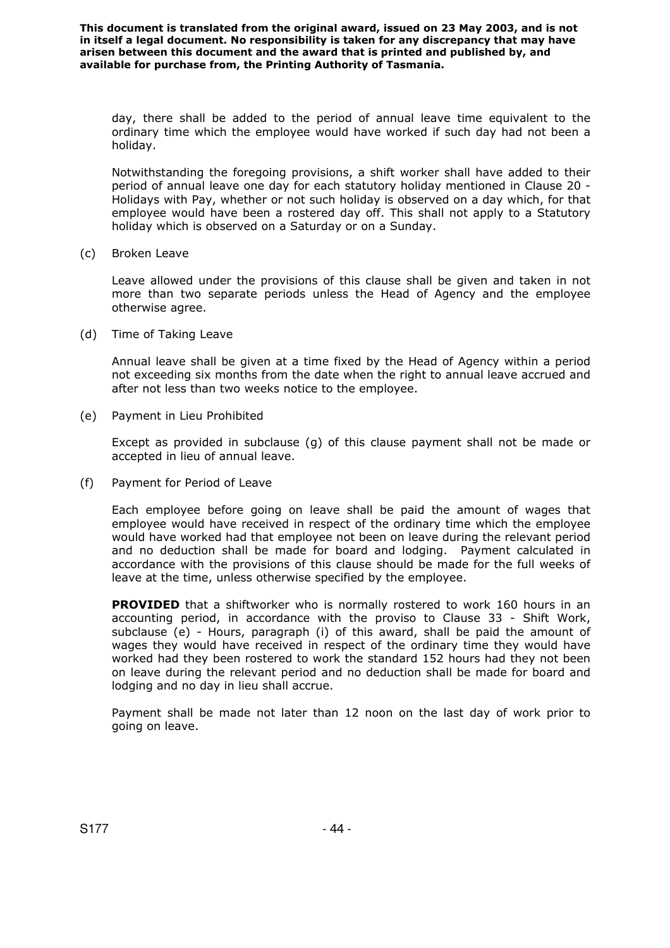day, there shall be added to the period of annual leave time equivalent to the ordinary time which the employee would have worked if such day had not been a holiday.

Notwithstanding the foregoing provisions, a shift worker shall have added to their period of annual leave one day for each statutory holiday mentioned in Clause 20 - Holidays with Pay, whether or not such holiday is observed on a day which, for that employee would have been a rostered day off. This shall not apply to a Statutory holiday which is observed on a Saturday or on a Sunday.

(c) Broken Leave

Leave allowed under the provisions of this clause shall be given and taken in not more than two separate periods unless the Head of Agency and the employee otherwise agree.

(d) Time of Taking Leave

Annual leave shall be given at a time fixed by the Head of Agency within a period not exceeding six months from the date when the right to annual leave accrued and after not less than two weeks notice to the employee.

(e) Payment in Lieu Prohibited

Except as provided in subclause (g) of this clause payment shall not be made or accepted in lieu of annual leave.

(f) Payment for Period of Leave

Each employee before going on leave shall be paid the amount of wages that employee would have received in respect of the ordinary time which the employee would have worked had that employee not been on leave during the relevant period and no deduction shall be made for board and lodging. Payment calculated in accordance with the provisions of this clause should be made for the full weeks of leave at the time, unless otherwise specified by the employee.

**PROVIDED** that a shiftworker who is normally rostered to work 160 hours in an accounting period, in accordance with the proviso to Clause 33 - Shift Work, subclause (e) - Hours, paragraph (i) of this award, shall be paid the amount of wages they would have received in respect of the ordinary time they would have worked had they been rostered to work the standard 152 hours had they not been on leave during the relevant period and no deduction shall be made for board and lodging and no day in lieu shall accrue.

Payment shall be made not later than 12 noon on the last day of work prior to going on leave.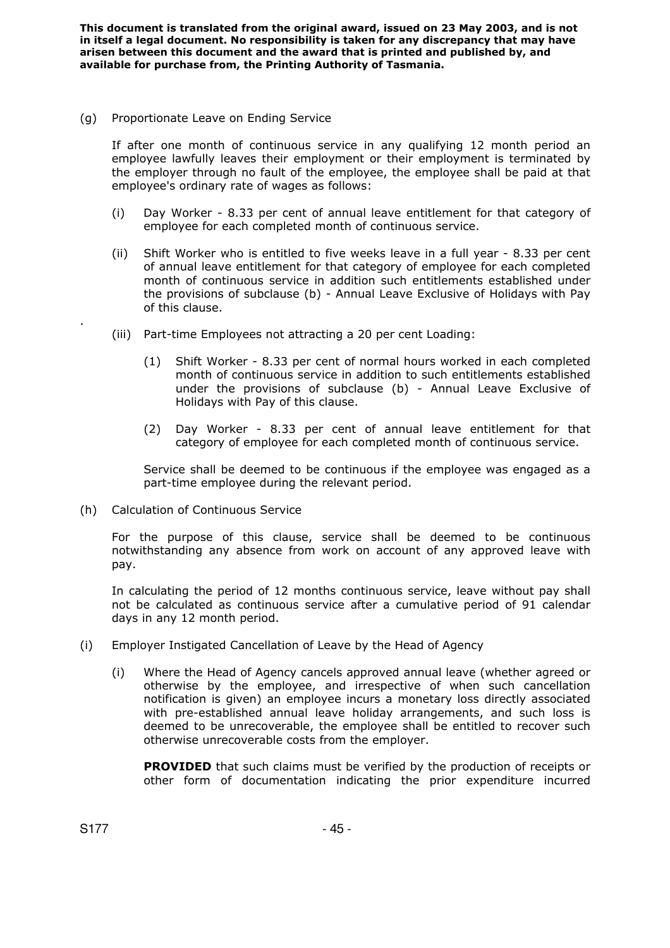(g) Proportionate Leave on Ending Service

If after one month of continuous service in any qualifying 12 month period an employee lawfully leaves their employment or their employment is terminated by the employer through no fault of the employee, the employee shall be paid at that employee's ordinary rate of wages as follows:

- (i) Day Worker 8.33 per cent of annual leave entitlement for that category of employee for each completed month of continuous service.
- (ii) Shift Worker who is entitled to five weeks leave in a full year 8.33 per cent of annual leave entitlement for that category of employee for each completed month of continuous service in addition such entitlements established under the provisions of subclause (b) - Annual Leave Exclusive of Holidays with Pay of this clause.
- (iii) Part-time Employees not attracting a 20 per cent Loading:
	- (1) Shift Worker 8.33 per cent of normal hours worked in each completed month of continuous service in addition to such entitlements established under the provisions of subclause (b) - Annual Leave Exclusive of Holidays with Pay of this clause.
	- (2) Day Worker 8.33 per cent of annual leave entitlement for that category of employee for each completed month of continuous service.

Service shall be deemed to be continuous if the employee was engaged as a part-time employee during the relevant period.

(h) Calculation of Continuous Service

For the purpose of this clause, service shall be deemed to be continuous notwithstanding any absence from work on account of any approved leave with pay.

In calculating the period of 12 months continuous service, leave without pay shall not be calculated as continuous service after a cumulative period of 91 calendar days in any 12 month period.

- (i) Employer Instigated Cancellation of Leave by the Head of Agency
	- (i) Where the Head of Agency cancels approved annual leave (whether agreed or otherwise by the employee, and irrespective of when such cancellation notification is given) an employee incurs a monetary loss directly associated with pre-established annual leave holiday arrangements, and such loss is deemed to be unrecoverable, the employee shall be entitled to recover such otherwise unrecoverable costs from the employer.

**PROVIDED** that such claims must be verified by the production of receipts or other form of documentation indicating the prior expenditure incurred

.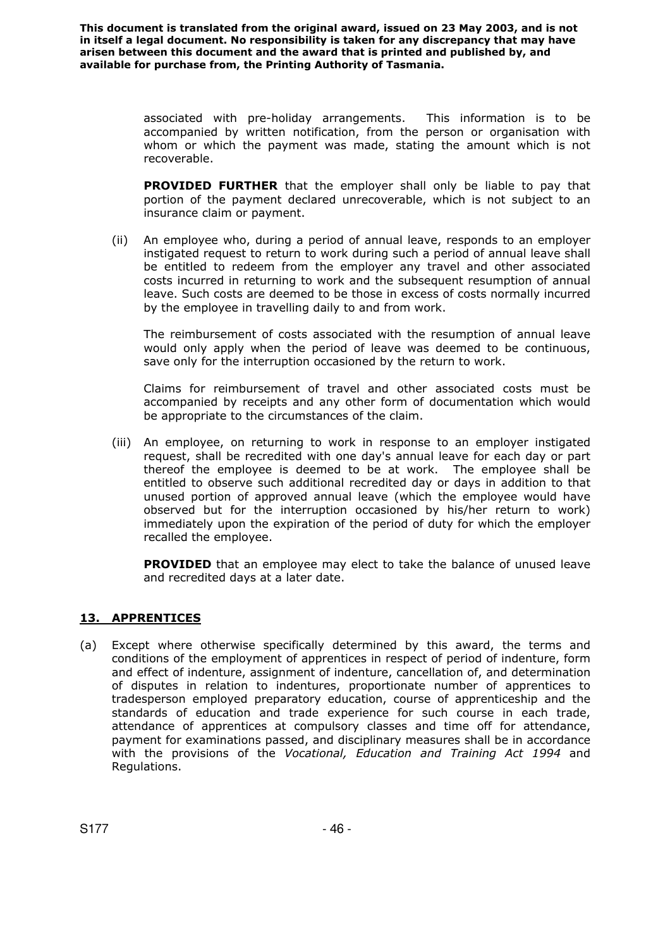> associated with pre-holiday arrangements. This information is to be accompanied by written notification, from the person or organisation with whom or which the payment was made, stating the amount which is not recoverable.

> **PROVIDED FURTHER** that the employer shall only be liable to pay that portion of the payment declared unrecoverable, which is not subject to an insurance claim or payment.

(ii) An employee who, during a period of annual leave, responds to an employer instigated request to return to work during such a period of annual leave shall be entitled to redeem from the employer any travel and other associated costs incurred in returning to work and the subsequent resumption of annual leave. Such costs are deemed to be those in excess of costs normally incurred by the employee in travelling daily to and from work.

The reimbursement of costs associated with the resumption of annual leave would only apply when the period of leave was deemed to be continuous, save only for the interruption occasioned by the return to work.

Claims for reimbursement of travel and other associated costs must be accompanied by receipts and any other form of documentation which would be appropriate to the circumstances of the claim.

(iii) An employee, on returning to work in response to an employer instigated request, shall be recredited with one day's annual leave for each day or part thereof the employee is deemed to be at work. The employee shall be entitled to observe such additional recredited day or days in addition to that unused portion of approved annual leave (which the employee would have observed but for the interruption occasioned by his/her return to work) immediately upon the expiration of the period of duty for which the employer recalled the employee.

**PROVIDED** that an employee may elect to take the balance of unused leave and recredited days at a later date.

# **13. APPRENTICES**

(a) Except where otherwise specifically determined by this award, the terms and conditions of the employment of apprentices in respect of period of indenture, form and effect of indenture, assignment of indenture, cancellation of, and determination of disputes in relation to indentures, proportionate number of apprentices to tradesperson employed preparatory education, course of apprenticeship and the standards of education and trade experience for such course in each trade, attendance of apprentices at compulsory classes and time off for attendance, payment for examinations passed, and disciplinary measures shall be in accordance with the provisions of the *Vocational, Education and Training Act 1994* and Regulations.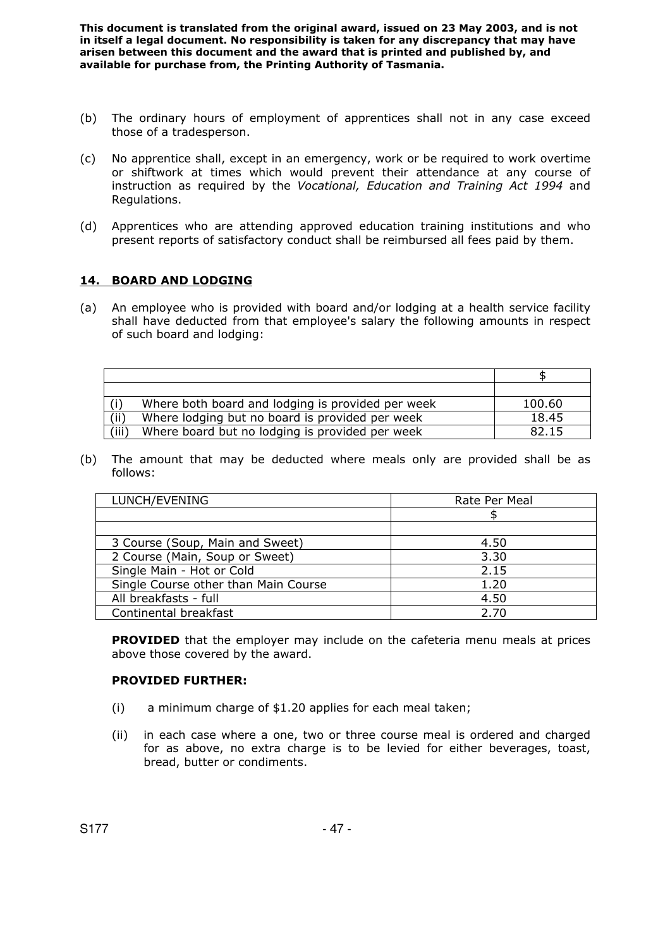- (b) The ordinary hours of employment of apprentices shall not in any case exceed those of a tradesperson.
- (c) No apprentice shall, except in an emergency, work or be required to work overtime or shiftwork at times which would prevent their attendance at any course of instruction as required by the *Vocational, Education and Training Act 1994* and Regulations.
- (d) Apprentices who are attending approved education training institutions and who present reports of satisfactory conduct shall be reimbursed all fees paid by them.

### **14. BOARD AND LODGING**

(a) An employee who is provided with board and/or lodging at a health service facility shall have deducted from that employee's salary the following amounts in respect of such board and lodging:

|       | Where both board and lodging is provided per week | 100.60 |
|-------|---------------------------------------------------|--------|
| (ii)  | Where lodging but no board is provided per week   | 18.45  |
| 'iii) | Where board but no lodging is provided per week   | 82.15  |

(b) The amount that may be deducted where meals only are provided shall be as follows:

| LUNCH/EVENING                        | Rate Per Meal |
|--------------------------------------|---------------|
|                                      |               |
|                                      |               |
| 3 Course (Soup, Main and Sweet)      | 4.50          |
| 2 Course (Main, Soup or Sweet)       | 3.30          |
| Single Main - Hot or Cold            | 2.15          |
| Single Course other than Main Course | 1.20          |
| All breakfasts - full                | 4.50          |
| Continental breakfast                | 2.70          |

**PROVIDED** that the employer may include on the cafeteria menu meals at prices above those covered by the award.

#### **PROVIDED FURTHER:**

- (i) a minimum charge of \$1.20 applies for each meal taken;
- (ii) in each case where a one, two or three course meal is ordered and charged for as above, no extra charge is to be levied for either beverages, toast, bread, butter or condiments.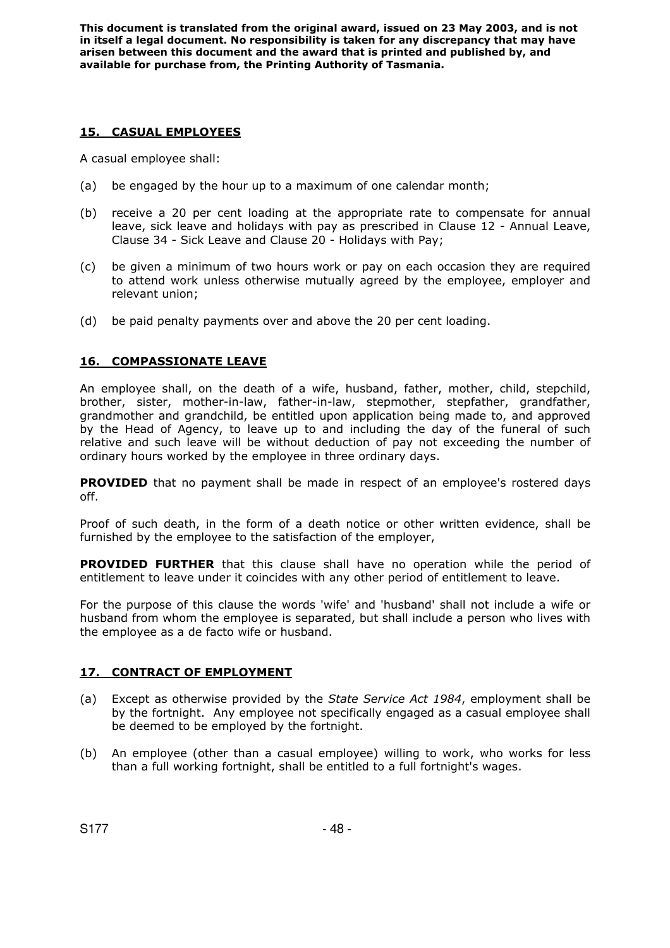## **15. CASUAL EMPLOYEES**

A casual employee shall:

- (a) be engaged by the hour up to a maximum of one calendar month;
- (b) receive a 20 per cent loading at the appropriate rate to compensate for annual leave, sick leave and holidays with pay as prescribed in Clause 12 - Annual Leave, Clause 34 - Sick Leave and Clause 20 - Holidays with Pay;
- (c) be given a minimum of two hours work or pay on each occasion they are required to attend work unless otherwise mutually agreed by the employee, employer and relevant union;
- (d) be paid penalty payments over and above the 20 per cent loading.

## **16. COMPASSIONATE LEAVE**

An employee shall, on the death of a wife, husband, father, mother, child, stepchild, brother, sister, mother-in-law, father-in-law, stepmother, stepfather, grandfather, grandmother and grandchild, be entitled upon application being made to, and approved by the Head of Agency, to leave up to and including the day of the funeral of such relative and such leave will be without deduction of pay not exceeding the number of ordinary hours worked by the employee in three ordinary days.

**PROVIDED** that no payment shall be made in respect of an employee's rostered days off.

Proof of such death, in the form of a death notice or other written evidence, shall be furnished by the employee to the satisfaction of the employer,

**PROVIDED FURTHER** that this clause shall have no operation while the period of entitlement to leave under it coincides with any other period of entitlement to leave.

For the purpose of this clause the words 'wife' and 'husband' shall not include a wife or husband from whom the employee is separated, but shall include a person who lives with the employee as a de facto wife or husband.

## **17. CONTRACT OF EMPLOYMENT**

- (a) Except as otherwise provided by the *State Service Act 1984*, employment shall be by the fortnight. Any employee not specifically engaged as a casual employee shall be deemed to be employed by the fortnight.
- (b) An employee (other than a casual employee) willing to work, who works for less than a full working fortnight, shall be entitled to a full fortnight's wages.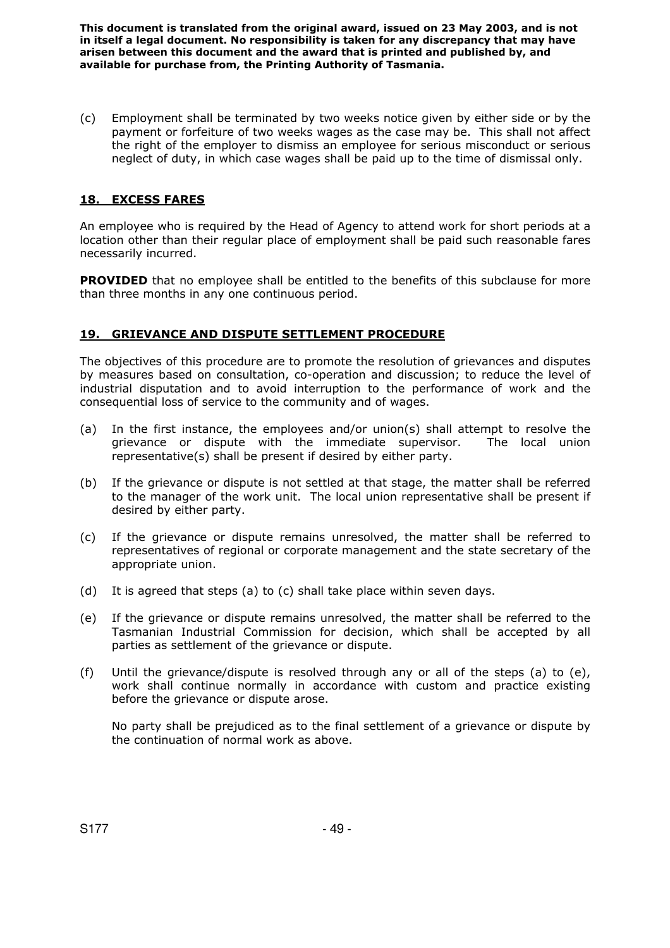(c) Employment shall be terminated by two weeks notice given by either side or by the payment or forfeiture of two weeks wages as the case may be. This shall not affect the right of the employer to dismiss an employee for serious misconduct or serious neglect of duty, in which case wages shall be paid up to the time of dismissal only.

# **18. EXCESS FARES**

An employee who is required by the Head of Agency to attend work for short periods at a location other than their regular place of employment shall be paid such reasonable fares necessarily incurred.

**PROVIDED** that no employee shall be entitled to the benefits of this subclause for more than three months in any one continuous period.

## **19. GRIEVANCE AND DISPUTE SETTLEMENT PROCEDURE**

The objectives of this procedure are to promote the resolution of grievances and disputes by measures based on consultation, co-operation and discussion; to reduce the level of industrial disputation and to avoid interruption to the performance of work and the consequential loss of service to the community and of wages.

- (a) In the first instance, the employees and/or union(s) shall attempt to resolve the grievance or dispute with the immediate supervisor. The local union representative(s) shall be present if desired by either party.
- (b) If the grievance or dispute is not settled at that stage, the matter shall be referred to the manager of the work unit. The local union representative shall be present if desired by either party.
- (c) If the grievance or dispute remains unresolved, the matter shall be referred to representatives of regional or corporate management and the state secretary of the appropriate union.
- (d) It is agreed that steps (a) to (c) shall take place within seven days.
- (e) If the grievance or dispute remains unresolved, the matter shall be referred to the Tasmanian Industrial Commission for decision, which shall be accepted by all parties as settlement of the grievance or dispute.
- (f) Until the grievance/dispute is resolved through any or all of the steps (a) to (e), work shall continue normally in accordance with custom and practice existing before the grievance or dispute arose.

No party shall be prejudiced as to the final settlement of a grievance or dispute by the continuation of normal work as above.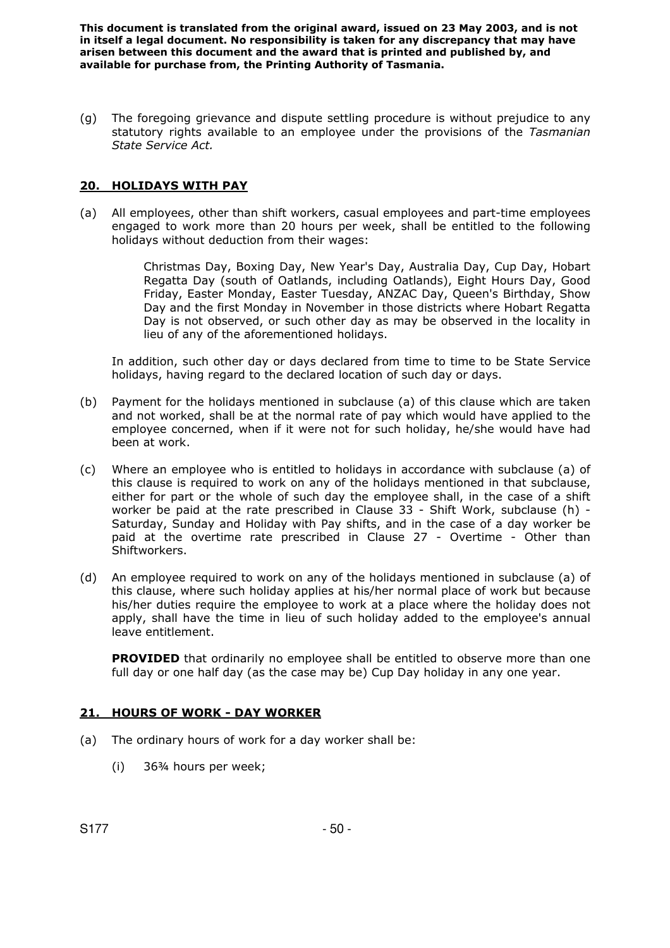(g) The foregoing grievance and dispute settling procedure is without prejudice to any statutory rights available to an employee under the provisions of the *Tasmanian State Service Act.* 

### **20. HOLIDAYS WITH PAY**

(a) All employees, other than shift workers, casual employees and part-time employees engaged to work more than 20 hours per week, shall be entitled to the following holidays without deduction from their wages:

> Christmas Day, Boxing Day, New Year's Day, Australia Day, Cup Day, Hobart Regatta Day (south of Oatlands, including Oatlands), Eight Hours Day, Good Friday, Easter Monday, Easter Tuesday, ANZAC Day, Queen's Birthday, Show Day and the first Monday in November in those districts where Hobart Regatta Day is not observed, or such other day as may be observed in the locality in lieu of any of the aforementioned holidays.

In addition, such other day or days declared from time to time to be State Service holidays, having regard to the declared location of such day or days.

- (b) Payment for the holidays mentioned in subclause (a) of this clause which are taken and not worked, shall be at the normal rate of pay which would have applied to the employee concerned, when if it were not for such holiday, he/she would have had been at work.
- (c) Where an employee who is entitled to holidays in accordance with subclause (a) of this clause is required to work on any of the holidays mentioned in that subclause, either for part or the whole of such day the employee shall, in the case of a shift worker be paid at the rate prescribed in Clause 33 - Shift Work, subclause (h) - Saturday, Sunday and Holiday with Pay shifts, and in the case of a day worker be paid at the overtime rate prescribed in Clause 27 - Overtime - Other than Shiftworkers.
- (d) An employee required to work on any of the holidays mentioned in subclause (a) of this clause, where such holiday applies at his/her normal place of work but because his/her duties require the employee to work at a place where the holiday does not apply, shall have the time in lieu of such holiday added to the employee's annual leave entitlement.

**PROVIDED** that ordinarily no employee shall be entitled to observe more than one full day or one half day (as the case may be) Cup Day holiday in any one year.

### **21. HOURS OF WORK - DAY WORKER**

- (a) The ordinary hours of work for a day worker shall be:
	- (i) 36¾ hours per week;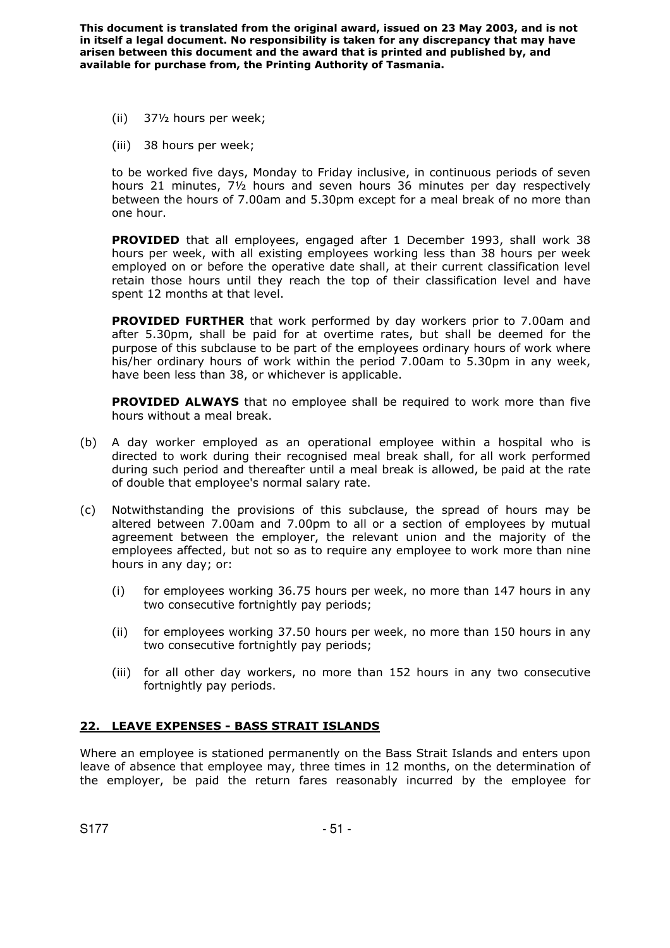- (ii) 37½ hours per week;
- (iii) 38 hours per week;

to be worked five days, Monday to Friday inclusive, in continuous periods of seven hours 21 minutes, 7½ hours and seven hours 36 minutes per day respectively between the hours of 7.00am and 5.30pm except for a meal break of no more than one hour.

**PROVIDED** that all employees, engaged after 1 December 1993, shall work 38 hours per week, with all existing employees working less than 38 hours per week employed on or before the operative date shall, at their current classification level retain those hours until they reach the top of their classification level and have spent 12 months at that level.

 **PROVIDED FURTHER** that work performed by day workers prior to 7.00am and after 5.30pm, shall be paid for at overtime rates, but shall be deemed for the purpose of this subclause to be part of the employees ordinary hours of work where his/her ordinary hours of work within the period 7.00am to 5.30pm in any week, have been less than 38, or whichever is applicable.

 **PROVIDED ALWAYS** that no employee shall be required to work more than five hours without a meal break.

- (b) A day worker employed as an operational employee within a hospital who is directed to work during their recognised meal break shall, for all work performed during such period and thereafter until a meal break is allowed, be paid at the rate of double that employee's normal salary rate.
- (c) Notwithstanding the provisions of this subclause, the spread of hours may be altered between 7.00am and 7.00pm to all or a section of employees by mutual agreement between the employer, the relevant union and the majority of the employees affected, but not so as to require any employee to work more than nine hours in any day; or:
	- (i) for employees working 36.75 hours per week, no more than 147 hours in any two consecutive fortnightly pay periods;
	- (ii) for employees working 37.50 hours per week, no more than 150 hours in any two consecutive fortnightly pay periods;
	- (iii) for all other day workers, no more than 152 hours in any two consecutive fortnightly pay periods.

## **22. LEAVE EXPENSES - BASS STRAIT ISLANDS**

Where an employee is stationed permanently on the Bass Strait Islands and enters upon leave of absence that employee may, three times in 12 months, on the determination of the employer, be paid the return fares reasonably incurred by the employee for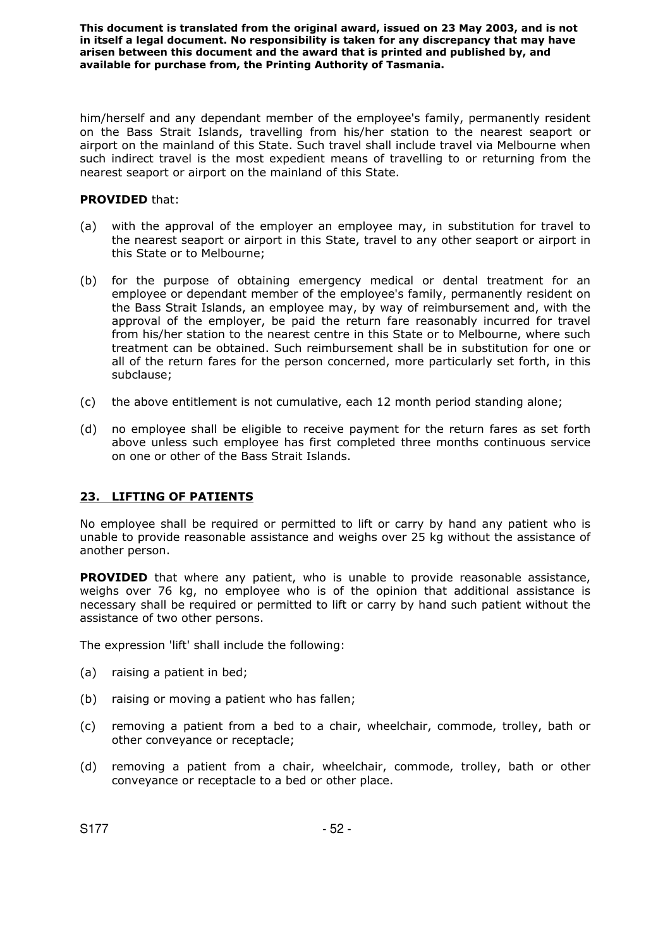him/herself and any dependant member of the employee's family, permanently resident on the Bass Strait Islands, travelling from his/her station to the nearest seaport or airport on the mainland of this State. Such travel shall include travel via Melbourne when such indirect travel is the most expedient means of travelling to or returning from the nearest seaport or airport on the mainland of this State.

### **PROVIDED** that:

- (a) with the approval of the employer an employee may, in substitution for travel to the nearest seaport or airport in this State, travel to any other seaport or airport in this State or to Melbourne;
- (b) for the purpose of obtaining emergency medical or dental treatment for an employee or dependant member of the employee's family, permanently resident on the Bass Strait Islands, an employee may, by way of reimbursement and, with the approval of the employer, be paid the return fare reasonably incurred for travel from his/her station to the nearest centre in this State or to Melbourne, where such treatment can be obtained. Such reimbursement shall be in substitution for one or all of the return fares for the person concerned, more particularly set forth, in this subclause;
- (c) the above entitlement is not cumulative, each 12 month period standing alone;
- (d) no employee shall be eligible to receive payment for the return fares as set forth above unless such employee has first completed three months continuous service on one or other of the Bass Strait Islands.

## **23. LIFTING OF PATIENTS**

No employee shall be required or permitted to lift or carry by hand any patient who is unable to provide reasonable assistance and weighs over 25 kg without the assistance of another person.

**PROVIDED** that where any patient, who is unable to provide reasonable assistance, weighs over 76 kg, no employee who is of the opinion that additional assistance is necessary shall be required or permitted to lift or carry by hand such patient without the assistance of two other persons.

The expression 'lift' shall include the following:

- (a) raising a patient in bed;
- (b) raising or moving a patient who has fallen;
- (c) removing a patient from a bed to a chair, wheelchair, commode, trolley, bath or other conveyance or receptacle;
- (d) removing a patient from a chair, wheelchair, commode, trolley, bath or other conveyance or receptacle to a bed or other place.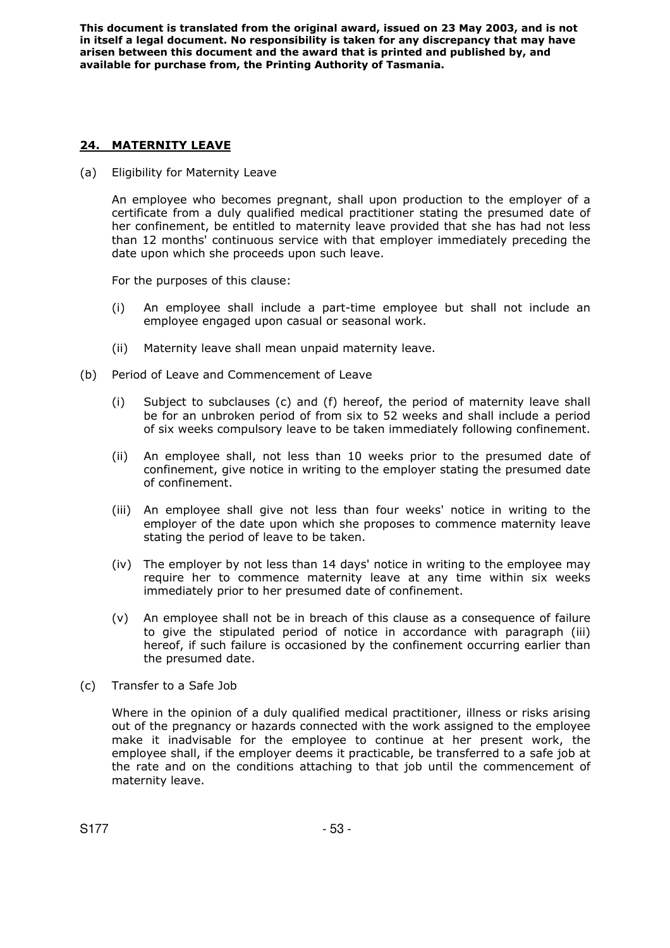## **24. MATERNITY LEAVE**

(a) Eligibility for Maternity Leave

An employee who becomes pregnant, shall upon production to the employer of a certificate from a duly qualified medical practitioner stating the presumed date of her confinement, be entitled to maternity leave provided that she has had not less than 12 months' continuous service with that employer immediately preceding the date upon which she proceeds upon such leave.

For the purposes of this clause:

- (i) An employee shall include a part-time employee but shall not include an employee engaged upon casual or seasonal work.
- (ii) Maternity leave shall mean unpaid maternity leave.
- (b) Period of Leave and Commencement of Leave
	- (i) Subject to subclauses (c) and (f) hereof, the period of maternity leave shall be for an unbroken period of from six to 52 weeks and shall include a period of six weeks compulsory leave to be taken immediately following confinement.
	- (ii) An employee shall, not less than 10 weeks prior to the presumed date of confinement, give notice in writing to the employer stating the presumed date of confinement.
	- (iii) An employee shall give not less than four weeks' notice in writing to the employer of the date upon which she proposes to commence maternity leave stating the period of leave to be taken.
	- (iv) The employer by not less than 14 days' notice in writing to the employee may require her to commence maternity leave at any time within six weeks immediately prior to her presumed date of confinement.
	- (v) An employee shall not be in breach of this clause as a consequence of failure to give the stipulated period of notice in accordance with paragraph (iii) hereof, if such failure is occasioned by the confinement occurring earlier than the presumed date.
- (c) Transfer to a Safe Job

Where in the opinion of a duly qualified medical practitioner, illness or risks arising out of the pregnancy or hazards connected with the work assigned to the employee make it inadvisable for the employee to continue at her present work, the employee shall, if the employer deems it practicable, be transferred to a safe job at the rate and on the conditions attaching to that job until the commencement of maternity leave.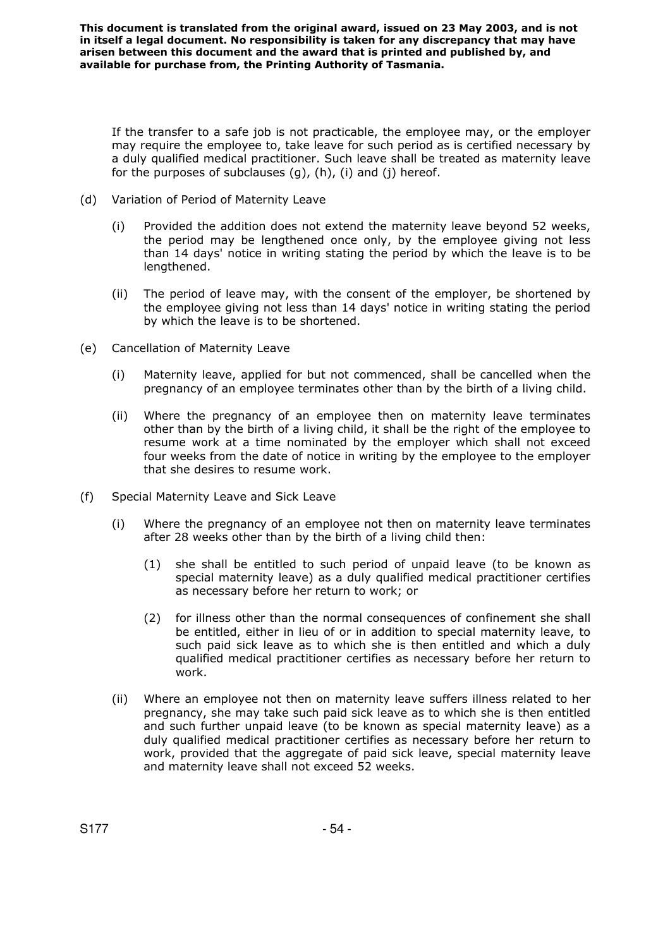If the transfer to a safe job is not practicable, the employee may, or the employer may require the employee to, take leave for such period as is certified necessary by a duly qualified medical practitioner. Such leave shall be treated as maternity leave for the purposes of subclauses (g), (h), (i) and (j) hereof.

- (d) Variation of Period of Maternity Leave
	- (i) Provided the addition does not extend the maternity leave beyond 52 weeks, the period may be lengthened once only, by the employee giving not less than 14 days' notice in writing stating the period by which the leave is to be lengthened.
	- (ii) The period of leave may, with the consent of the employer, be shortened by the employee giving not less than 14 days' notice in writing stating the period by which the leave is to be shortened.
- (e) Cancellation of Maternity Leave
	- (i) Maternity leave, applied for but not commenced, shall be cancelled when the pregnancy of an employee terminates other than by the birth of a living child.
	- (ii) Where the pregnancy of an employee then on maternity leave terminates other than by the birth of a living child, it shall be the right of the employee to resume work at a time nominated by the employer which shall not exceed four weeks from the date of notice in writing by the employee to the employer that she desires to resume work.
- (f) Special Maternity Leave and Sick Leave
	- (i) Where the pregnancy of an employee not then on maternity leave terminates after 28 weeks other than by the birth of a living child then:
		- (1) she shall be entitled to such period of unpaid leave (to be known as special maternity leave) as a duly qualified medical practitioner certifies as necessary before her return to work; or
		- (2) for illness other than the normal consequences of confinement she shall be entitled, either in lieu of or in addition to special maternity leave, to such paid sick leave as to which she is then entitled and which a duly qualified medical practitioner certifies as necessary before her return to work.
	- (ii) Where an employee not then on maternity leave suffers illness related to her pregnancy, she may take such paid sick leave as to which she is then entitled and such further unpaid leave (to be known as special maternity leave) as a duly qualified medical practitioner certifies as necessary before her return to work, provided that the aggregate of paid sick leave, special maternity leave and maternity leave shall not exceed 52 weeks.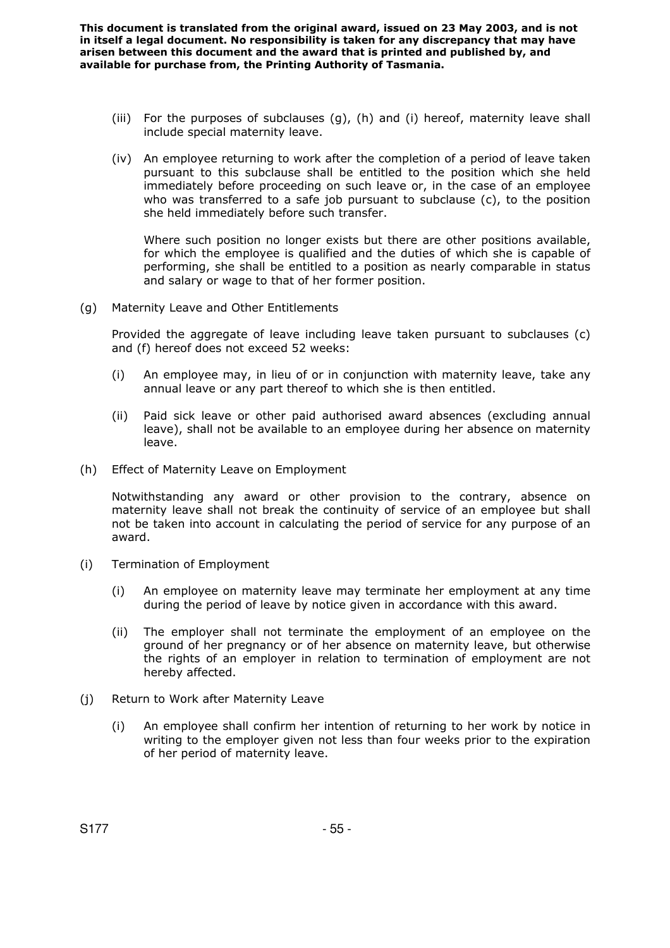- (iii) For the purposes of subclauses (g), (h) and (i) hereof, maternity leave shall include special maternity leave.
- (iv) An employee returning to work after the completion of a period of leave taken pursuant to this subclause shall be entitled to the position which she held immediately before proceeding on such leave or, in the case of an employee who was transferred to a safe job pursuant to subclause (c), to the position she held immediately before such transfer.

Where such position no longer exists but there are other positions available, for which the employee is qualified and the duties of which she is capable of performing, she shall be entitled to a position as nearly comparable in status and salary or wage to that of her former position.

(g) Maternity Leave and Other Entitlements

Provided the aggregate of leave including leave taken pursuant to subclauses (c) and (f) hereof does not exceed 52 weeks:

- (i) An employee may, in lieu of or in conjunction with maternity leave, take any annual leave or any part thereof to which she is then entitled.
- (ii) Paid sick leave or other paid authorised award absences (excluding annual leave), shall not be available to an employee during her absence on maternity leave.
- (h) Effect of Maternity Leave on Employment

Notwithstanding any award or other provision to the contrary, absence on maternity leave shall not break the continuity of service of an employee but shall not be taken into account in calculating the period of service for any purpose of an award.

- (i) Termination of Employment
	- (i) An employee on maternity leave may terminate her employment at any time during the period of leave by notice given in accordance with this award.
	- (ii) The employer shall not terminate the employment of an employee on the ground of her pregnancy or of her absence on maternity leave, but otherwise the rights of an employer in relation to termination of employment are not hereby affected.
- (j) Return to Work after Maternity Leave
	- (i) An employee shall confirm her intention of returning to her work by notice in writing to the employer given not less than four weeks prior to the expiration of her period of maternity leave.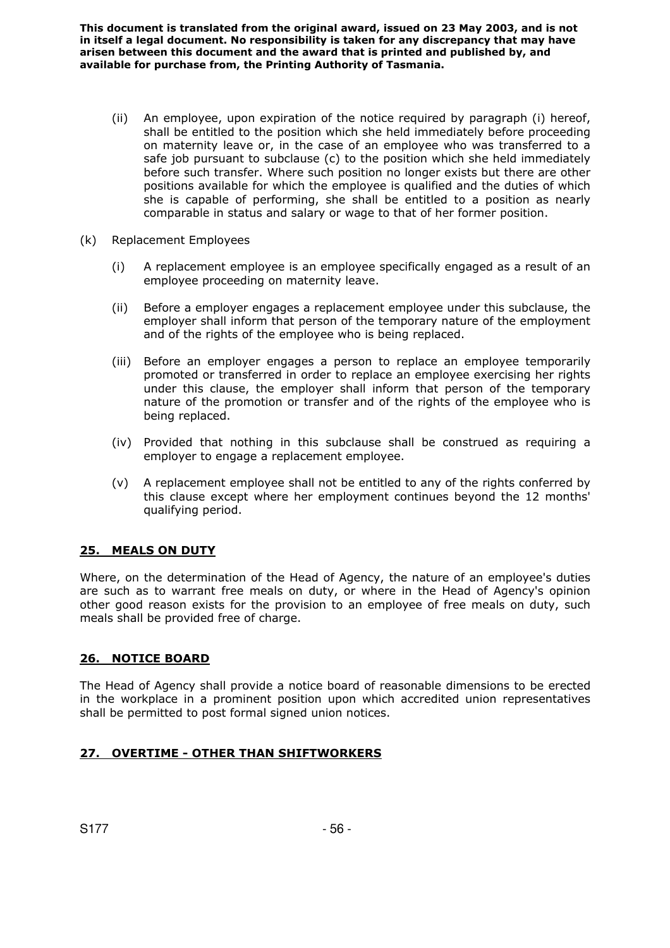- (ii) An employee, upon expiration of the notice required by paragraph (i) hereof, shall be entitled to the position which she held immediately before proceeding on maternity leave or, in the case of an employee who was transferred to a safe job pursuant to subclause (c) to the position which she held immediately before such transfer. Where such position no longer exists but there are other positions available for which the employee is qualified and the duties of which she is capable of performing, she shall be entitled to a position as nearly comparable in status and salary or wage to that of her former position.
- (k) Replacement Employees
	- (i) A replacement employee is an employee specifically engaged as a result of an employee proceeding on maternity leave.
	- (ii) Before a employer engages a replacement employee under this subclause, the employer shall inform that person of the temporary nature of the employment and of the rights of the employee who is being replaced.
	- (iii) Before an employer engages a person to replace an employee temporarily promoted or transferred in order to replace an employee exercising her rights under this clause, the employer shall inform that person of the temporary nature of the promotion or transfer and of the rights of the employee who is being replaced.
	- (iv) Provided that nothing in this subclause shall be construed as requiring a employer to engage a replacement employee.
	- (v) A replacement employee shall not be entitled to any of the rights conferred by this clause except where her employment continues beyond the 12 months' qualifying period.

## **25. MEALS ON DUTY**

Where, on the determination of the Head of Agency, the nature of an employee's duties are such as to warrant free meals on duty, or where in the Head of Agency's opinion other good reason exists for the provision to an employee of free meals on duty, such meals shall be provided free of charge.

## **26. NOTICE BOARD**

The Head of Agency shall provide a notice board of reasonable dimensions to be erected in the workplace in a prominent position upon which accredited union representatives shall be permitted to post formal signed union notices.

## **27. OVERTIME - OTHER THAN SHIFTWORKERS**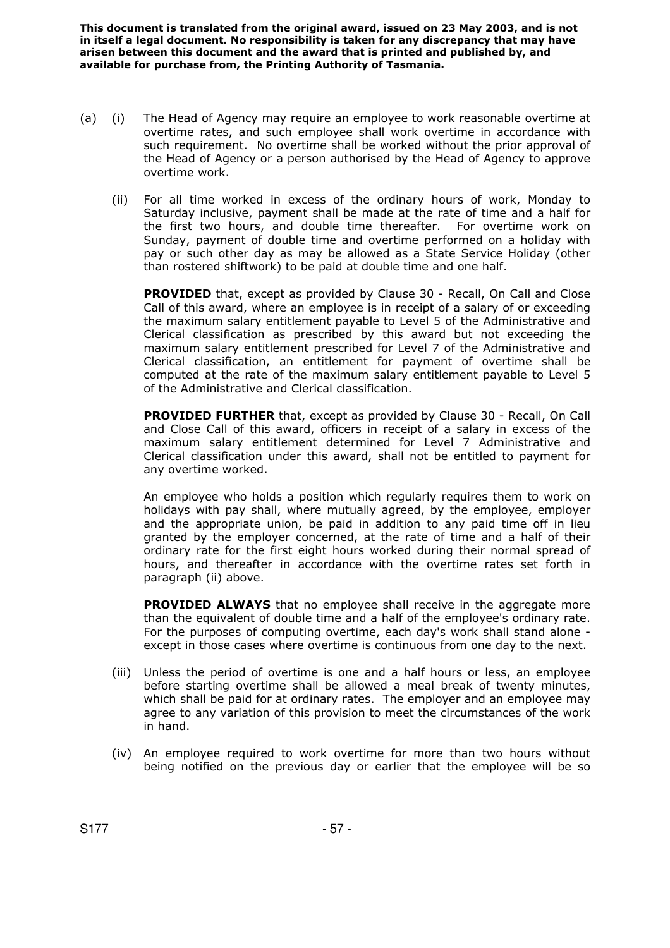- (a) (i) The Head of Agency may require an employee to work reasonable overtime at overtime rates, and such employee shall work overtime in accordance with such requirement. No overtime shall be worked without the prior approval of the Head of Agency or a person authorised by the Head of Agency to approve overtime work.
	- (ii) For all time worked in excess of the ordinary hours of work, Monday to Saturday inclusive, payment shall be made at the rate of time and a half for the first two hours, and double time thereafter. For overtime work on Sunday, payment of double time and overtime performed on a holiday with pay or such other day as may be allowed as a State Service Holiday (other than rostered shiftwork) to be paid at double time and one half.

**PROVIDED** that, except as provided by Clause 30 - Recall, On Call and Close Call of this award, where an employee is in receipt of a salary of or exceeding the maximum salary entitlement payable to Level 5 of the Administrative and Clerical classification as prescribed by this award but not exceeding the maximum salary entitlement prescribed for Level 7 of the Administrative and Clerical classification, an entitlement for payment of overtime shall be computed at the rate of the maximum salary entitlement payable to Level 5 of the Administrative and Clerical classification.

 **PROVIDED FURTHER** that, except as provided by Clause 30 - Recall, On Call and Close Call of this award, officers in receipt of a salary in excess of the maximum salary entitlement determined for Level 7 Administrative and Clerical classification under this award, shall not be entitled to payment for any overtime worked.

An employee who holds a position which regularly requires them to work on holidays with pay shall, where mutually agreed, by the employee, employer and the appropriate union, be paid in addition to any paid time off in lieu granted by the employer concerned, at the rate of time and a half of their ordinary rate for the first eight hours worked during their normal spread of hours, and thereafter in accordance with the overtime rates set forth in paragraph (ii) above.

**PROVIDED ALWAYS** that no employee shall receive in the aggregate more than the equivalent of double time and a half of the employee's ordinary rate. For the purposes of computing overtime, each day's work shall stand alone except in those cases where overtime is continuous from one day to the next.

- (iii) Unless the period of overtime is one and a half hours or less, an employee before starting overtime shall be allowed a meal break of twenty minutes, which shall be paid for at ordinary rates. The employer and an employee may agree to any variation of this provision to meet the circumstances of the work in hand.
- (iv) An employee required to work overtime for more than two hours without being notified on the previous day or earlier that the employee will be so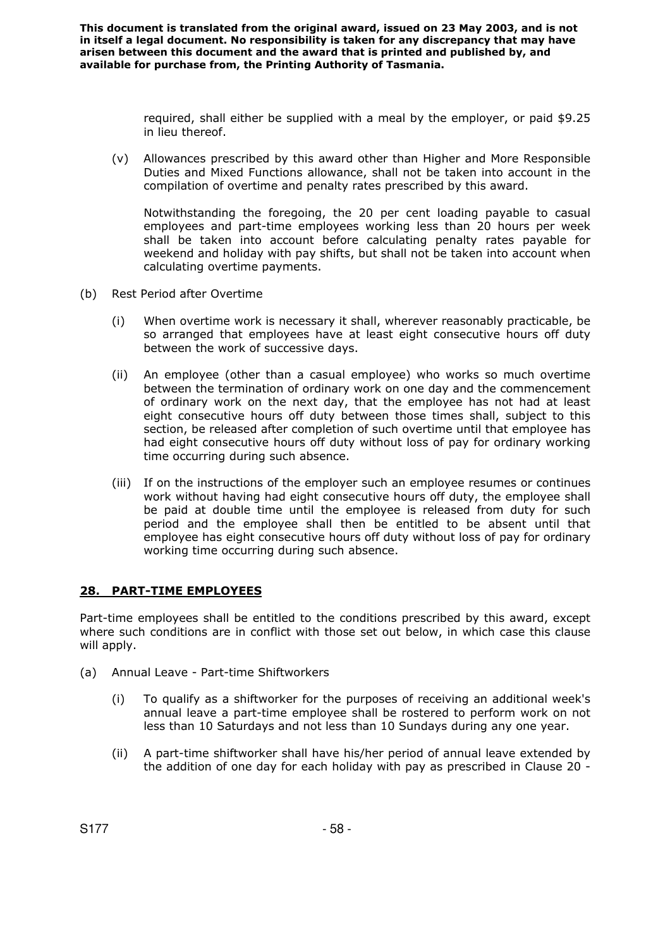> required, shall either be supplied with a meal by the employer, or paid \$9.25 in lieu thereof.

(v) Allowances prescribed by this award other than Higher and More Responsible Duties and Mixed Functions allowance, shall not be taken into account in the compilation of overtime and penalty rates prescribed by this award.

Notwithstanding the foregoing, the 20 per cent loading payable to casual employees and part-time employees working less than 20 hours per week shall be taken into account before calculating penalty rates payable for weekend and holiday with pay shifts, but shall not be taken into account when calculating overtime payments.

- (b) Rest Period after Overtime
	- (i) When overtime work is necessary it shall, wherever reasonably practicable, be so arranged that employees have at least eight consecutive hours off duty between the work of successive days.
	- (ii) An employee (other than a casual employee) who works so much overtime between the termination of ordinary work on one day and the commencement of ordinary work on the next day, that the employee has not had at least eight consecutive hours off duty between those times shall, subject to this section, be released after completion of such overtime until that employee has had eight consecutive hours off duty without loss of pay for ordinary working time occurring during such absence.
	- (iii) If on the instructions of the employer such an employee resumes or continues work without having had eight consecutive hours off duty, the employee shall be paid at double time until the employee is released from duty for such period and the employee shall then be entitled to be absent until that employee has eight consecutive hours off duty without loss of pay for ordinary working time occurring during such absence.

### **28. PART-TIME EMPLOYEES**

Part-time employees shall be entitled to the conditions prescribed by this award, except where such conditions are in conflict with those set out below, in which case this clause will apply.

- (a) Annual Leave Part-time Shiftworkers
	- (i) To qualify as a shiftworker for the purposes of receiving an additional week's annual leave a part-time employee shall be rostered to perform work on not less than 10 Saturdays and not less than 10 Sundays during any one year.
	- (ii) A part-time shiftworker shall have his/her period of annual leave extended by the addition of one day for each holiday with pay as prescribed in Clause 20 -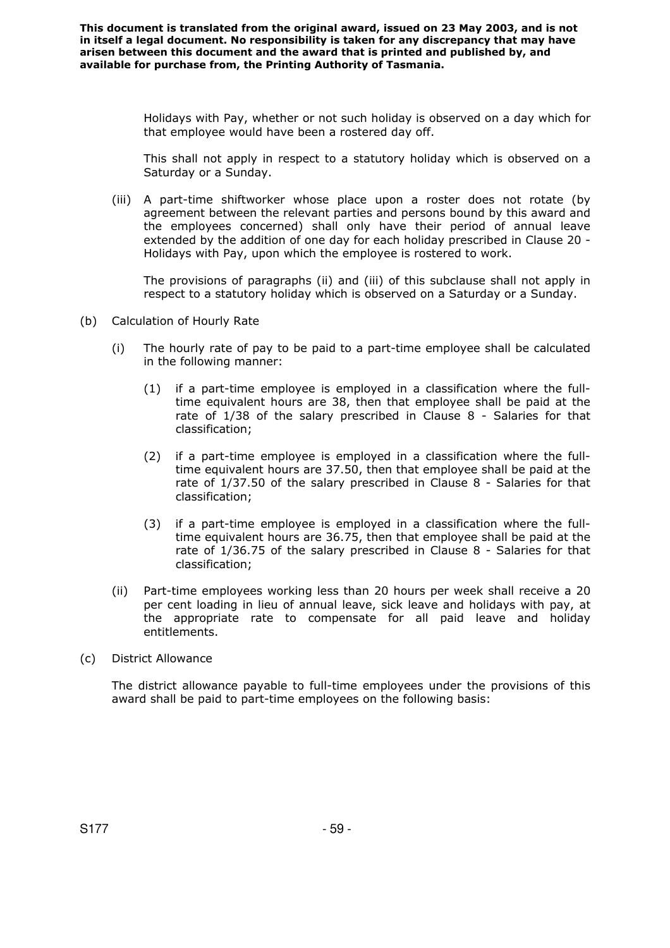> Holidays with Pay, whether or not such holiday is observed on a day which for that employee would have been a rostered day off.

> This shall not apply in respect to a statutory holiday which is observed on a Saturday or a Sunday.

(iii) A part-time shiftworker whose place upon a roster does not rotate (by agreement between the relevant parties and persons bound by this award and the employees concerned) shall only have their period of annual leave extended by the addition of one day for each holiday prescribed in Clause 20 - Holidays with Pay, upon which the employee is rostered to work.

The provisions of paragraphs (ii) and (iii) of this subclause shall not apply in respect to a statutory holiday which is observed on a Saturday or a Sunday.

- (b) Calculation of Hourly Rate
	- (i) The hourly rate of pay to be paid to a part-time employee shall be calculated in the following manner:
		- (1) if a part-time employee is employed in a classification where the fulltime equivalent hours are 38, then that employee shall be paid at the rate of 1/38 of the salary prescribed in Clause 8 - Salaries for that classification;
		- (2) if a part-time employee is employed in a classification where the fulltime equivalent hours are 37.50, then that employee shall be paid at the rate of 1/37.50 of the salary prescribed in Clause 8 - Salaries for that classification;
		- (3) if a part-time employee is employed in a classification where the fulltime equivalent hours are 36.75, then that employee shall be paid at the rate of 1/36.75 of the salary prescribed in Clause 8 - Salaries for that classification;
	- (ii) Part-time employees working less than 20 hours per week shall receive a 20 per cent loading in lieu of annual leave, sick leave and holidays with pay, at the appropriate rate to compensate for all paid leave and holiday entitlements.
- (c) District Allowance

The district allowance payable to full-time employees under the provisions of this award shall be paid to part-time employees on the following basis: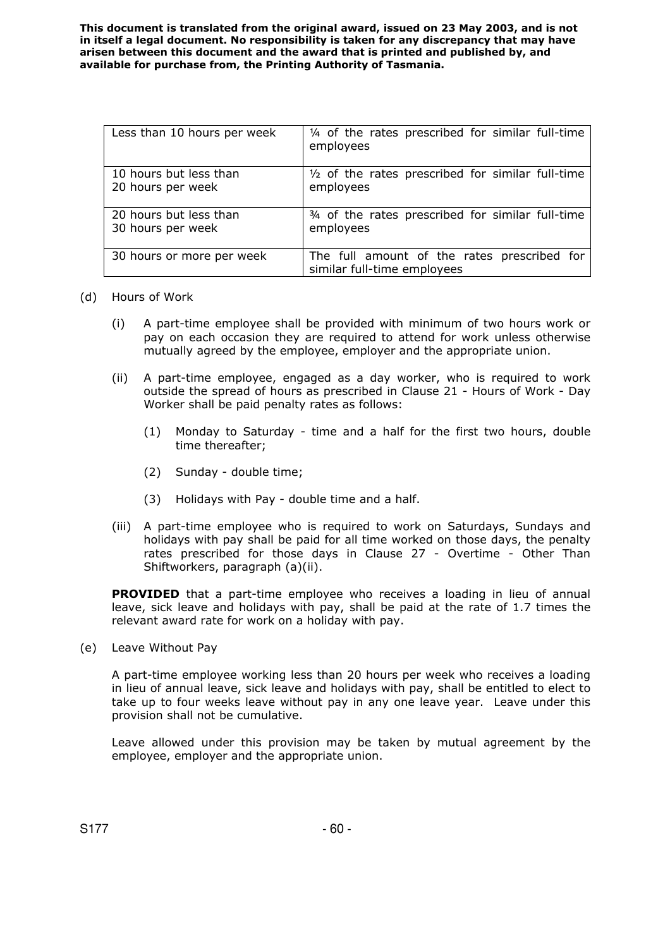| Less than 10 hours per week | 1/4 of the rates prescribed for similar full-time<br>employees             |
|-----------------------------|----------------------------------------------------------------------------|
| 10 hours but less than      | $\frac{1}{2}$ of the rates prescribed for similar full-time                |
| 20 hours per week           | employees                                                                  |
| 20 hours but less than      | 3/4 of the rates prescribed for similar full-time                          |
| 30 hours per week           | employees                                                                  |
| 30 hours or more per week   | The full amount of the rates prescribed for<br>similar full-time employees |

### (d) Hours of Work

- (i) A part-time employee shall be provided with minimum of two hours work or pay on each occasion they are required to attend for work unless otherwise mutually agreed by the employee, employer and the appropriate union.
- (ii) A part-time employee, engaged as a day worker, who is required to work outside the spread of hours as prescribed in Clause 21 - Hours of Work - Day Worker shall be paid penalty rates as follows:
	- (1) Monday to Saturday time and a half for the first two hours, double time thereafter;
	- (2) Sunday double time;
	- (3) Holidays with Pay double time and a half.
- (iii) A part-time employee who is required to work on Saturdays, Sundays and holidays with pay shall be paid for all time worked on those days, the penalty rates prescribed for those days in Clause 27 - Overtime - Other Than Shiftworkers, paragraph (a)(ii).

**PROVIDED** that a part-time employee who receives a loading in lieu of annual leave, sick leave and holidays with pay, shall be paid at the rate of 1.7 times the relevant award rate for work on a holiday with pay.

(e) Leave Without Pay

A part-time employee working less than 20 hours per week who receives a loading in lieu of annual leave, sick leave and holidays with pay, shall be entitled to elect to take up to four weeks leave without pay in any one leave year. Leave under this provision shall not be cumulative.

Leave allowed under this provision may be taken by mutual agreement by the employee, employer and the appropriate union.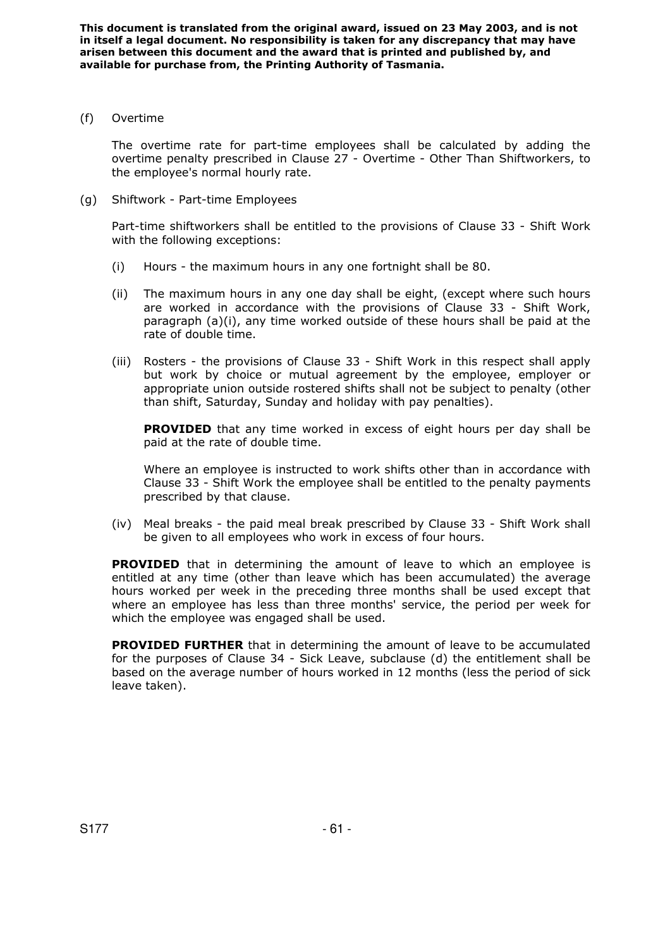(f) Overtime

The overtime rate for part-time employees shall be calculated by adding the overtime penalty prescribed in Clause 27 - Overtime - Other Than Shiftworkers, to the employee's normal hourly rate.

(g) Shiftwork - Part-time Employees

Part-time shiftworkers shall be entitled to the provisions of Clause 33 - Shift Work with the following exceptions:

- (i) Hours the maximum hours in any one fortnight shall be 80.
- (ii) The maximum hours in any one day shall be eight, (except where such hours are worked in accordance with the provisions of Clause 33 - Shift Work, paragraph (a)(i), any time worked outside of these hours shall be paid at the rate of double time.
- (iii) Rosters the provisions of Clause 33 Shift Work in this respect shall apply but work by choice or mutual agreement by the employee, employer or appropriate union outside rostered shifts shall not be subject to penalty (other than shift, Saturday, Sunday and holiday with pay penalties).

**PROVIDED** that any time worked in excess of eight hours per day shall be paid at the rate of double time.

Where an employee is instructed to work shifts other than in accordance with Clause 33 - Shift Work the employee shall be entitled to the penalty payments prescribed by that clause.

(iv) Meal breaks - the paid meal break prescribed by Clause 33 - Shift Work shall be given to all employees who work in excess of four hours.

**PROVIDED** that in determining the amount of leave to which an employee is entitled at any time (other than leave which has been accumulated) the average hours worked per week in the preceding three months shall be used except that where an employee has less than three months' service, the period per week for which the employee was engaged shall be used.

 **PROVIDED FURTHER** that in determining the amount of leave to be accumulated for the purposes of Clause 34 - Sick Leave, subclause (d) the entitlement shall be based on the average number of hours worked in 12 months (less the period of sick leave taken).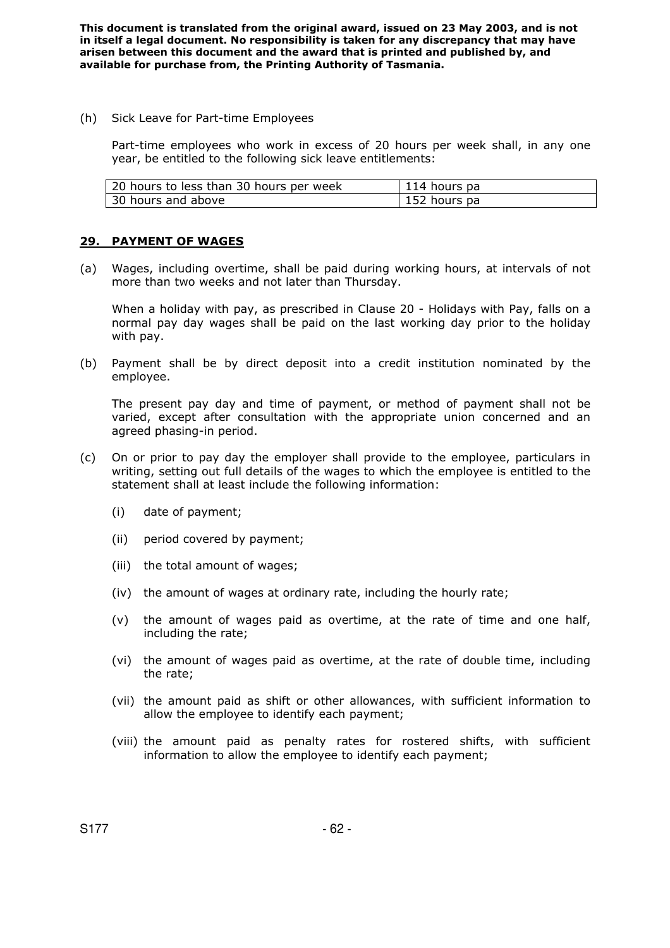(h) Sick Leave for Part-time Employees

Part-time employees who work in excess of 20 hours per week shall, in any one year, be entitled to the following sick leave entitlements:

| 20 hours to less than 30 hours per week | 114 hours pa |
|-----------------------------------------|--------------|
| 30 hours and above                      | 152 hours pa |

### **29. PAYMENT OF WAGES**

(a) Wages, including overtime, shall be paid during working hours, at intervals of not more than two weeks and not later than Thursday.

When a holiday with pay, as prescribed in Clause 20 - Holidays with Pay, falls on a normal pay day wages shall be paid on the last working day prior to the holiday with pay.

(b) Payment shall be by direct deposit into a credit institution nominated by the employee.

The present pay day and time of payment, or method of payment shall not be varied, except after consultation with the appropriate union concerned and an agreed phasing-in period.

- (c) On or prior to pay day the employer shall provide to the employee, particulars in writing, setting out full details of the wages to which the employee is entitled to the statement shall at least include the following information:
	- (i) date of payment;
	- (ii) period covered by payment;
	- (iii) the total amount of wages;
	- (iv) the amount of wages at ordinary rate, including the hourly rate;
	- (v) the amount of wages paid as overtime, at the rate of time and one half, including the rate;
	- (vi) the amount of wages paid as overtime, at the rate of double time, including the rate;
	- (vii) the amount paid as shift or other allowances, with sufficient information to allow the employee to identify each payment;
	- (viii) the amount paid as penalty rates for rostered shifts, with sufficient information to allow the employee to identify each payment;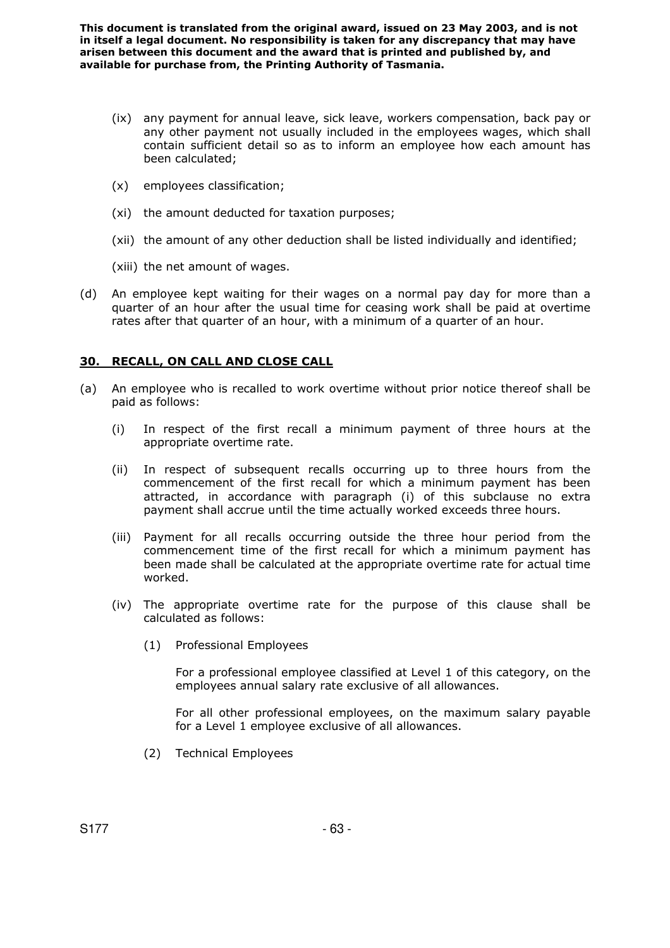- (ix) any payment for annual leave, sick leave, workers compensation, back pay or any other payment not usually included in the employees wages, which shall contain sufficient detail so as to inform an employee how each amount has been calculated;
- (x) employees classification;
- (xi) the amount deducted for taxation purposes;
- (xii) the amount of any other deduction shall be listed individually and identified;
- (xiii) the net amount of wages.
- (d) An employee kept waiting for their wages on a normal pay day for more than a quarter of an hour after the usual time for ceasing work shall be paid at overtime rates after that quarter of an hour, with a minimum of a quarter of an hour.

## **30. RECALL, ON CALL AND CLOSE CALL**

- (a) An employee who is recalled to work overtime without prior notice thereof shall be paid as follows:
	- (i) In respect of the first recall a minimum payment of three hours at the appropriate overtime rate.
	- (ii) In respect of subsequent recalls occurring up to three hours from the commencement of the first recall for which a minimum payment has been attracted, in accordance with paragraph (i) of this subclause no extra payment shall accrue until the time actually worked exceeds three hours.
	- (iii) Payment for all recalls occurring outside the three hour period from the commencement time of the first recall for which a minimum payment has been made shall be calculated at the appropriate overtime rate for actual time worked.
	- (iv) The appropriate overtime rate for the purpose of this clause shall be calculated as follows:
		- (1) Professional Employees

For a professional employee classified at Level 1 of this category, on the employees annual salary rate exclusive of all allowances.

 For all other professional employees, on the maximum salary payable for a Level 1 employee exclusive of all allowances.

(2) Technical Employees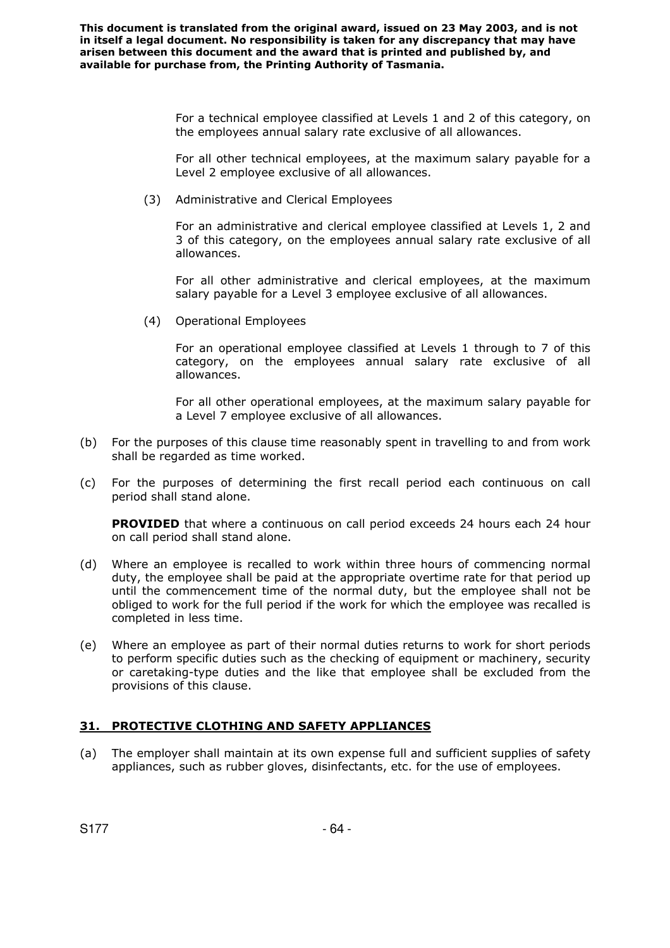> For a technical employee classified at Levels 1 and 2 of this category, on the employees annual salary rate exclusive of all allowances.

> For all other technical employees, at the maximum salary payable for a Level 2 employee exclusive of all allowances.

(3) Administrative and Clerical Employees

For an administrative and clerical employee classified at Levels 1, 2 and 3 of this category, on the employees annual salary rate exclusive of all allowances.

For all other administrative and clerical employees, at the maximum salary payable for a Level 3 employee exclusive of all allowances.

(4) Operational Employees

For an operational employee classified at Levels 1 through to 7 of this category, on the employees annual salary rate exclusive of all allowances.

For all other operational employees, at the maximum salary payable for a Level 7 employee exclusive of all allowances.

- (b) For the purposes of this clause time reasonably spent in travelling to and from work shall be regarded as time worked.
- (c) For the purposes of determining the first recall period each continuous on call period shall stand alone.

**PROVIDED** that where a continuous on call period exceeds 24 hours each 24 hour on call period shall stand alone.

- (d) Where an employee is recalled to work within three hours of commencing normal duty, the employee shall be paid at the appropriate overtime rate for that period up until the commencement time of the normal duty, but the employee shall not be obliged to work for the full period if the work for which the employee was recalled is completed in less time.
- (e) Where an employee as part of their normal duties returns to work for short periods to perform specific duties such as the checking of equipment or machinery, security or caretaking-type duties and the like that employee shall be excluded from the provisions of this clause.

## **31. PROTECTIVE CLOTHING AND SAFETY APPLIANCES**

(a) The employer shall maintain at its own expense full and sufficient supplies of safety appliances, such as rubber gloves, disinfectants, etc. for the use of employees.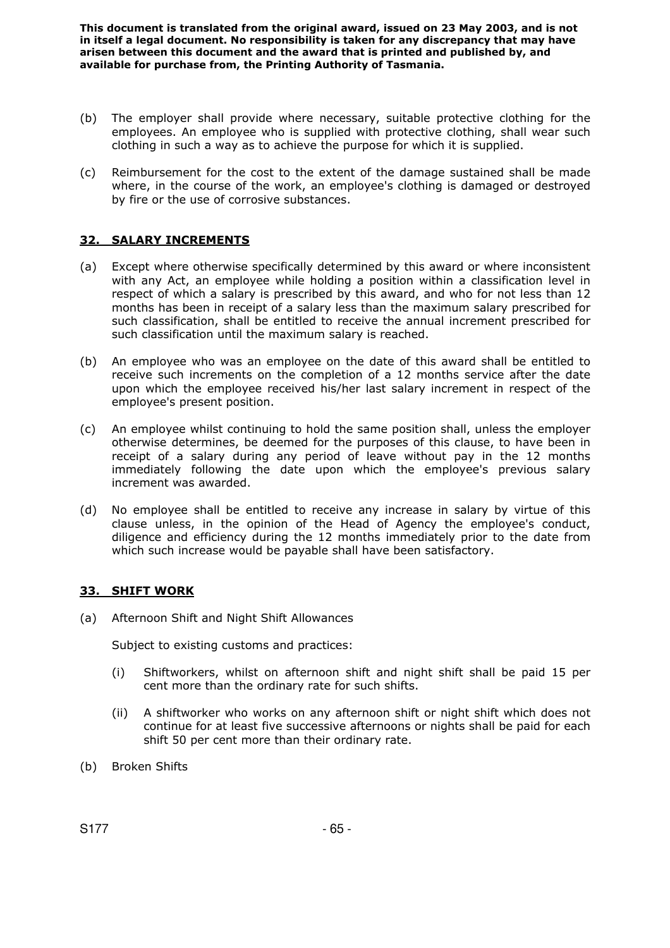- (b) The employer shall provide where necessary, suitable protective clothing for the employees. An employee who is supplied with protective clothing, shall wear such clothing in such a way as to achieve the purpose for which it is supplied.
- (c) Reimbursement for the cost to the extent of the damage sustained shall be made where, in the course of the work, an employee's clothing is damaged or destroyed by fire or the use of corrosive substances.

### **32. SALARY INCREMENTS**

- (a) Except where otherwise specifically determined by this award or where inconsistent with any Act, an employee while holding a position within a classification level in respect of which a salary is prescribed by this award, and who for not less than 12 months has been in receipt of a salary less than the maximum salary prescribed for such classification, shall be entitled to receive the annual increment prescribed for such classification until the maximum salary is reached.
- (b) An employee who was an employee on the date of this award shall be entitled to receive such increments on the completion of a 12 months service after the date upon which the employee received his/her last salary increment in respect of the employee's present position.
- (c) An employee whilst continuing to hold the same position shall, unless the employer otherwise determines, be deemed for the purposes of this clause, to have been in receipt of a salary during any period of leave without pay in the 12 months immediately following the date upon which the employee's previous salary increment was awarded.
- (d) No employee shall be entitled to receive any increase in salary by virtue of this clause unless, in the opinion of the Head of Agency the employee's conduct, diligence and efficiency during the 12 months immediately prior to the date from which such increase would be payable shall have been satisfactory.

### **33. SHIFT WORK**

(a) Afternoon Shift and Night Shift Allowances

Subject to existing customs and practices:

- (i) Shiftworkers, whilst on afternoon shift and night shift shall be paid 15 per cent more than the ordinary rate for such shifts.
- (ii) A shiftworker who works on any afternoon shift or night shift which does not continue for at least five successive afternoons or nights shall be paid for each shift 50 per cent more than their ordinary rate.
- (b) Broken Shifts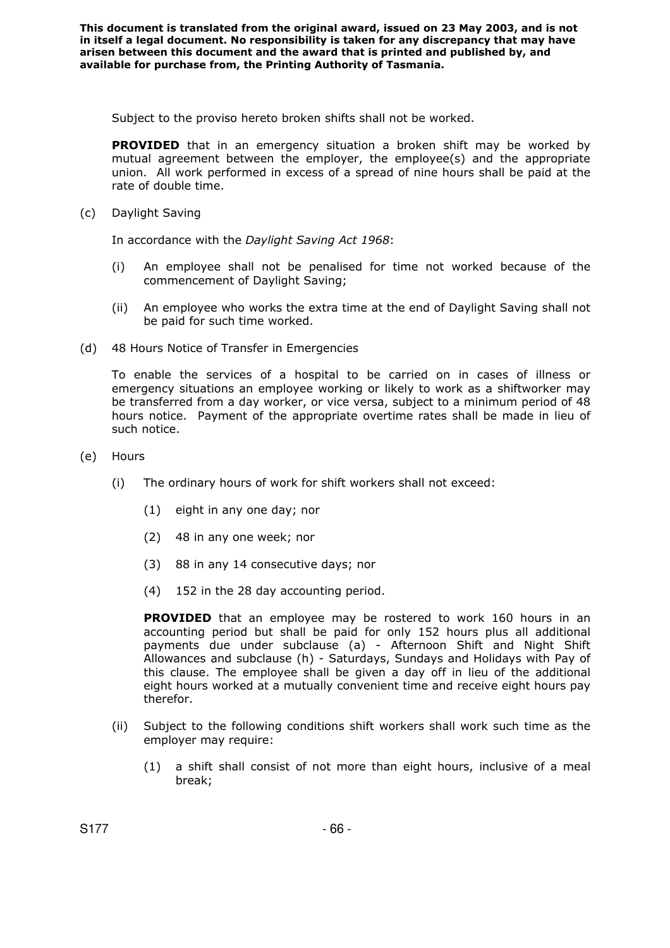Subject to the proviso hereto broken shifts shall not be worked.

**PROVIDED** that in an emergency situation a broken shift may be worked by mutual agreement between the employer, the employee(s) and the appropriate union. All work performed in excess of a spread of nine hours shall be paid at the rate of double time.

(c) Daylight Saving

In accordance with the *Daylight Saving Act 1968*:

- (i) An employee shall not be penalised for time not worked because of the commencement of Daylight Saving;
- (ii) An employee who works the extra time at the end of Daylight Saving shall not be paid for such time worked.
- (d) 48 Hours Notice of Transfer in Emergencies

To enable the services of a hospital to be carried on in cases of illness or emergency situations an employee working or likely to work as a shiftworker may be transferred from a day worker, or vice versa, subject to a minimum period of 48 hours notice. Payment of the appropriate overtime rates shall be made in lieu of such notice.

- (e) Hours
	- (i) The ordinary hours of work for shift workers shall not exceed:
		- (1) eight in any one day; nor
		- (2) 48 in any one week; nor
		- (3) 88 in any 14 consecutive days; nor
		- (4) 152 in the 28 day accounting period.

**PROVIDED** that an employee may be rostered to work 160 hours in an accounting period but shall be paid for only 152 hours plus all additional payments due under subclause (a) - Afternoon Shift and Night Shift Allowances and subclause (h) - Saturdays, Sundays and Holidays with Pay of this clause. The employee shall be given a day off in lieu of the additional eight hours worked at a mutually convenient time and receive eight hours pay therefor.

- (ii) Subject to the following conditions shift workers shall work such time as the employer may require:
	- (1) a shift shall consist of not more than eight hours, inclusive of a meal break;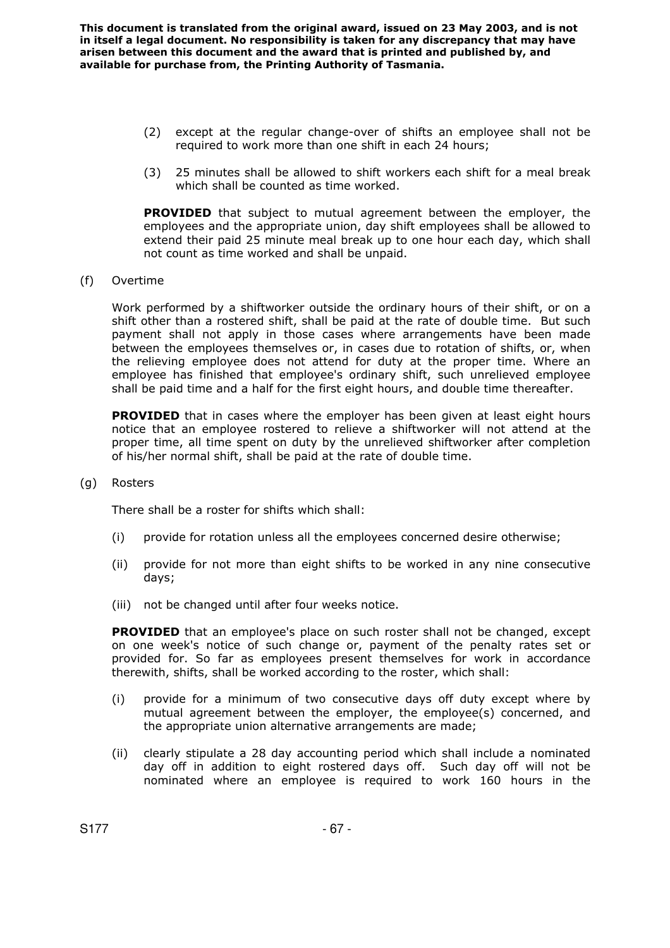- (2) except at the regular change-over of shifts an employee shall not be required to work more than one shift in each 24 hours;
- (3) 25 minutes shall be allowed to shift workers each shift for a meal break which shall be counted as time worked.

**PROVIDED** that subject to mutual agreement between the employer, the employees and the appropriate union, day shift employees shall be allowed to extend their paid 25 minute meal break up to one hour each day, which shall not count as time worked and shall be unpaid.

(f) Overtime

Work performed by a shiftworker outside the ordinary hours of their shift, or on a shift other than a rostered shift, shall be paid at the rate of double time. But such payment shall not apply in those cases where arrangements have been made between the employees themselves or, in cases due to rotation of shifts, or, when the relieving employee does not attend for duty at the proper time. Where an employee has finished that employee's ordinary shift, such unrelieved employee shall be paid time and a half for the first eight hours, and double time thereafter.

**PROVIDED** that in cases where the employer has been given at least eight hours notice that an employee rostered to relieve a shiftworker will not attend at the proper time, all time spent on duty by the unrelieved shiftworker after completion of his/her normal shift, shall be paid at the rate of double time.

(g) Rosters

There shall be a roster for shifts which shall:

- (i) provide for rotation unless all the employees concerned desire otherwise;
- (ii) provide for not more than eight shifts to be worked in any nine consecutive days;
- (iii) not be changed until after four weeks notice.

**PROVIDED** that an employee's place on such roster shall not be changed, except on one week's notice of such change or, payment of the penalty rates set or provided for. So far as employees present themselves for work in accordance therewith, shifts, shall be worked according to the roster, which shall:

- (i) provide for a minimum of two consecutive days off duty except where by mutual agreement between the employer, the employee(s) concerned, and the appropriate union alternative arrangements are made;
- (ii) clearly stipulate a 28 day accounting period which shall include a nominated day off in addition to eight rostered days off. Such day off will not be nominated where an employee is required to work 160 hours in the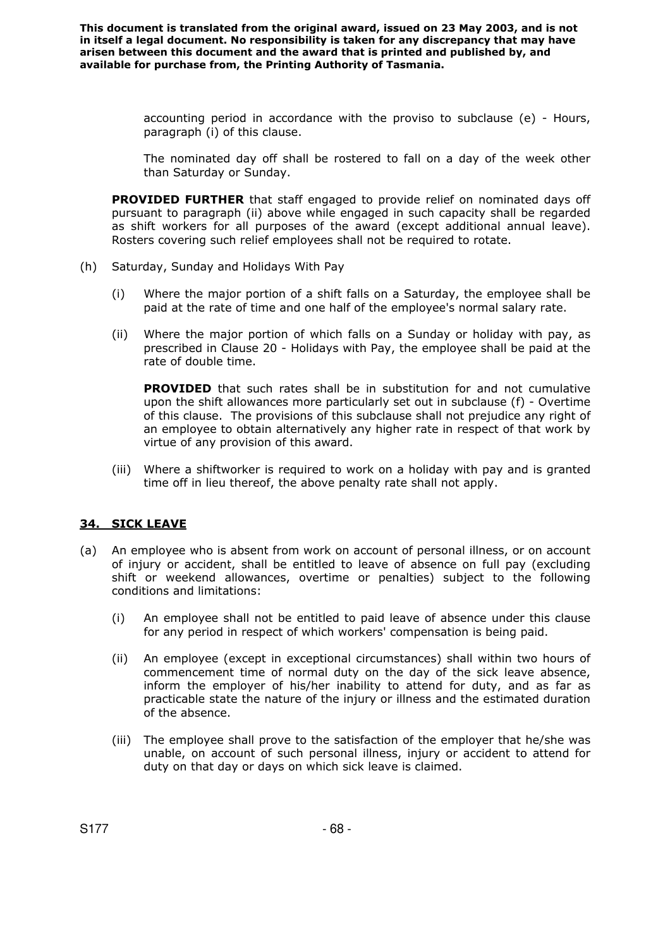> accounting period in accordance with the proviso to subclause (e) - Hours, paragraph (i) of this clause.

> The nominated day off shall be rostered to fall on a day of the week other than Saturday or Sunday.

 **PROVIDED FURTHER** that staff engaged to provide relief on nominated days off pursuant to paragraph (ii) above while engaged in such capacity shall be regarded as shift workers for all purposes of the award (except additional annual leave). Rosters covering such relief employees shall not be required to rotate.

- (h) Saturday, Sunday and Holidays With Pay
	- (i) Where the major portion of a shift falls on a Saturday, the employee shall be paid at the rate of time and one half of the employee's normal salary rate.
	- (ii) Where the major portion of which falls on a Sunday or holiday with pay, as prescribed in Clause 20 - Holidays with Pay, the employee shall be paid at the rate of double time.

**PROVIDED** that such rates shall be in substitution for and not cumulative upon the shift allowances more particularly set out in subclause (f) - Overtime of this clause. The provisions of this subclause shall not prejudice any right of an employee to obtain alternatively any higher rate in respect of that work by virtue of any provision of this award.

(iii) Where a shiftworker is required to work on a holiday with pay and is granted time off in lieu thereof, the above penalty rate shall not apply.

### **34. SICK LEAVE**

- (a) An employee who is absent from work on account of personal illness, or on account of injury or accident, shall be entitled to leave of absence on full pay (excluding shift or weekend allowances, overtime or penalties) subject to the following conditions and limitations:
	- (i) An employee shall not be entitled to paid leave of absence under this clause for any period in respect of which workers' compensation is being paid.
	- (ii) An employee (except in exceptional circumstances) shall within two hours of commencement time of normal duty on the day of the sick leave absence, inform the employer of his/her inability to attend for duty, and as far as practicable state the nature of the injury or illness and the estimated duration of the absence.
	- (iii) The employee shall prove to the satisfaction of the employer that he/she was unable, on account of such personal illness, injury or accident to attend for duty on that day or days on which sick leave is claimed.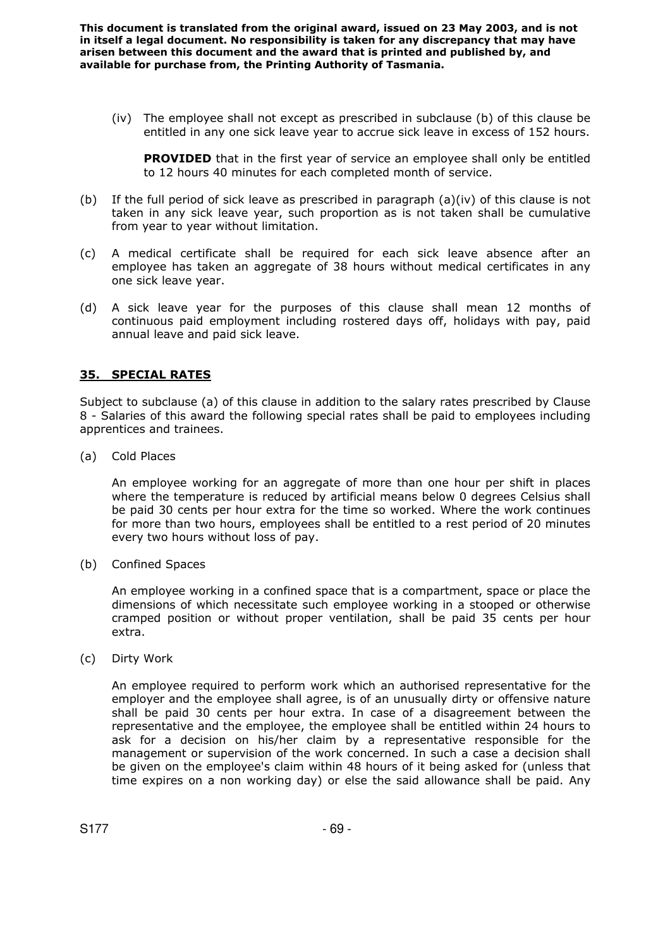(iv) The employee shall not except as prescribed in subclause (b) of this clause be entitled in any one sick leave year to accrue sick leave in excess of 152 hours.

**PROVIDED** that in the first year of service an employee shall only be entitled to 12 hours 40 minutes for each completed month of service.

- (b) If the full period of sick leave as prescribed in paragraph (a)(iv) of this clause is not taken in any sick leave year, such proportion as is not taken shall be cumulative from year to year without limitation.
- (c) A medical certificate shall be required for each sick leave absence after an employee has taken an aggregate of 38 hours without medical certificates in any one sick leave year.
- (d) A sick leave year for the purposes of this clause shall mean 12 months of continuous paid employment including rostered days off, holidays with pay, paid annual leave and paid sick leave.

### **35. SPECIAL RATES**

Subject to subclause (a) of this clause in addition to the salary rates prescribed by Clause 8 - Salaries of this award the following special rates shall be paid to employees including apprentices and trainees.

(a) Cold Places

An employee working for an aggregate of more than one hour per shift in places where the temperature is reduced by artificial means below 0 degrees Celsius shall be paid 30 cents per hour extra for the time so worked. Where the work continues for more than two hours, employees shall be entitled to a rest period of 20 minutes every two hours without loss of pay.

(b) Confined Spaces

An employee working in a confined space that is a compartment, space or place the dimensions of which necessitate such employee working in a stooped or otherwise cramped position or without proper ventilation, shall be paid 35 cents per hour extra.

(c) Dirty Work

An employee required to perform work which an authorised representative for the employer and the employee shall agree, is of an unusually dirty or offensive nature shall be paid 30 cents per hour extra. In case of a disagreement between the representative and the employee, the employee shall be entitled within 24 hours to ask for a decision on his/her claim by a representative responsible for the management or supervision of the work concerned. In such a case a decision shall be given on the employee's claim within 48 hours of it being asked for (unless that time expires on a non working day) or else the said allowance shall be paid. Any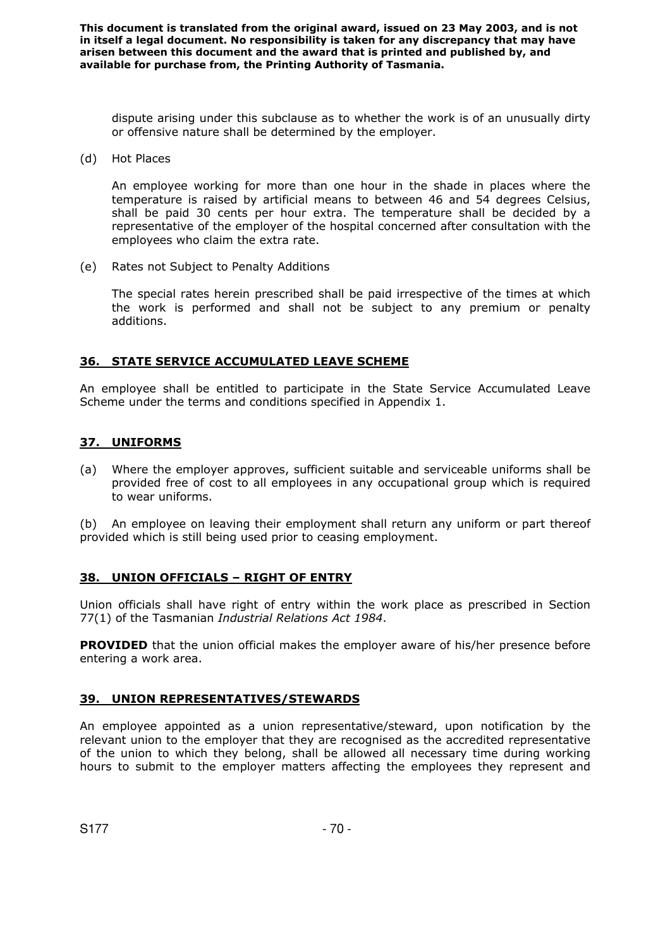dispute arising under this subclause as to whether the work is of an unusually dirty or offensive nature shall be determined by the employer.

(d) Hot Places

An employee working for more than one hour in the shade in places where the temperature is raised by artificial means to between 46 and 54 degrees Celsius, shall be paid 30 cents per hour extra. The temperature shall be decided by a representative of the employer of the hospital concerned after consultation with the employees who claim the extra rate.

(e) Rates not Subject to Penalty Additions

The special rates herein prescribed shall be paid irrespective of the times at which the work is performed and shall not be subject to any premium or penalty additions.

### **36. STATE SERVICE ACCUMULATED LEAVE SCHEME**

An employee shall be entitled to participate in the State Service Accumulated Leave Scheme under the terms and conditions specified in Appendix 1.

### **37. UNIFORMS**

(a) Where the employer approves, sufficient suitable and serviceable uniforms shall be provided free of cost to all employees in any occupational group which is required to wear uniforms.

(b) An employee on leaving their employment shall return any uniform or part thereof provided which is still being used prior to ceasing employment.

### **38. UNION OFFICIALS – RIGHT OF ENTRY**

Union officials shall have right of entry within the work place as prescribed in Section 77(1) of the Tasmanian *Industrial Relations Act 1984*.

**PROVIDED** that the union official makes the employer aware of his/her presence before entering a work area.

### **39. UNION REPRESENTATIVES/STEWARDS**

An employee appointed as a union representative/steward, upon notification by the relevant union to the employer that they are recognised as the accredited representative of the union to which they belong, shall be allowed all necessary time during working hours to submit to the employer matters affecting the employees they represent and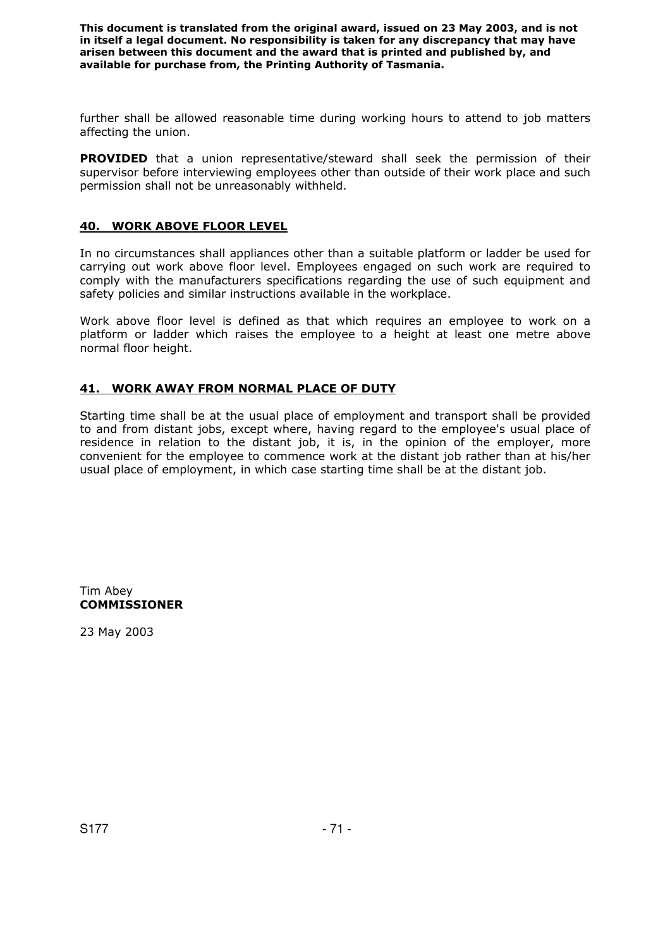further shall be allowed reasonable time during working hours to attend to job matters affecting the union.

**PROVIDED** that a union representative/steward shall seek the permission of their supervisor before interviewing employees other than outside of their work place and such permission shall not be unreasonably withheld.

### **40. WORK ABOVE FLOOR LEVEL**

In no circumstances shall appliances other than a suitable platform or ladder be used for carrying out work above floor level. Employees engaged on such work are required to comply with the manufacturers specifications regarding the use of such equipment and safety policies and similar instructions available in the workplace.

Work above floor level is defined as that which requires an employee to work on a platform or ladder which raises the employee to a height at least one metre above normal floor height.

### **41. WORK AWAY FROM NORMAL PLACE OF DUTY**

Starting time shall be at the usual place of employment and transport shall be provided to and from distant jobs, except where, having regard to the employee's usual place of residence in relation to the distant job, it is, in the opinion of the employer, more convenient for the employee to commence work at the distant job rather than at his/her usual place of employment, in which case starting time shall be at the distant job.

Tim Abey **COMMISSIONER** 

23 May 2003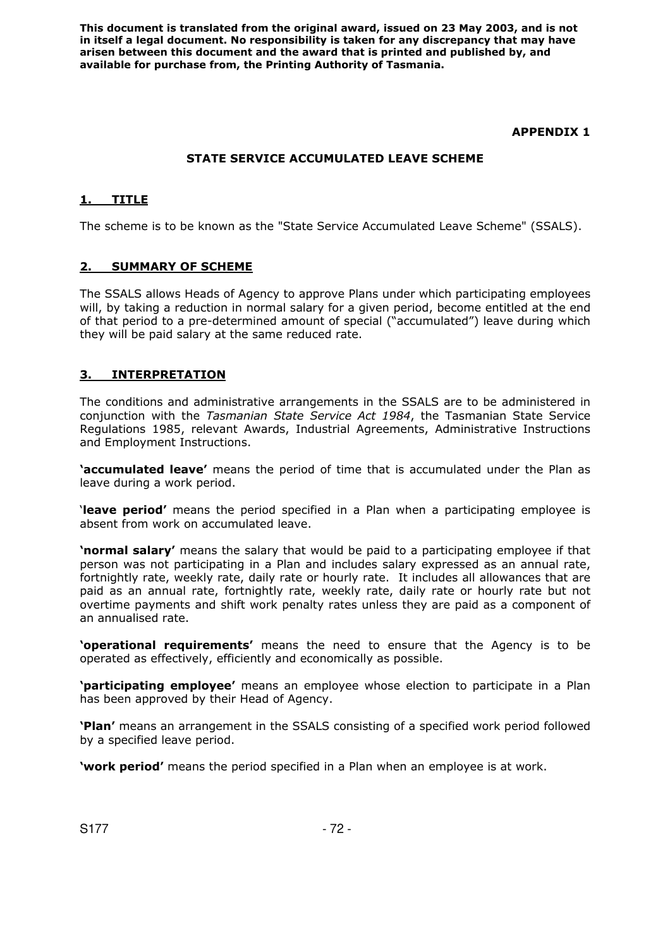## **APPENDIX 1**

# **STATE SERVICE ACCUMULATED LEAVE SCHEME**

# **1. TITLE**

The scheme is to be known as the "State Service Accumulated Leave Scheme" (SSALS).

## **2. SUMMARY OF SCHEME**

The SSALS allows Heads of Agency to approve Plans under which participating employees will, by taking a reduction in normal salary for a given period, become entitled at the end of that period to a pre-determined amount of special ("accumulated") leave during which they will be paid salary at the same reduced rate.

## **3. INTERPRETATION**

The conditions and administrative arrangements in the SSALS are to be administered in conjunction with the *Tasmanian State Service Act 1984*, the Tasmanian State Service Regulations 1985, relevant Awards, Industrial Agreements, Administrative Instructions and Employment Instructions.

**'accumulated leave'** means the period of time that is accumulated under the Plan as leave during a work period.

'**leave period'** means the period specified in a Plan when a participating employee is absent from work on accumulated leave.

**'normal salary'** means the salary that would be paid to a participating employee if that person was not participating in a Plan and includes salary expressed as an annual rate, fortnightly rate, weekly rate, daily rate or hourly rate. It includes all allowances that are paid as an annual rate, fortnightly rate, weekly rate, daily rate or hourly rate but not overtime payments and shift work penalty rates unless they are paid as a component of an annualised rate.

**'operational requirements'** means the need to ensure that the Agency is to be operated as effectively, efficiently and economically as possible.

**'participating employee'** means an employee whose election to participate in a Plan has been approved by their Head of Agency.

**'Plan'** means an arrangement in the SSALS consisting of a specified work period followed by a specified leave period.

**'work period'** means the period specified in a Plan when an employee is at work.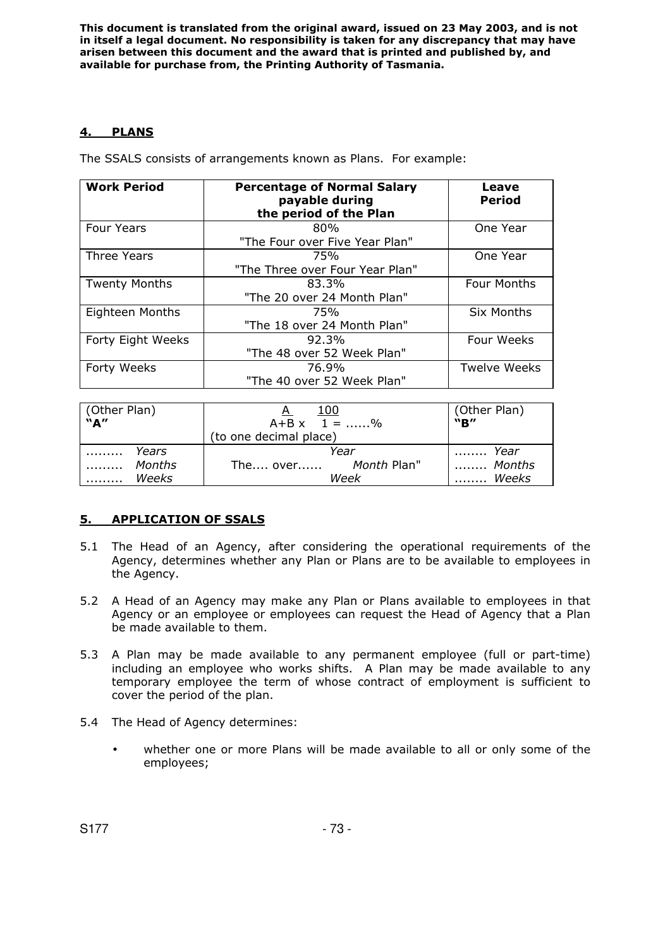# **4. PLANS**

The SSALS consists of arrangements known as Plans. For example:

| <b>Work Period</b>   | <b>Percentage of Normal Salary</b><br>payable during<br>the period of the Plan | Leave<br><b>Period</b> |
|----------------------|--------------------------------------------------------------------------------|------------------------|
| <b>Four Years</b>    | 80%                                                                            | One Year               |
|                      | "The Four over Five Year Plan"                                                 |                        |
| Three Years          | 75%                                                                            | One Year               |
|                      | "The Three over Four Year Plan"                                                |                        |
| <b>Twenty Months</b> | 83.3%                                                                          | <b>Four Months</b>     |
|                      | "The 20 over 24 Month Plan"                                                    |                        |
| Eighteen Months      | 75%                                                                            | <b>Six Months</b>      |
|                      | "The 18 over 24 Month Plan"                                                    |                        |
| Forty Eight Weeks    | 92.3%                                                                          | Four Weeks             |
|                      | "The 48 over 52 Week Plan"                                                     |                        |
| Forty Weeks          | 76.9%                                                                          | <b>Twelve Weeks</b>    |
|                      | "The 40 over 52 Week Plan"                                                     |                        |

| (Other Plan)<br>"A"           | 100<br>A<br>$A+B \times 1 = \dots 96$<br>(to one decimal place) | (Other Plan)<br>"B"                        |
|-------------------------------|-----------------------------------------------------------------|--------------------------------------------|
| Years<br>Months<br>Weeks<br>. | Year<br>The over Month Plan"<br>Week                            | $\ldots \ldots$ Year<br>I  Months<br>Weeks |

# **5. APPLICATION OF SSALS**

- 5.1 The Head of an Agency, after considering the operational requirements of the Agency, determines whether any Plan or Plans are to be available to employees in the Agency.
- 5.2 A Head of an Agency may make any Plan or Plans available to employees in that Agency or an employee or employees can request the Head of Agency that a Plan be made available to them.
- 5.3 A Plan may be made available to any permanent employee (full or part-time) including an employee who works shifts. A Plan may be made available to any temporary employee the term of whose contract of employment is sufficient to cover the period of the plan.
- 5.4 The Head of Agency determines:
	- whether one or more Plans will be made available to all or only some of the employees;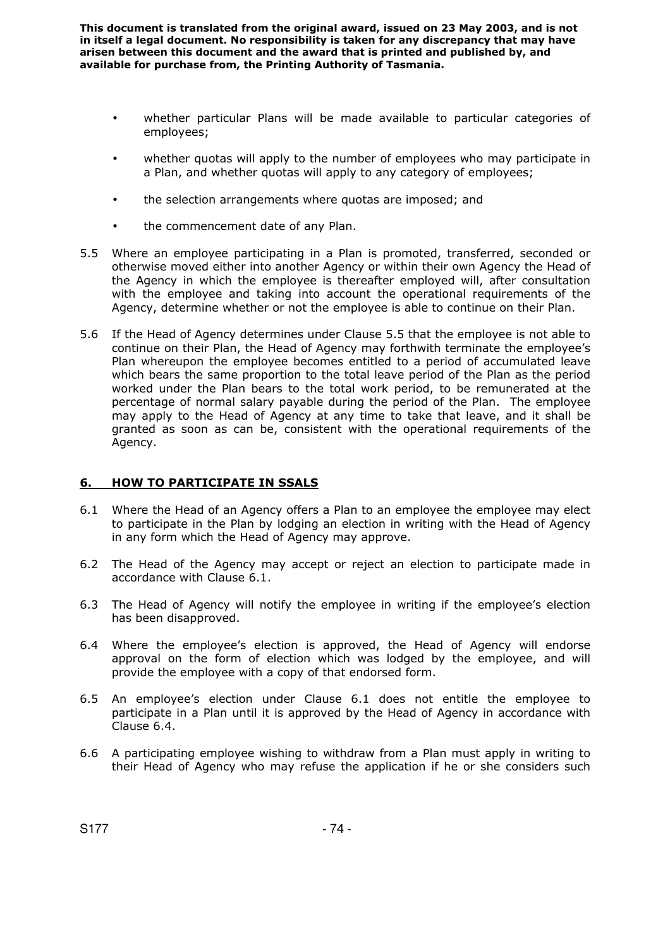- whether particular Plans will be made available to particular categories of employees;
- whether quotas will apply to the number of employees who may participate in a Plan, and whether quotas will apply to any category of employees;
- the selection arrangements where quotas are imposed; and
- the commencement date of any Plan.
- 5.5 Where an employee participating in a Plan is promoted, transferred, seconded or otherwise moved either into another Agency or within their own Agency the Head of the Agency in which the employee is thereafter employed will, after consultation with the employee and taking into account the operational requirements of the Agency, determine whether or not the employee is able to continue on their Plan.
- 5.6 If the Head of Agency determines under Clause 5.5 that the employee is not able to continue on their Plan, the Head of Agency may forthwith terminate the employee's Plan whereupon the employee becomes entitled to a period of accumulated leave which bears the same proportion to the total leave period of the Plan as the period worked under the Plan bears to the total work period, to be remunerated at the percentage of normal salary payable during the period of the Plan. The employee may apply to the Head of Agency at any time to take that leave, and it shall be granted as soon as can be, consistent with the operational requirements of the Agency.

## **6. HOW TO PARTICIPATE IN SSALS**

- 6.1 Where the Head of an Agency offers a Plan to an employee the employee may elect to participate in the Plan by lodging an election in writing with the Head of Agency in any form which the Head of Agency may approve.
- 6.2 The Head of the Agency may accept or reject an election to participate made in accordance with Clause 6.1.
- 6.3 The Head of Agency will notify the employee in writing if the employee's election has been disapproved.
- 6.4 Where the employee's election is approved, the Head of Agency will endorse approval on the form of election which was lodged by the employee, and will provide the employee with a copy of that endorsed form.
- 6.5 An employee's election under Clause 6.1 does not entitle the employee to participate in a Plan until it is approved by the Head of Agency in accordance with Clause 6.4.
- 6.6 A participating employee wishing to withdraw from a Plan must apply in writing to their Head of Agency who may refuse the application if he or she considers such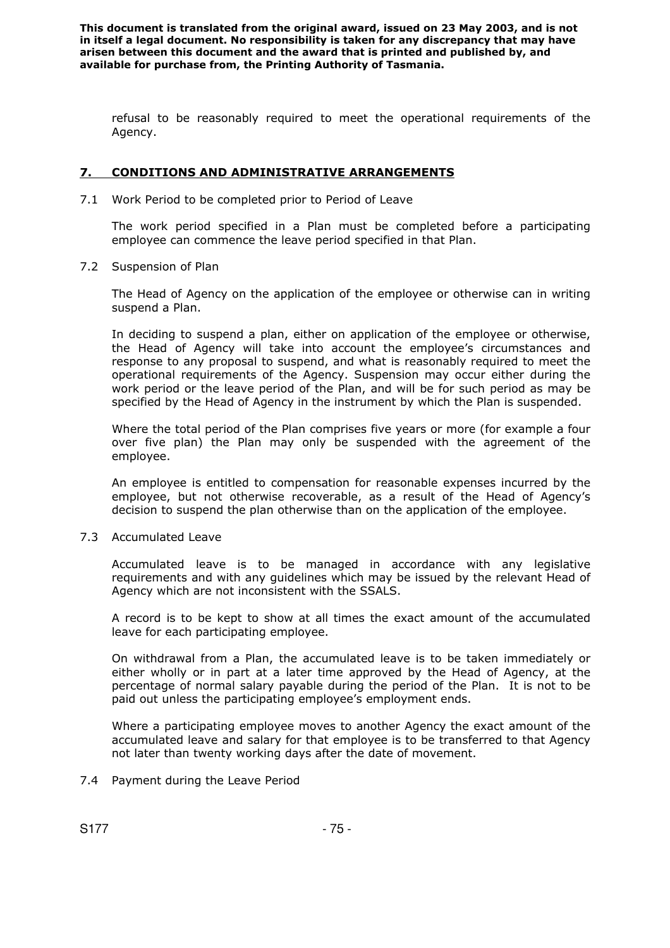refusal to be reasonably required to meet the operational requirements of the Agency.

# **7. CONDITIONS AND ADMINISTRATIVE ARRANGEMENTS**

7.1 Work Period to be completed prior to Period of Leave

The work period specified in a Plan must be completed before a participating employee can commence the leave period specified in that Plan.

7.2 Suspension of Plan

The Head of Agency on the application of the employee or otherwise can in writing suspend a Plan.

In deciding to suspend a plan, either on application of the employee or otherwise, the Head of Agency will take into account the employee's circumstances and response to any proposal to suspend, and what is reasonably required to meet the operational requirements of the Agency. Suspension may occur either during the work period or the leave period of the Plan, and will be for such period as may be specified by the Head of Agency in the instrument by which the Plan is suspended.

Where the total period of the Plan comprises five years or more (for example a four over five plan) the Plan may only be suspended with the agreement of the employee.

An employee is entitled to compensation for reasonable expenses incurred by the employee, but not otherwise recoverable, as a result of the Head of Agency's decision to suspend the plan otherwise than on the application of the employee.

7.3 Accumulated Leave

Accumulated leave is to be managed in accordance with any legislative requirements and with any guidelines which may be issued by the relevant Head of Agency which are not inconsistent with the SSALS.

A record is to be kept to show at all times the exact amount of the accumulated leave for each participating employee.

On withdrawal from a Plan, the accumulated leave is to be taken immediately or either wholly or in part at a later time approved by the Head of Agency, at the percentage of normal salary payable during the period of the Plan. It is not to be paid out unless the participating employee's employment ends.

Where a participating employee moves to another Agency the exact amount of the accumulated leave and salary for that employee is to be transferred to that Agency not later than twenty working days after the date of movement.

7.4 Payment during the Leave Period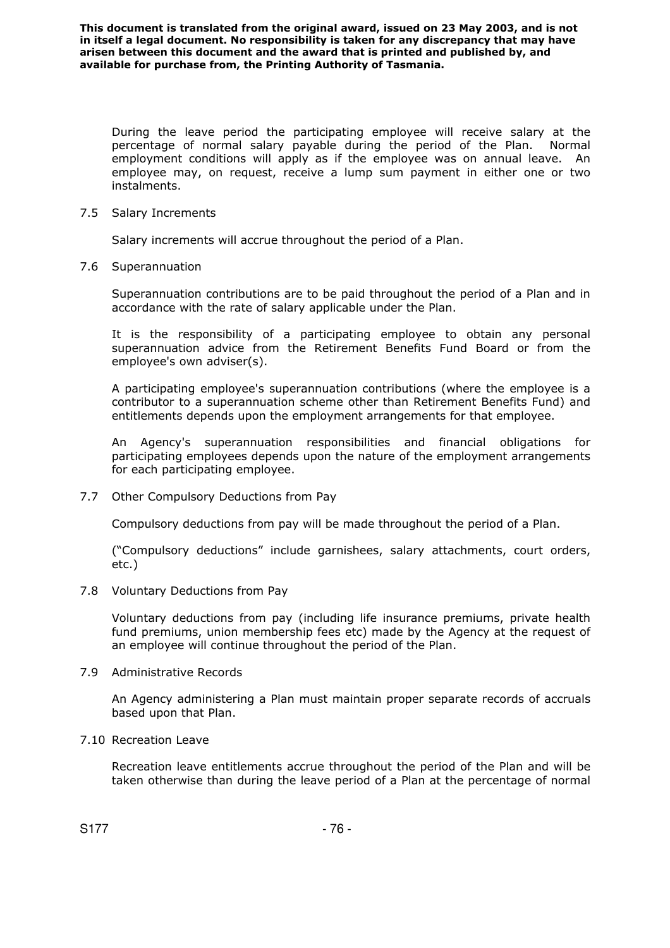During the leave period the participating employee will receive salary at the percentage of normal salary payable during the period of the Plan. Normal employment conditions will apply as if the employee was on annual leave. An employee may, on request, receive a lump sum payment in either one or two instalments.

7.5 Salary Increments

Salary increments will accrue throughout the period of a Plan.

7.6 Superannuation

Superannuation contributions are to be paid throughout the period of a Plan and in accordance with the rate of salary applicable under the Plan.

It is the responsibility of a participating employee to obtain any personal superannuation advice from the Retirement Benefits Fund Board or from the employee's own adviser(s).

A participating employee's superannuation contributions (where the employee is a contributor to a superannuation scheme other than Retirement Benefits Fund) and entitlements depends upon the employment arrangements for that employee.

An Agency's superannuation responsibilities and financial obligations for participating employees depends upon the nature of the employment arrangements for each participating employee.

7.7 Other Compulsory Deductions from Pay

Compulsory deductions from pay will be made throughout the period of a Plan.

("Compulsory deductions" include garnishees, salary attachments, court orders, etc.)

7.8 Voluntary Deductions from Pay

Voluntary deductions from pay (including life insurance premiums, private health fund premiums, union membership fees etc) made by the Agency at the request of an employee will continue throughout the period of the Plan.

7.9 Administrative Records

An Agency administering a Plan must maintain proper separate records of accruals based upon that Plan.

7.10 Recreation Leave

Recreation leave entitlements accrue throughout the period of the Plan and will be taken otherwise than during the leave period of a Plan at the percentage of normal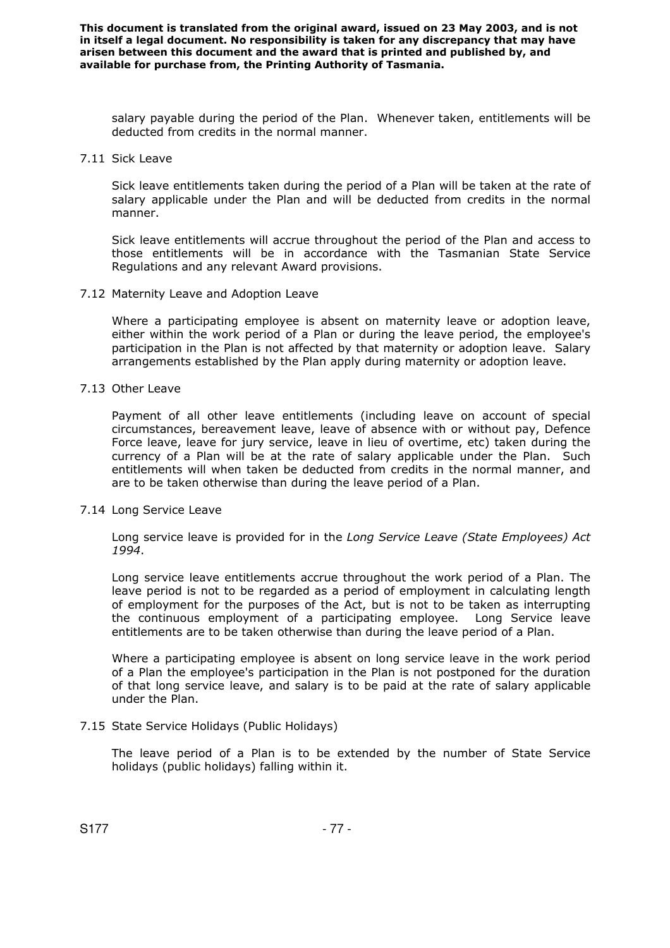salary payable during the period of the Plan. Whenever taken, entitlements will be deducted from credits in the normal manner.

#### 7.11 Sick Leave

Sick leave entitlements taken during the period of a Plan will be taken at the rate of salary applicable under the Plan and will be deducted from credits in the normal manner.

Sick leave entitlements will accrue throughout the period of the Plan and access to those entitlements will be in accordance with the Tasmanian State Service Regulations and any relevant Award provisions.

#### 7.12 Maternity Leave and Adoption Leave

Where a participating employee is absent on maternity leave or adoption leave, either within the work period of a Plan or during the leave period, the employee's participation in the Plan is not affected by that maternity or adoption leave. Salary arrangements established by the Plan apply during maternity or adoption leave.

#### 7.13 Other Leave

Payment of all other leave entitlements (including leave on account of special circumstances, bereavement leave, leave of absence with or without pay, Defence Force leave, leave for jury service, leave in lieu of overtime, etc) taken during the currency of a Plan will be at the rate of salary applicable under the Plan. Such entitlements will when taken be deducted from credits in the normal manner, and are to be taken otherwise than during the leave period of a Plan.

#### 7.14 Long Service Leave

Long service leave is provided for in the *Long Service Leave (State Employees) Act 1994*.

Long service leave entitlements accrue throughout the work period of a Plan. The leave period is not to be regarded as a period of employment in calculating length of employment for the purposes of the Act, but is not to be taken as interrupting the continuous employment of a participating employee. Long Service leave entitlements are to be taken otherwise than during the leave period of a Plan.

Where a participating employee is absent on long service leave in the work period of a Plan the employee's participation in the Plan is not postponed for the duration of that long service leave, and salary is to be paid at the rate of salary applicable under the Plan.

## 7.15 State Service Holidays (Public Holidays)

The leave period of a Plan is to be extended by the number of State Service holidays (public holidays) falling within it.